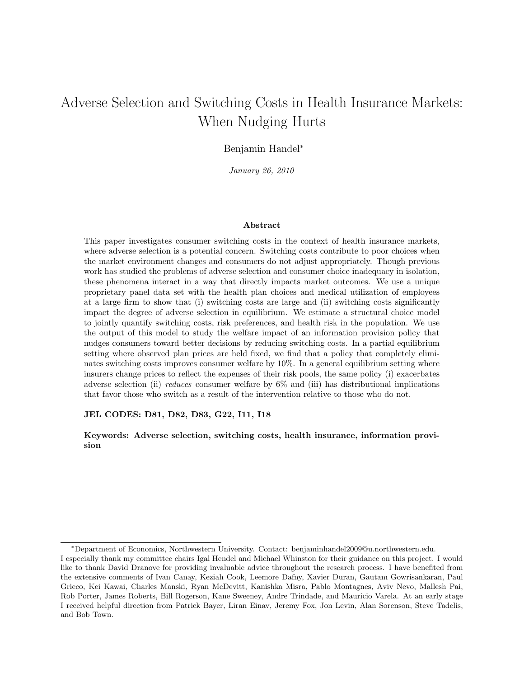# Adverse Selection and Switching Costs in Health Insurance Markets: When Nudging Hurts

# Benjamin Handel<sup>∗</sup>

January 26, 2010

#### Abstract

This paper investigates consumer switching costs in the context of health insurance markets, where adverse selection is a potential concern. Switching costs contribute to poor choices when the market environment changes and consumers do not adjust appropriately. Though previous work has studied the problems of adverse selection and consumer choice inadequacy in isolation, these phenomena interact in a way that directly impacts market outcomes. We use a unique proprietary panel data set with the health plan choices and medical utilization of employees at a large firm to show that (i) switching costs are large and (ii) switching costs significantly impact the degree of adverse selection in equilibrium. We estimate a structural choice model to jointly quantify switching costs, risk preferences, and health risk in the population. We use the output of this model to study the welfare impact of an information provision policy that nudges consumers toward better decisions by reducing switching costs. In a partial equilibrium setting where observed plan prices are held fixed, we find that a policy that completely eliminates switching costs improves consumer welfare by 10%. In a general equilibrium setting where insurers change prices to reflect the expenses of their risk pools, the same policy (i) exacerbates adverse selection (ii) reduces consumer welfare by  $6\%$  and (iii) has distributional implications that favor those who switch as a result of the intervention relative to those who do not.

#### JEL CODES: D81, D82, D83, G22, I11, I18

Keywords: Adverse selection, switching costs, health insurance, information provision

<sup>∗</sup>Department of Economics, Northwestern University. Contact: benjaminhandel2009@u.northwestern.edu.

I especially thank my committee chairs Igal Hendel and Michael Whinston for their guidance on this project. I would like to thank David Dranove for providing invaluable advice throughout the research process. I have benefited from the extensive comments of Ivan Canay, Keziah Cook, Leemore Dafny, Xavier Duran, Gautam Gowrisankaran, Paul Grieco, Kei Kawai, Charles Manski, Ryan McDevitt, Kanishka Misra, Pablo Montagnes, Aviv Nevo, Mallesh Pai, Rob Porter, James Roberts, Bill Rogerson, Kane Sweeney, Andre Trindade, and Mauricio Varela. At an early stage I received helpful direction from Patrick Bayer, Liran Einav, Jeremy Fox, Jon Levin, Alan Sorenson, Steve Tadelis, and Bob Town.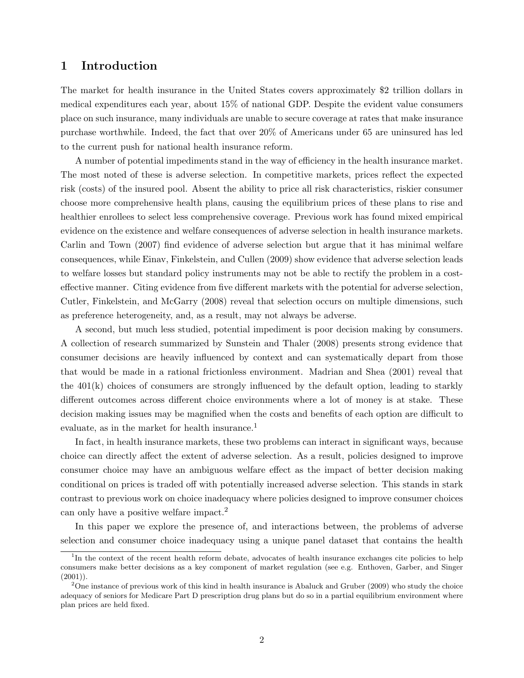# 1 Introduction

The market for health insurance in the United States covers approximately \$2 trillion dollars in medical expenditures each year, about 15% of national GDP. Despite the evident value consumers place on such insurance, many individuals are unable to secure coverage at rates that make insurance purchase worthwhile. Indeed, the fact that over 20% of Americans under 65 are uninsured has led to the current push for national health insurance reform.

A number of potential impediments stand in the way of efficiency in the health insurance market. The most noted of these is adverse selection. In competitive markets, prices reflect the expected risk (costs) of the insured pool. Absent the ability to price all risk characteristics, riskier consumer choose more comprehensive health plans, causing the equilibrium prices of these plans to rise and healthier enrollees to select less comprehensive coverage. Previous work has found mixed empirical evidence on the existence and welfare consequences of adverse selection in health insurance markets. Carlin and Town (2007) find evidence of adverse selection but argue that it has minimal welfare consequences, while Einav, Finkelstein, and Cullen (2009) show evidence that adverse selection leads to welfare losses but standard policy instruments may not be able to rectify the problem in a costeffective manner. Citing evidence from five different markets with the potential for adverse selection, Cutler, Finkelstein, and McGarry (2008) reveal that selection occurs on multiple dimensions, such as preference heterogeneity, and, as a result, may not always be adverse.

A second, but much less studied, potential impediment is poor decision making by consumers. A collection of research summarized by Sunstein and Thaler (2008) presents strong evidence that consumer decisions are heavily influenced by context and can systematically depart from those that would be made in a rational frictionless environment. Madrian and Shea (2001) reveal that the 401(k) choices of consumers are strongly influenced by the default option, leading to starkly different outcomes across different choice environments where a lot of money is at stake. These decision making issues may be magnified when the costs and benefits of each option are difficult to evaluate, as in the market for health insurance.<sup>1</sup>

In fact, in health insurance markets, these two problems can interact in significant ways, because choice can directly affect the extent of adverse selection. As a result, policies designed to improve consumer choice may have an ambiguous welfare effect as the impact of better decision making conditional on prices is traded off with potentially increased adverse selection. This stands in stark contrast to previous work on choice inadequacy where policies designed to improve consumer choices can only have a positive welfare impact.<sup>2</sup>

In this paper we explore the presence of, and interactions between, the problems of adverse selection and consumer choice inadequacy using a unique panel dataset that contains the health

<sup>&</sup>lt;sup>1</sup>In the context of the recent health reform debate, advocates of health insurance exchanges cite policies to help consumers make better decisions as a key component of market regulation (see e.g. Enthoven, Garber, and Singer  $(2001)$ ).

<sup>&</sup>lt;sup>2</sup>One instance of previous work of this kind in health insurance is Abaluck and Gruber (2009) who study the choice adequacy of seniors for Medicare Part D prescription drug plans but do so in a partial equilibrium environment where plan prices are held fixed.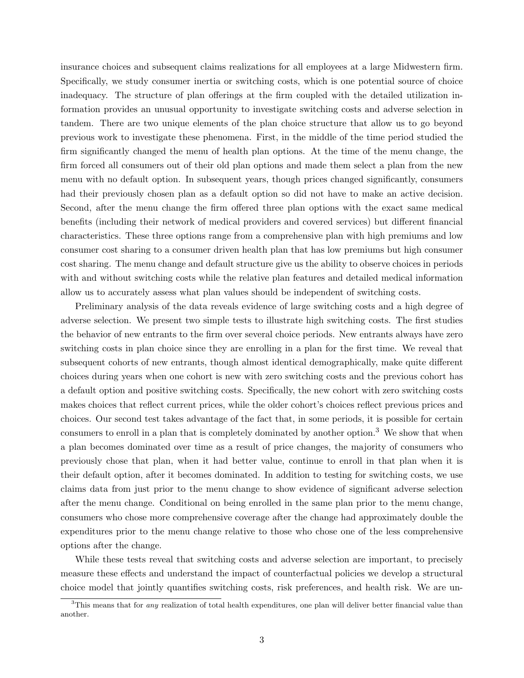insurance choices and subsequent claims realizations for all employees at a large Midwestern firm. Specifically, we study consumer inertia or switching costs, which is one potential source of choice inadequacy. The structure of plan offerings at the firm coupled with the detailed utilization information provides an unusual opportunity to investigate switching costs and adverse selection in tandem. There are two unique elements of the plan choice structure that allow us to go beyond previous work to investigate these phenomena. First, in the middle of the time period studied the firm significantly changed the menu of health plan options. At the time of the menu change, the firm forced all consumers out of their old plan options and made them select a plan from the new menu with no default option. In subsequent years, though prices changed significantly, consumers had their previously chosen plan as a default option so did not have to make an active decision. Second, after the menu change the firm offered three plan options with the exact same medical benefits (including their network of medical providers and covered services) but different financial characteristics. These three options range from a comprehensive plan with high premiums and low consumer cost sharing to a consumer driven health plan that has low premiums but high consumer cost sharing. The menu change and default structure give us the ability to observe choices in periods with and without switching costs while the relative plan features and detailed medical information allow us to accurately assess what plan values should be independent of switching costs.

Preliminary analysis of the data reveals evidence of large switching costs and a high degree of adverse selection. We present two simple tests to illustrate high switching costs. The first studies the behavior of new entrants to the firm over several choice periods. New entrants always have zero switching costs in plan choice since they are enrolling in a plan for the first time. We reveal that subsequent cohorts of new entrants, though almost identical demographically, make quite different choices during years when one cohort is new with zero switching costs and the previous cohort has a default option and positive switching costs. Specifically, the new cohort with zero switching costs makes choices that reflect current prices, while the older cohort's choices reflect previous prices and choices. Our second test takes advantage of the fact that, in some periods, it is possible for certain consumers to enroll in a plan that is completely dominated by another option.<sup>3</sup> We show that when a plan becomes dominated over time as a result of price changes, the majority of consumers who previously chose that plan, when it had better value, continue to enroll in that plan when it is their default option, after it becomes dominated. In addition to testing for switching costs, we use claims data from just prior to the menu change to show evidence of significant adverse selection after the menu change. Conditional on being enrolled in the same plan prior to the menu change, consumers who chose more comprehensive coverage after the change had approximately double the expenditures prior to the menu change relative to those who chose one of the less comprehensive options after the change.

While these tests reveal that switching costs and adverse selection are important, to precisely measure these effects and understand the impact of counterfactual policies we develop a structural choice model that jointly quantifies switching costs, risk preferences, and health risk. We are un-

 $3$ This means that for *any* realization of total health expenditures, one plan will deliver better financial value than another.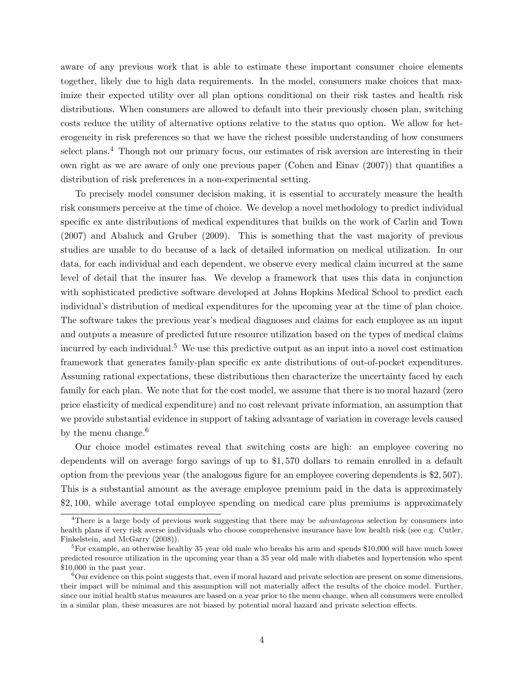aware of any previous work that is able to estimate these important consumer choice elements together, likely due to high data requirements. In the model, consumers make choices that maximize their expected utility over all plan options conditional on their risk tastes and health risk distributions. When consumers are allowed to default into their previously chosen plan, switching costs reduce the utility of alternative options relative to the status quo option. We allow for heterogeneity in risk preferences so that we have the richest possible understanding of how consumers select plans.<sup>4</sup> Though not our primary focus, our estimates of risk aversion are interesting in their own right as we are aware of only one previous paper (Cohen and Einav (2007)) that quantifies a distribution of risk preferences in a non-experimental setting.

To precisely model consumer decision making, it is essential to accurately measure the health risk consumers perceive at the time of choice. We develop a novel methodology to predict individual specific ex ante distributions of medical expenditures that builds on the work of Carlin and Town (2007) and Abaluck and Gruber (2009). This is something that the vast majority of previous studies are unable to do because of a lack of detailed information on medical utilization. In our data, for each individual and each dependent, we observe every medical claim incurred at the same level of detail that the insurer has. We develop a framework that uses this data in conjunction with sophisticated predictive software developed at Johns Hopkins Medical School to predict each individual's distribution of medical expenditures for the upcoming year at the time of plan choice. The software takes the previous year's medical diagnoses and claims for each employee as an input and outputs a measure of predicted future resource utilization based on the types of medical claims incurred by each individual.<sup>5</sup> We use this predictive output as an input into a novel cost estimation framework that generates family-plan specific ex ante distributions of out-of-pocket expenditures. Assuming rational expectations, these distributions then characterize the uncertainty faced by each family for each plan. We note that for the cost model, we assume that there is no moral hazard (zero price elasticity of medical expenditure) and no cost relevant private information, an assumption that we provide substantial evidence in support of taking advantage of variation in coverage levels caused by the menu change.<sup>6</sup>

Our choice model estimates reveal that switching costs are high: an employee covering no dependents will on average forgo savings of up to \$1, 570 dollars to remain enrolled in a default option from the previous year (the analogous figure for an employee covering dependents is \$2, 507). This is a substantial amount as the average employee premium paid in the data is approximately \$2, 100, while average total employee spending on medical care plus premiums is approximately

<sup>&</sup>lt;sup>4</sup>There is a large body of previous work suggesting that there may be *advantageous* selection by consumers into health plans if very risk averse individuals who choose comprehensive insurance have low health risk (see e.g. Cutler, Finkelstein, and McGarry (2008)).

<sup>&</sup>lt;sup>5</sup>For example, an otherwise healthy 35 year old male who breaks his arm and spends \$10,000 will have much lower predicted resource utilization in the upcoming year than a 35 year old male with diabetes and hypertension who spent \$10,000 in the past year.

 ${}^{6}$ Our evidence on this point suggests that, even if moral hazard and private selection are present on some dimensions, their impact will be minimal and this assumption will not materially affect the results of the choice model. Further, since our initial health status measures are based on a year prior to the menu change, when all consumers were enrolled in a similar plan, these measures are not biased by potential moral hazard and private selection effects.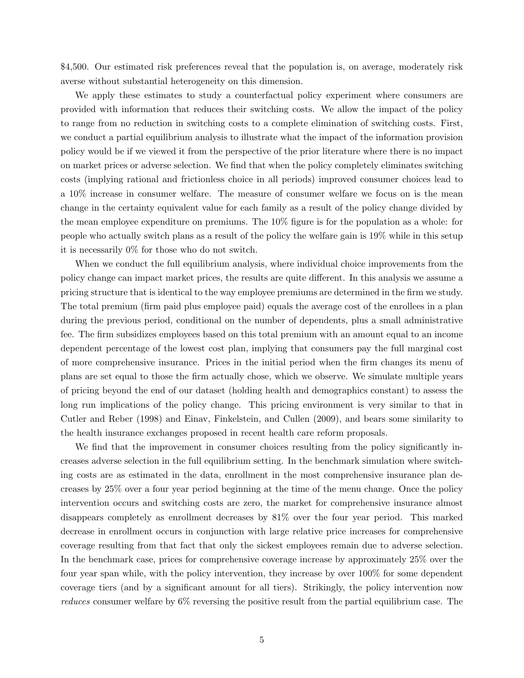\$4,500. Our estimated risk preferences reveal that the population is, on average, moderately risk averse without substantial heterogeneity on this dimension.

We apply these estimates to study a counterfactual policy experiment where consumers are provided with information that reduces their switching costs. We allow the impact of the policy to range from no reduction in switching costs to a complete elimination of switching costs. First, we conduct a partial equilibrium analysis to illustrate what the impact of the information provision policy would be if we viewed it from the perspective of the prior literature where there is no impact on market prices or adverse selection. We find that when the policy completely eliminates switching costs (implying rational and frictionless choice in all periods) improved consumer choices lead to a 10% increase in consumer welfare. The measure of consumer welfare we focus on is the mean change in the certainty equivalent value for each family as a result of the policy change divided by the mean employee expenditure on premiums. The 10% figure is for the population as a whole: for people who actually switch plans as a result of the policy the welfare gain is 19% while in this setup it is necessarily 0% for those who do not switch.

When we conduct the full equilibrium analysis, where individual choice improvements from the policy change can impact market prices, the results are quite different. In this analysis we assume a pricing structure that is identical to the way employee premiums are determined in the firm we study. The total premium (firm paid plus employee paid) equals the average cost of the enrollees in a plan during the previous period, conditional on the number of dependents, plus a small administrative fee. The firm subsidizes employees based on this total premium with an amount equal to an income dependent percentage of the lowest cost plan, implying that consumers pay the full marginal cost of more comprehensive insurance. Prices in the initial period when the firm changes its menu of plans are set equal to those the firm actually chose, which we observe. We simulate multiple years of pricing beyond the end of our dataset (holding health and demographics constant) to assess the long run implications of the policy change. This pricing environment is very similar to that in Cutler and Reber (1998) and Einav, Finkelstein, and Cullen (2009), and bears some similarity to the health insurance exchanges proposed in recent health care reform proposals.

We find that the improvement in consumer choices resulting from the policy significantly increases adverse selection in the full equilibrium setting. In the benchmark simulation where switching costs are as estimated in the data, enrollment in the most comprehensive insurance plan decreases by 25% over a four year period beginning at the time of the menu change. Once the policy intervention occurs and switching costs are zero, the market for comprehensive insurance almost disappears completely as enrollment decreases by 81% over the four year period. This marked decrease in enrollment occurs in conjunction with large relative price increases for comprehensive coverage resulting from that fact that only the sickest employees remain due to adverse selection. In the benchmark case, prices for comprehensive coverage increase by approximately 25% over the four year span while, with the policy intervention, they increase by over 100% for some dependent coverage tiers (and by a significant amount for all tiers). Strikingly, the policy intervention now reduces consumer welfare by 6% reversing the positive result from the partial equilibrium case. The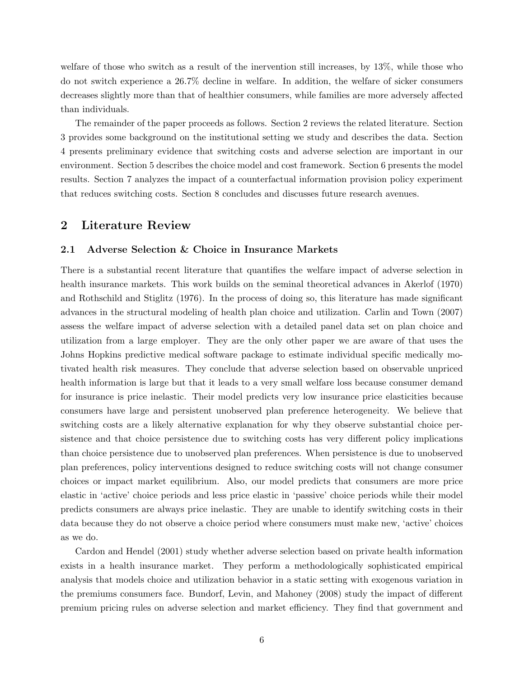welfare of those who switch as a result of the inervention still increases, by 13%, while those who do not switch experience a 26.7% decline in welfare. In addition, the welfare of sicker consumers decreases slightly more than that of healthier consumers, while families are more adversely affected than individuals.

The remainder of the paper proceeds as follows. Section 2 reviews the related literature. Section 3 provides some background on the institutional setting we study and describes the data. Section 4 presents preliminary evidence that switching costs and adverse selection are important in our environment. Section 5 describes the choice model and cost framework. Section 6 presents the model results. Section 7 analyzes the impact of a counterfactual information provision policy experiment that reduces switching costs. Section 8 concludes and discusses future research avenues.

# 2 Literature Review

# 2.1 Adverse Selection & Choice in Insurance Markets

There is a substantial recent literature that quantifies the welfare impact of adverse selection in health insurance markets. This work builds on the seminal theoretical advances in Akerlof (1970) and Rothschild and Stiglitz (1976). In the process of doing so, this literature has made significant advances in the structural modeling of health plan choice and utilization. Carlin and Town (2007) assess the welfare impact of adverse selection with a detailed panel data set on plan choice and utilization from a large employer. They are the only other paper we are aware of that uses the Johns Hopkins predictive medical software package to estimate individual specific medically motivated health risk measures. They conclude that adverse selection based on observable unpriced health information is large but that it leads to a very small welfare loss because consumer demand for insurance is price inelastic. Their model predicts very low insurance price elasticities because consumers have large and persistent unobserved plan preference heterogeneity. We believe that switching costs are a likely alternative explanation for why they observe substantial choice persistence and that choice persistence due to switching costs has very different policy implications than choice persistence due to unobserved plan preferences. When persistence is due to unobserved plan preferences, policy interventions designed to reduce switching costs will not change consumer choices or impact market equilibrium. Also, our model predicts that consumers are more price elastic in 'active' choice periods and less price elastic in 'passive' choice periods while their model predicts consumers are always price inelastic. They are unable to identify switching costs in their data because they do not observe a choice period where consumers must make new, 'active' choices as we do.

Cardon and Hendel (2001) study whether adverse selection based on private health information exists in a health insurance market. They perform a methodologically sophisticated empirical analysis that models choice and utilization behavior in a static setting with exogenous variation in the premiums consumers face. Bundorf, Levin, and Mahoney (2008) study the impact of different premium pricing rules on adverse selection and market efficiency. They find that government and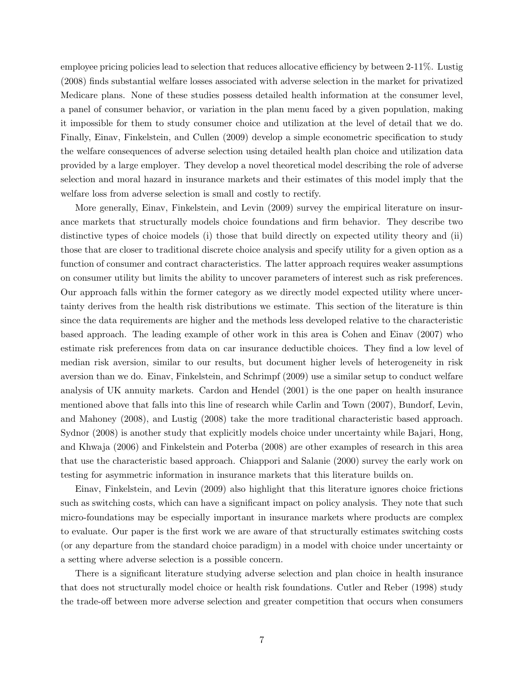employee pricing policies lead to selection that reduces allocative efficiency by between 2-11%. Lustig (2008) finds substantial welfare losses associated with adverse selection in the market for privatized Medicare plans. None of these studies possess detailed health information at the consumer level, a panel of consumer behavior, or variation in the plan menu faced by a given population, making it impossible for them to study consumer choice and utilization at the level of detail that we do. Finally, Einav, Finkelstein, and Cullen (2009) develop a simple econometric specification to study the welfare consequences of adverse selection using detailed health plan choice and utilization data provided by a large employer. They develop a novel theoretical model describing the role of adverse selection and moral hazard in insurance markets and their estimates of this model imply that the welfare loss from adverse selection is small and costly to rectify.

More generally, Einav, Finkelstein, and Levin (2009) survey the empirical literature on insurance markets that structurally models choice foundations and firm behavior. They describe two distinctive types of choice models (i) those that build directly on expected utility theory and (ii) those that are closer to traditional discrete choice analysis and specify utility for a given option as a function of consumer and contract characteristics. The latter approach requires weaker assumptions on consumer utility but limits the ability to uncover parameters of interest such as risk preferences. Our approach falls within the former category as we directly model expected utility where uncertainty derives from the health risk distributions we estimate. This section of the literature is thin since the data requirements are higher and the methods less developed relative to the characteristic based approach. The leading example of other work in this area is Cohen and Einav (2007) who estimate risk preferences from data on car insurance deductible choices. They find a low level of median risk aversion, similar to our results, but document higher levels of heterogeneity in risk aversion than we do. Einav, Finkelstein, and Schrimpf (2009) use a similar setup to conduct welfare analysis of UK annuity markets. Cardon and Hendel (2001) is the one paper on health insurance mentioned above that falls into this line of research while Carlin and Town (2007), Bundorf, Levin, and Mahoney (2008), and Lustig (2008) take the more traditional characteristic based approach. Sydnor (2008) is another study that explicitly models choice under uncertainty while Bajari, Hong, and Khwaja (2006) and Finkelstein and Poterba (2008) are other examples of research in this area that use the characteristic based approach. Chiappori and Salanie (2000) survey the early work on testing for asymmetric information in insurance markets that this literature builds on.

Einav, Finkelstein, and Levin (2009) also highlight that this literature ignores choice frictions such as switching costs, which can have a significant impact on policy analysis. They note that such micro-foundations may be especially important in insurance markets where products are complex to evaluate. Our paper is the first work we are aware of that structurally estimates switching costs (or any departure from the standard choice paradigm) in a model with choice under uncertainty or a setting where adverse selection is a possible concern.

There is a significant literature studying adverse selection and plan choice in health insurance that does not structurally model choice or health risk foundations. Cutler and Reber (1998) study the trade-off between more adverse selection and greater competition that occurs when consumers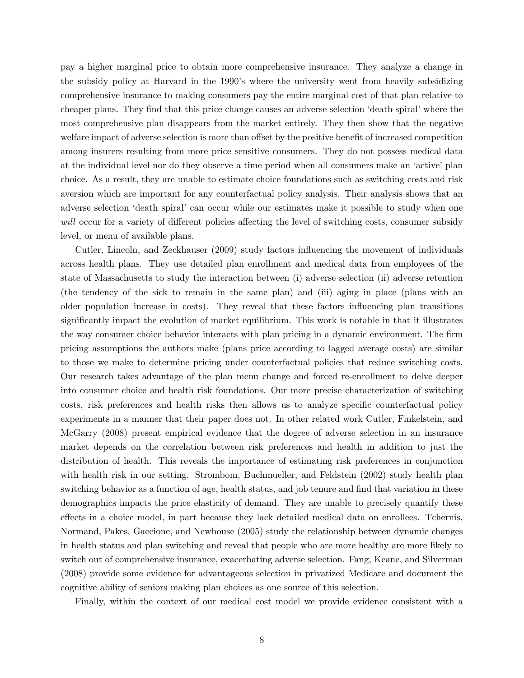pay a higher marginal price to obtain more comprehensive insurance. They analyze a change in the subsidy policy at Harvard in the 1990's where the university went from heavily subsidizing comprehensive insurance to making consumers pay the entire marginal cost of that plan relative to cheaper plans. They find that this price change causes an adverse selection 'death spiral' where the most comprehensive plan disappears from the market entirely. They then show that the negative welfare impact of adverse selection is more than offset by the positive benefit of increased competition among insurers resulting from more price sensitive consumers. They do not possess medical data at the individual level nor do they observe a time period when all consumers make an 'active' plan choice. As a result, they are unable to estimate choice foundations such as switching costs and risk aversion which are important for any counterfactual policy analysis. Their analysis shows that an adverse selection 'death spiral' can occur while our estimates make it possible to study when one will occur for a variety of different policies affecting the level of switching costs, consumer subsidy level, or menu of available plans.

Cutler, Lincoln, and Zeckhauser (2009) study factors influencing the movement of individuals across health plans. They use detailed plan enrollment and medical data from employees of the state of Massachusetts to study the interaction between (i) adverse selection (ii) adverse retention (the tendency of the sick to remain in the same plan) and (iii) aging in place (plans with an older population increase in costs). They reveal that these factors influencing plan transitions significantly impact the evolution of market equilibrium. This work is notable in that it illustrates the way consumer choice behavior interacts with plan pricing in a dynamic environment. The firm pricing assumptions the authors make (plans price according to lagged average costs) are similar to those we make to determine pricing under counterfactual policies that reduce switching costs. Our research takes advantage of the plan menu change and forced re-enrollment to delve deeper into consumer choice and health risk foundations. Our more precise characterization of switching costs, risk preferences and health risks then allows us to analyze specific counterfactual policy experiments in a manner that their paper does not. In other related work Cutler, Finkelstein, and McGarry (2008) present empirical evidence that the degree of adverse selection in an insurance market depends on the correlation between risk preferences and health in addition to just the distribution of health. This reveals the importance of estimating risk preferences in conjunction with health risk in our setting. Strombom, Buchmueller, and Feldstein (2002) study health plan switching behavior as a function of age, health status, and job tenure and find that variation in these demographics impacts the price elasticity of demand. They are unable to precisely quantify these effects in a choice model, in part because they lack detailed medical data on enrollees. Tchernis, Normand, Pakes, Gaccione, and Newhouse (2005) study the relationship between dynamic changes in health status and plan switching and reveal that people who are more healthy are more likely to switch out of comprehensive insurance, exacerbating adverse selection. Fang, Keane, and Silverman (2008) provide some evidence for advantageous selection in privatized Medicare and document the cognitive ability of seniors making plan choices as one source of this selection.

Finally, within the context of our medical cost model we provide evidence consistent with a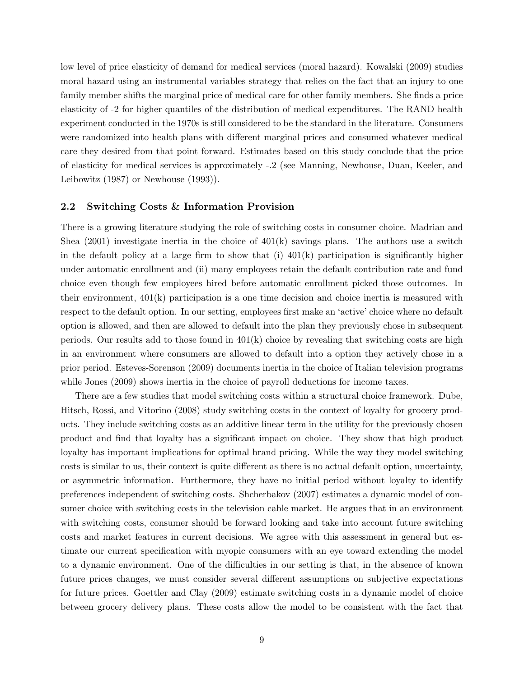low level of price elasticity of demand for medical services (moral hazard). Kowalski (2009) studies moral hazard using an instrumental variables strategy that relies on the fact that an injury to one family member shifts the marginal price of medical care for other family members. She finds a price elasticity of -2 for higher quantiles of the distribution of medical expenditures. The RAND health experiment conducted in the 1970s is still considered to be the standard in the literature. Consumers were randomized into health plans with different marginal prices and consumed whatever medical care they desired from that point forward. Estimates based on this study conclude that the price of elasticity for medical services is approximately -.2 (see Manning, Newhouse, Duan, Keeler, and Leibowitz (1987) or Newhouse (1993)).

### 2.2 Switching Costs & Information Provision

There is a growing literature studying the role of switching costs in consumer choice. Madrian and Shea  $(2001)$  investigate inertia in the choice of  $401(k)$  savings plans. The authors use a switch in the default policy at a large firm to show that (i)  $401(k)$  participation is significantly higher under automatic enrollment and (ii) many employees retain the default contribution rate and fund choice even though few employees hired before automatic enrollment picked those outcomes. In their environment, 401(k) participation is a one time decision and choice inertia is measured with respect to the default option. In our setting, employees first make an 'active' choice where no default option is allowed, and then are allowed to default into the plan they previously chose in subsequent periods. Our results add to those found in  $401(k)$  choice by revealing that switching costs are high in an environment where consumers are allowed to default into a option they actively chose in a prior period. Esteves-Sorenson (2009) documents inertia in the choice of Italian television programs while Jones (2009) shows inertia in the choice of payroll deductions for income taxes.

There are a few studies that model switching costs within a structural choice framework. Dube, Hitsch, Rossi, and Vitorino (2008) study switching costs in the context of loyalty for grocery products. They include switching costs as an additive linear term in the utility for the previously chosen product and find that loyalty has a significant impact on choice. They show that high product loyalty has important implications for optimal brand pricing. While the way they model switching costs is similar to us, their context is quite different as there is no actual default option, uncertainty, or asymmetric information. Furthermore, they have no initial period without loyalty to identify preferences independent of switching costs. Shcherbakov (2007) estimates a dynamic model of consumer choice with switching costs in the television cable market. He argues that in an environment with switching costs, consumer should be forward looking and take into account future switching costs and market features in current decisions. We agree with this assessment in general but estimate our current specification with myopic consumers with an eye toward extending the model to a dynamic environment. One of the difficulties in our setting is that, in the absence of known future prices changes, we must consider several different assumptions on subjective expectations for future prices. Goettler and Clay (2009) estimate switching costs in a dynamic model of choice between grocery delivery plans. These costs allow the model to be consistent with the fact that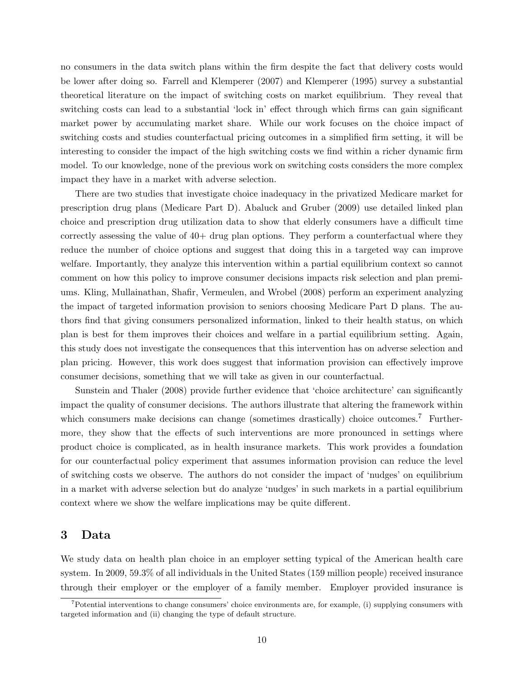no consumers in the data switch plans within the firm despite the fact that delivery costs would be lower after doing so. Farrell and Klemperer (2007) and Klemperer (1995) survey a substantial theoretical literature on the impact of switching costs on market equilibrium. They reveal that switching costs can lead to a substantial 'lock in' effect through which firms can gain significant market power by accumulating market share. While our work focuses on the choice impact of switching costs and studies counterfactual pricing outcomes in a simplified firm setting, it will be interesting to consider the impact of the high switching costs we find within a richer dynamic firm model. To our knowledge, none of the previous work on switching costs considers the more complex impact they have in a market with adverse selection.

There are two studies that investigate choice inadequacy in the privatized Medicare market for prescription drug plans (Medicare Part D). Abaluck and Gruber (2009) use detailed linked plan choice and prescription drug utilization data to show that elderly consumers have a difficult time correctly assessing the value of 40+ drug plan options. They perform a counterfactual where they reduce the number of choice options and suggest that doing this in a targeted way can improve welfare. Importantly, they analyze this intervention within a partial equilibrium context so cannot comment on how this policy to improve consumer decisions impacts risk selection and plan premiums. Kling, Mullainathan, Shafir, Vermeulen, and Wrobel (2008) perform an experiment analyzing the impact of targeted information provision to seniors choosing Medicare Part D plans. The authors find that giving consumers personalized information, linked to their health status, on which plan is best for them improves their choices and welfare in a partial equilibrium setting. Again, this study does not investigate the consequences that this intervention has on adverse selection and plan pricing. However, this work does suggest that information provision can effectively improve consumer decisions, something that we will take as given in our counterfactual.

Sunstein and Thaler (2008) provide further evidence that 'choice architecture' can significantly impact the quality of consumer decisions. The authors illustrate that altering the framework within which consumers make decisions can change (sometimes drastically) choice outcomes.<sup>7</sup> Furthermore, they show that the effects of such interventions are more pronounced in settings where product choice is complicated, as in health insurance markets. This work provides a foundation for our counterfactual policy experiment that assumes information provision can reduce the level of switching costs we observe. The authors do not consider the impact of 'nudges' on equilibrium in a market with adverse selection but do analyze 'nudges' in such markets in a partial equilibrium context where we show the welfare implications may be quite different.

# 3 Data

We study data on health plan choice in an employer setting typical of the American health care system. In 2009, 59.3% of all individuals in the United States (159 million people) received insurance through their employer or the employer of a family member. Employer provided insurance is

 $<sup>7</sup>$ Potential interventions to change consumers' choice environments are, for example, (i) supplying consumers with</sup> targeted information and (ii) changing the type of default structure.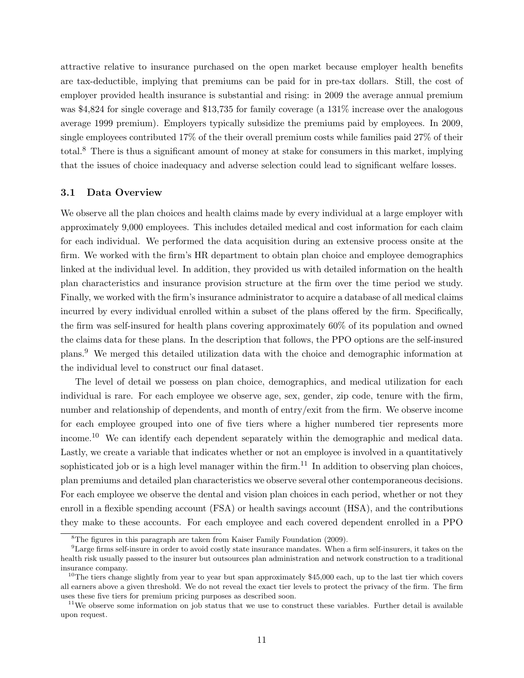attractive relative to insurance purchased on the open market because employer health benefits are tax-deductible, implying that premiums can be paid for in pre-tax dollars. Still, the cost of employer provided health insurance is substantial and rising: in 2009 the average annual premium was \$4,824 for single coverage and \$13,735 for family coverage (a 131% increase over the analogous average 1999 premium). Employers typically subsidize the premiums paid by employees. In 2009, single employees contributed 17% of the their overall premium costs while families paid 27% of their total.<sup>8</sup> There is thus a significant amount of money at stake for consumers in this market, implying that the issues of choice inadequacy and adverse selection could lead to significant welfare losses.

### 3.1 Data Overview

We observe all the plan choices and health claims made by every individual at a large employer with approximately 9,000 employees. This includes detailed medical and cost information for each claim for each individual. We performed the data acquisition during an extensive process onsite at the firm. We worked with the firm's HR department to obtain plan choice and employee demographics linked at the individual level. In addition, they provided us with detailed information on the health plan characteristics and insurance provision structure at the firm over the time period we study. Finally, we worked with the firm's insurance administrator to acquire a database of all medical claims incurred by every individual enrolled within a subset of the plans offered by the firm. Specifically, the firm was self-insured for health plans covering approximately 60% of its population and owned the claims data for these plans. In the description that follows, the PPO options are the self-insured plans.<sup>9</sup> We merged this detailed utilization data with the choice and demographic information at the individual level to construct our final dataset.

The level of detail we possess on plan choice, demographics, and medical utilization for each individual is rare. For each employee we observe age, sex, gender, zip code, tenure with the firm, number and relationship of dependents, and month of entry/exit from the firm. We observe income for each employee grouped into one of five tiers where a higher numbered tier represents more income.<sup>10</sup> We can identify each dependent separately within the demographic and medical data. Lastly, we create a variable that indicates whether or not an employee is involved in a quantitatively sophisticated job or is a high level manager within the firm.<sup>11</sup> In addition to observing plan choices, plan premiums and detailed plan characteristics we observe several other contemporaneous decisions. For each employee we observe the dental and vision plan choices in each period, whether or not they enroll in a flexible spending account (FSA) or health savings account (HSA), and the contributions they make to these accounts. For each employee and each covered dependent enrolled in a PPO

<sup>8</sup>The figures in this paragraph are taken from Kaiser Family Foundation (2009).

<sup>9</sup>Large firms self-insure in order to avoid costly state insurance mandates. When a firm self-insurers, it takes on the health risk usually passed to the insurer but outsources plan administration and network construction to a traditional insurance company.

<sup>&</sup>lt;sup>10</sup>The tiers change slightly from year to year but span approximately  $$45,000$  each, up to the last tier which covers all earners above a given threshold. We do not reveal the exact tier levels to protect the privacy of the firm. The firm uses these five tiers for premium pricing purposes as described soon.

 $11$ We observe some information on job status that we use to construct these variables. Further detail is available upon request.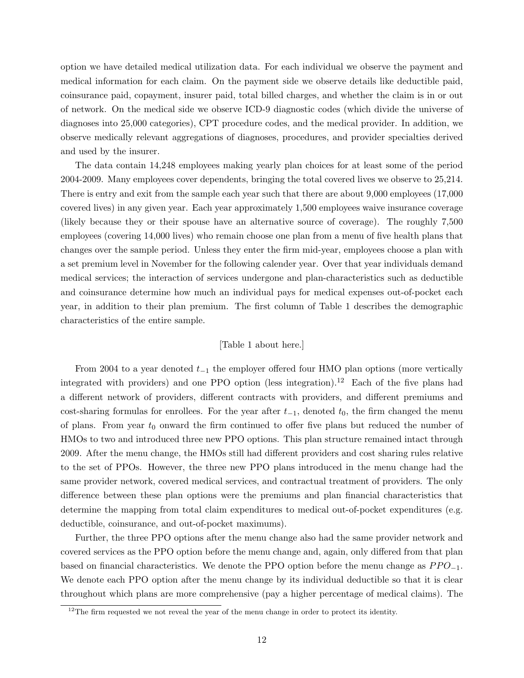option we have detailed medical utilization data. For each individual we observe the payment and medical information for each claim. On the payment side we observe details like deductible paid, coinsurance paid, copayment, insurer paid, total billed charges, and whether the claim is in or out of network. On the medical side we observe ICD-9 diagnostic codes (which divide the universe of diagnoses into 25,000 categories), CPT procedure codes, and the medical provider. In addition, we observe medically relevant aggregations of diagnoses, procedures, and provider specialties derived and used by the insurer.

The data contain 14,248 employees making yearly plan choices for at least some of the period 2004-2009. Many employees cover dependents, bringing the total covered lives we observe to 25,214. There is entry and exit from the sample each year such that there are about 9,000 employees (17,000 covered lives) in any given year. Each year approximately 1,500 employees waive insurance coverage (likely because they or their spouse have an alternative source of coverage). The roughly 7,500 employees (covering 14,000 lives) who remain choose one plan from a menu of five health plans that changes over the sample period. Unless they enter the firm mid-year, employees choose a plan with a set premium level in November for the following calender year. Over that year individuals demand medical services; the interaction of services undergone and plan-characteristics such as deductible and coinsurance determine how much an individual pays for medical expenses out-of-pocket each year, in addition to their plan premium. The first column of Table 1 describes the demographic characteristics of the entire sample.

# [Table 1 about here.]

From 2004 to a year denoted  $t_{-1}$  the employer offered four HMO plan options (more vertically integrated with providers) and one PPO option (less integration).<sup>12</sup> Each of the five plans had a different network of providers, different contracts with providers, and different premiums and cost-sharing formulas for enrollees. For the year after  $t_{-1}$ , denoted  $t_0$ , the firm changed the menu of plans. From year  $t_0$  onward the firm continued to offer five plans but reduced the number of HMOs to two and introduced three new PPO options. This plan structure remained intact through 2009. After the menu change, the HMOs still had different providers and cost sharing rules relative to the set of PPOs. However, the three new PPO plans introduced in the menu change had the same provider network, covered medical services, and contractual treatment of providers. The only difference between these plan options were the premiums and plan financial characteristics that determine the mapping from total claim expenditures to medical out-of-pocket expenditures (e.g. deductible, coinsurance, and out-of-pocket maximums).

Further, the three PPO options after the menu change also had the same provider network and covered services as the PPO option before the menu change and, again, only differed from that plan based on financial characteristics. We denote the PPO option before the menu change as  $PPO_{-1}$ . We denote each PPO option after the menu change by its individual deductible so that it is clear throughout which plans are more comprehensive (pay a higher percentage of medical claims). The

 $12$ The firm requested we not reveal the year of the menu change in order to protect its identity.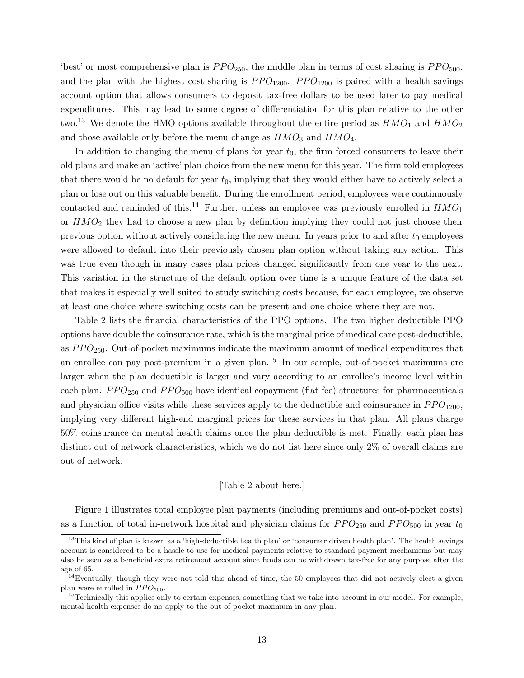'best' or most comprehensive plan is  $PPO_{250}$ , the middle plan in terms of cost sharing is  $PPO_{500}$ , and the plan with the highest cost sharing is  $PPO_{1200}$ .  $PPO_{1200}$  is paired with a health savings account option that allows consumers to deposit tax-free dollars to be used later to pay medical expenditures. This may lead to some degree of differentiation for this plan relative to the other two.<sup>13</sup> We denote the HMO options available throughout the entire period as  $HMO<sub>1</sub>$  and  $HMO<sub>2</sub>$ and those available only before the menu change as  $HMO<sub>3</sub>$  and  $HMO<sub>4</sub>$ .

In addition to changing the menu of plans for year  $t_0$ , the firm forced consumers to leave their old plans and make an 'active' plan choice from the new menu for this year. The firm told employees that there would be no default for year  $t_0$ , implying that they would either have to actively select a plan or lose out on this valuable benefit. During the enrollment period, employees were continuously contacted and reminded of this.<sup>14</sup> Further, unless an employee was previously enrolled in  $HMO<sub>1</sub>$ or  $HMO<sub>2</sub>$  they had to choose a new plan by definition implying they could not just choose their previous option without actively considering the new menu. In years prior to and after  $t_0$  employees were allowed to default into their previously chosen plan option without taking any action. This was true even though in many cases plan prices changed significantly from one year to the next. This variation in the structure of the default option over time is a unique feature of the data set that makes it especially well suited to study switching costs because, for each employee, we observe at least one choice where switching costs can be present and one choice where they are not.

Table 2 lists the financial characteristics of the PPO options. The two higher deductible PPO options have double the coinsurance rate, which is the marginal price of medical care post-deductible, as  $PPO_{250}$ . Out-of-pocket maximums indicate the maximum amount of medical expenditures that an enrollee can pay post-premium in a given plan.<sup>15</sup> In our sample, out-of-pocket maximums are larger when the plan deductible is larger and vary according to an enrollee's income level within each plan.  $PPO<sub>250</sub>$  and  $PPO<sub>500</sub>$  have identical copayment (flat fee) structures for pharmaceuticals and physician office visits while these services apply to the deductible and coinsurance in  $PPO_{1200}$ , implying very different high-end marginal prices for these services in that plan. All plans charge 50% coinsurance on mental health claims once the plan deductible is met. Finally, each plan has distinct out of network characteristics, which we do not list here since only 2% of overall claims are out of network.

#### [Table 2 about here.]

Figure 1 illustrates total employee plan payments (including premiums and out-of-pocket costs) as a function of total in-network hospital and physician claims for  $PPO_{250}$  and  $PPO_{500}$  in year  $t_0$ 

<sup>&</sup>lt;sup>13</sup>This kind of plan is known as a 'high-deductible health plan' or 'consumer driven health plan'. The health savings account is considered to be a hassle to use for medical payments relative to standard payment mechanisms but may also be seen as a beneficial extra retirement account since funds can be withdrawn tax-free for any purpose after the age of 65.

 $14$ Eventually, though they were not told this ahead of time, the 50 employees that did not actively elect a given plan were enrolled in  $PPO<sub>500</sub>$ .

 $15$ Technically this applies only to certain expenses, something that we take into account in our model. For example, mental health expenses do no apply to the out-of-pocket maximum in any plan.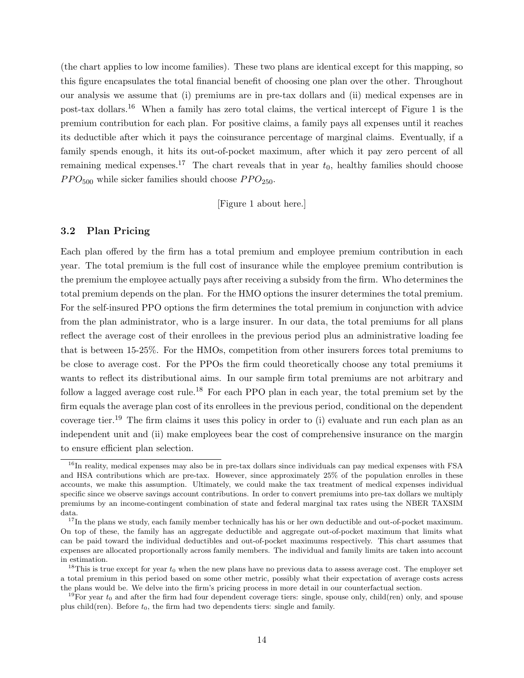(the chart applies to low income families). These two plans are identical except for this mapping, so this figure encapsulates the total financial benefit of choosing one plan over the other. Throughout our analysis we assume that (i) premiums are in pre-tax dollars and (ii) medical expenses are in post-tax dollars.<sup>16</sup> When a family has zero total claims, the vertical intercept of Figure 1 is the premium contribution for each plan. For positive claims, a family pays all expenses until it reaches its deductible after which it pays the coinsurance percentage of marginal claims. Eventually, if a family spends enough, it hits its out-of-pocket maximum, after which it pay zero percent of all remaining medical expenses.<sup>17</sup> The chart reveals that in year  $t_0$ , healthy families should choose  $PPO<sub>500</sub>$  while sicker families should choose  $PPO<sub>250</sub>$ .

[Figure 1 about here.]

# 3.2 Plan Pricing

Each plan offered by the firm has a total premium and employee premium contribution in each year. The total premium is the full cost of insurance while the employee premium contribution is the premium the employee actually pays after receiving a subsidy from the firm. Who determines the total premium depends on the plan. For the HMO options the insurer determines the total premium. For the self-insured PPO options the firm determines the total premium in conjunction with advice from the plan administrator, who is a large insurer. In our data, the total premiums for all plans reflect the average cost of their enrollees in the previous period plus an administrative loading fee that is between 15-25%. For the HMOs, competition from other insurers forces total premiums to be close to average cost. For the PPOs the firm could theoretically choose any total premiums it wants to reflect its distributional aims. In our sample firm total premiums are not arbitrary and follow a lagged average cost rule.<sup>18</sup> For each PPO plan in each year, the total premium set by the firm equals the average plan cost of its enrollees in the previous period, conditional on the dependent coverage tier.<sup>19</sup> The firm claims it uses this policy in order to (i) evaluate and run each plan as an independent unit and (ii) make employees bear the cost of comprehensive insurance on the margin to ensure efficient plan selection.

 $16$ In reality, medical expenses may also be in pre-tax dollars since individuals can pay medical expenses with FSA and HSA contributions which are pre-tax. However, since approximately 25% of the population enrolles in these accounts, we make this assumption. Ultimately, we could make the tax treatment of medical expenses individual specific since we observe savings account contributions. In order to convert premiums into pre-tax dollars we multiply premiums by an income-contingent combination of state and federal marginal tax rates using the NBER TAXSIM data.

 $17$ In the plans we study, each family member technically has his or her own deductible and out-of-pocket maximum. On top of these, the family has an aggregate deductible and aggregate out-of-pocket maximum that limits what can be paid toward the individual deductibles and out-of-pocket maximums respectively. This chart assumes that expenses are allocated proportionally across family members. The individual and family limits are taken into account in estimation.

<sup>&</sup>lt;sup>18</sup>This is true except for year  $t_0$  when the new plans have no previous data to assess average cost. The employer set a total premium in this period based on some other metric, possibly what their expectation of average costs acress the plans would be. We delve into the firm's pricing process in more detail in our counterfactual section.

<sup>&</sup>lt;sup>19</sup>For year  $t_0$  and after the firm had four dependent coverage tiers: single, spouse only, child(ren) only, and spouse plus child(ren). Before  $t_0$ , the firm had two dependents tiers: single and family.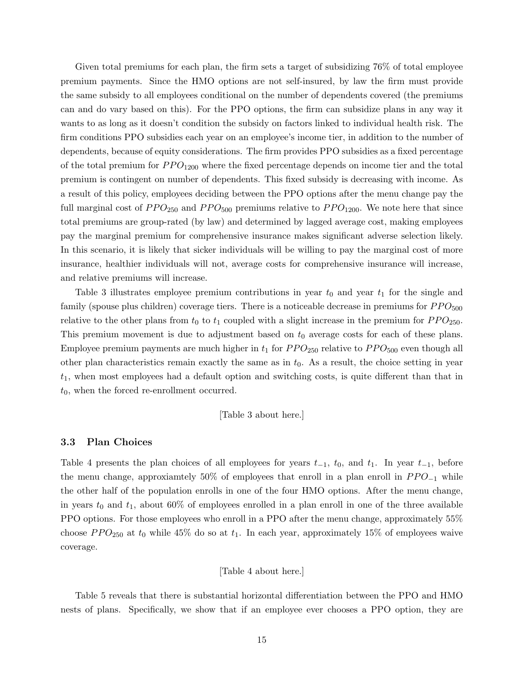Given total premiums for each plan, the firm sets a target of subsidizing 76% of total employee premium payments. Since the HMO options are not self-insured, by law the firm must provide the same subsidy to all employees conditional on the number of dependents covered (the premiums can and do vary based on this). For the PPO options, the firm can subsidize plans in any way it wants to as long as it doesn't condition the subsidy on factors linked to individual health risk. The firm conditions PPO subsidies each year on an employee's income tier, in addition to the number of dependents, because of equity considerations. The firm provides PPO subsidies as a fixed percentage of the total premium for  $PPO_{1200}$  where the fixed percentage depends on income tier and the total premium is contingent on number of dependents. This fixed subsidy is decreasing with income. As a result of this policy, employees deciding between the PPO options after the menu change pay the full marginal cost of  $PPO_{250}$  and  $PPO_{500}$  premiums relative to  $PPO_{1200}$ . We note here that since total premiums are group-rated (by law) and determined by lagged average cost, making employees pay the marginal premium for comprehensive insurance makes significant adverse selection likely. In this scenario, it is likely that sicker individuals will be willing to pay the marginal cost of more insurance, healthier individuals will not, average costs for comprehensive insurance will increase, and relative premiums will increase.

Table 3 illustrates employee premium contributions in year  $t_0$  and year  $t_1$  for the single and family (spouse plus children) coverage tiers. There is a noticeable decrease in premiums for  $PPO<sub>500</sub>$ relative to the other plans from  $t_0$  to  $t_1$  coupled with a slight increase in the premium for  $PPO_{250}$ . This premium movement is due to adjustment based on  $t_0$  average costs for each of these plans. Employee premium payments are much higher in  $t_1$  for  $PPO_{250}$  relative to  $PPO_{500}$  even though all other plan characteristics remain exactly the same as in  $t_0$ . As a result, the choice setting in year  $t_1$ , when most employees had a default option and switching costs, is quite different than that in  $t_0$ , when the forced re-enrollment occurred.

[Table 3 about here.]

### 3.3 Plan Choices

Table 4 presents the plan choices of all employees for years  $t_{-1}$ ,  $t_0$ , and  $t_1$ . In year  $t_{-1}$ , before the menu change, approxiamtely 50% of employees that enroll in a plan enroll in  $PPO_{-1}$  while the other half of the population enrolls in one of the four HMO options. After the menu change, in years  $t_0$  and  $t_1$ , about 60% of employees enrolled in a plan enroll in one of the three available PPO options. For those employees who enroll in a PPO after the menu change, approximately 55% choose  $PPO_{250}$  at  $t_0$  while 45% do so at  $t_1$ . In each year, approximately 15% of employees waive coverage.

### [Table 4 about here.]

Table 5 reveals that there is substantial horizontal differentiation between the PPO and HMO nests of plans. Specifically, we show that if an employee ever chooses a PPO option, they are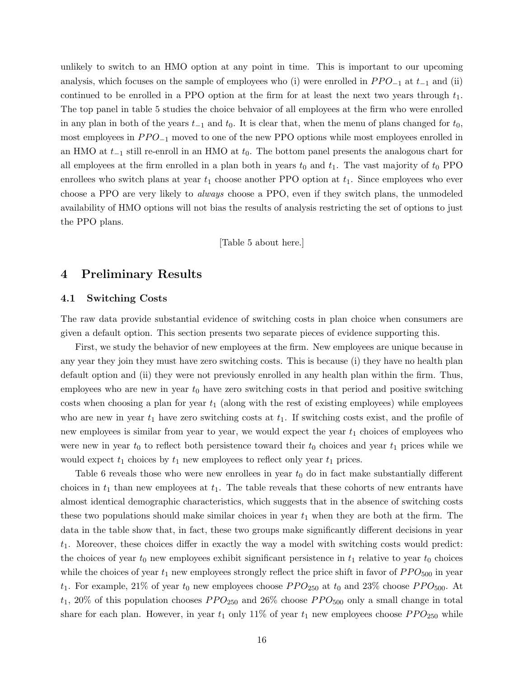unlikely to switch to an HMO option at any point in time. This is important to our upcoming analysis, which focuses on the sample of employees who (i) were enrolled in  $PPO_{-1}$  at  $t_{-1}$  and (ii) continued to be enrolled in a PPO option at the firm for at least the next two years through  $t_1$ . The top panel in table 5 studies the choice behvaior of all employees at the firm who were enrolled in any plan in both of the years  $t_{-1}$  and  $t_0$ . It is clear that, when the menu of plans changed for  $t_0$ , most employees in  $PPO_{-1}$  moved to one of the new PPO options while most employees enrolled in an HMO at  $t_{-1}$  still re-enroll in an HMO at  $t_0$ . The bottom panel presents the analogous chart for all employees at the firm enrolled in a plan both in years  $t_0$  and  $t_1$ . The vast majority of  $t_0$  PPO enrollees who switch plans at year  $t_1$  choose another PPO option at  $t_1$ . Since employees who ever choose a PPO are very likely to *always* choose a PPO, even if they switch plans, the unmodeled availability of HMO options will not bias the results of analysis restricting the set of options to just the PPO plans.

[Table 5 about here.]

# 4 Preliminary Results

# 4.1 Switching Costs

The raw data provide substantial evidence of switching costs in plan choice when consumers are given a default option. This section presents two separate pieces of evidence supporting this.

First, we study the behavior of new employees at the firm. New employees are unique because in any year they join they must have zero switching costs. This is because (i) they have no health plan default option and (ii) they were not previously enrolled in any health plan within the firm. Thus, employees who are new in year  $t_0$  have zero switching costs in that period and positive switching costs when choosing a plan for year  $t_1$  (along with the rest of existing employees) while employees who are new in year  $t_1$  have zero switching costs at  $t_1$ . If switching costs exist, and the profile of new employees is similar from year to year, we would expect the year  $t_1$  choices of employees who were new in year  $t_0$  to reflect both persistence toward their  $t_0$  choices and year  $t_1$  prices while we would expect  $t_1$  choices by  $t_1$  new employees to reflect only year  $t_1$  prices.

Table 6 reveals those who were new enrollees in year  $t_0$  do in fact make substantially different choices in  $t_1$  than new employees at  $t_1$ . The table reveals that these cohorts of new entrants have almost identical demographic characteristics, which suggests that in the absence of switching costs these two populations should make similar choices in year  $t_1$  when they are both at the firm. The data in the table show that, in fact, these two groups make significantly different decisions in year  $t_1$ . Moreover, these choices differ in exactly the way a model with switching costs would predict: the choices of year  $t_0$  new employees exhibit significant persistence in  $t_1$  relative to year  $t_0$  choices while the choices of year  $t_1$  new employees strongly reflect the price shift in favor of  $PPO<sub>500</sub>$  in year  $t_1$ . For example, 21% of year  $t_0$  new employees choose  $PPO_{250}$  at  $t_0$  and 23% choose  $PPO_{500}$ . At  $t_1$ , 20% of this population chooses  $PPO_{250}$  and 26% choose  $PPO_{500}$  only a small change in total share for each plan. However, in year  $t_1$  only 11% of year  $t_1$  new employees choose  $PPO_{250}$  while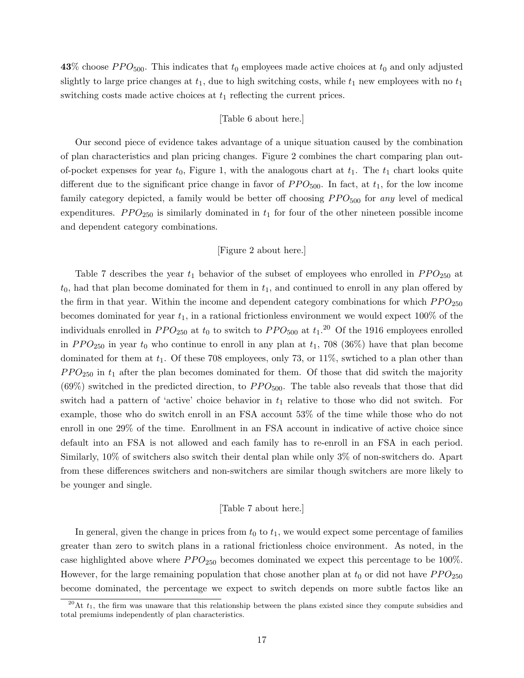43% choose  $PPO<sub>500</sub>$ . This indicates that  $t_0$  employees made active choices at  $t_0$  and only adjusted slightly to large price changes at  $t_1$ , due to high switching costs, while  $t_1$  new employees with no  $t_1$ switching costs made active choices at  $t_1$  reflecting the current prices.

#### [Table 6 about here.]

Our second piece of evidence takes advantage of a unique situation caused by the combination of plan characteristics and plan pricing changes. Figure 2 combines the chart comparing plan outof-pocket expenses for year  $t_0$ , Figure 1, with the analogous chart at  $t_1$ . The  $t_1$  chart looks quite different due to the significant price change in favor of  $PPO<sub>500</sub>$ . In fact, at  $t<sub>1</sub>$ , for the low income family category depicted, a family would be better off choosing  $PPO<sub>500</sub>$  for any level of medical expenditures.  $PPO_{250}$  is similarly dominated in  $t_1$  for four of the other nineteen possible income and dependent category combinations.

# [Figure 2 about here.]

Table 7 describes the year  $t_1$  behavior of the subset of employees who enrolled in  $PPO_{250}$  at  $t_0$ , had that plan become dominated for them in  $t_1$ , and continued to enroll in any plan offered by the firm in that year. Within the income and dependent category combinations for which  $PPO_{250}$ becomes dominated for year  $t_1$ , in a rational frictionless environment we would expect 100% of the individuals enrolled in  $PPO_{250}$  at  $t_0$  to switch to  $PPO_{500}$  at  $t_1$ .<sup>20</sup> Of the 1916 employees enrolled in  $PPO_{250}$  in year  $t_0$  who continue to enroll in any plan at  $t_1$ , 708 (36%) have that plan become dominated for them at  $t_1$ . Of these 708 employees, only 73, or 11%, swtiched to a plan other than  $PPO<sub>250</sub>$  in  $t<sub>1</sub>$  after the plan becomes dominated for them. Of those that did switch the majority  $(69\%)$  switched in the predicted direction, to  $PPO<sub>500</sub>$ . The table also reveals that those that did switch had a pattern of 'active' choice behavior in  $t_1$  relative to those who did not switch. For example, those who do switch enroll in an FSA account 53% of the time while those who do not enroll in one 29% of the time. Enrollment in an FSA account in indicative of active choice since default into an FSA is not allowed and each family has to re-enroll in an FSA in each period. Similarly, 10% of switchers also switch their dental plan while only 3% of non-switchers do. Apart from these differences switchers and non-switchers are similar though switchers are more likely to be younger and single.

### [Table 7 about here.]

In general, given the change in prices from  $t_0$  to  $t_1$ , we would expect some percentage of families greater than zero to switch plans in a rational frictionless choice environment. As noted, in the case highlighted above where  $PPO_{250}$  becomes dominated we expect this percentage to be 100%. However, for the large remaining population that chose another plan at  $t_0$  or did not have  $PPO_{250}$ become dominated, the percentage we expect to switch depends on more subtle factos like an

<sup>&</sup>lt;sup>20</sup>At  $t_1$ , the firm was unaware that this relationship between the plans existed since they compute subsidies and total premiums independently of plan characteristics.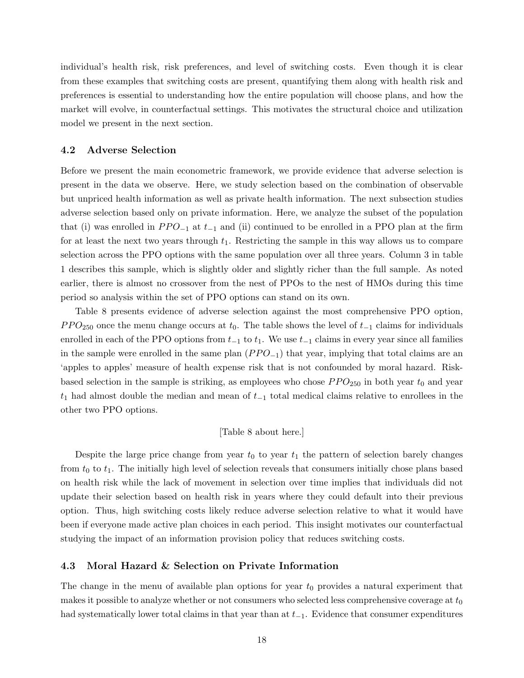individual's health risk, risk preferences, and level of switching costs. Even though it is clear from these examples that switching costs are present, quantifying them along with health risk and preferences is essential to understanding how the entire population will choose plans, and how the market will evolve, in counterfactual settings. This motivates the structural choice and utilization model we present in the next section.

### 4.2 Adverse Selection

Before we present the main econometric framework, we provide evidence that adverse selection is present in the data we observe. Here, we study selection based on the combination of observable but unpriced health information as well as private health information. The next subsection studies adverse selection based only on private information. Here, we analyze the subset of the population that (i) was enrolled in  $PPO_{-1}$  at  $t_{-1}$  and (ii) continued to be enrolled in a PPO plan at the firm for at least the next two years through  $t_1$ . Restricting the sample in this way allows us to compare selection across the PPO options with the same population over all three years. Column 3 in table 1 describes this sample, which is slightly older and slightly richer than the full sample. As noted earlier, there is almost no crossover from the nest of PPOs to the nest of HMOs during this time period so analysis within the set of PPO options can stand on its own.

Table 8 presents evidence of adverse selection against the most comprehensive PPO option,  $PPO<sub>250</sub>$  once the menu change occurs at  $t<sub>0</sub>$ . The table shows the level of  $t<sub>-1</sub>$  claims for individuals enrolled in each of the PPO options from  $t_{-1}$  to  $t_1$ . We use  $t_{-1}$  claims in every year since all families in the sample were enrolled in the same plan  $(PPO_{-1})$  that year, implying that total claims are an 'apples to apples' measure of health expense risk that is not confounded by moral hazard. Riskbased selection in the sample is striking, as employees who chose  $PPO_{250}$  in both year  $t_0$  and year  $t_1$  had almost double the median and mean of  $t_{-1}$  total medical claims relative to enrollees in the other two PPO options.

### [Table 8 about here.]

Despite the large price change from year  $t_0$  to year  $t_1$  the pattern of selection barely changes from  $t_0$  to  $t_1$ . The initially high level of selection reveals that consumers initially chose plans based on health risk while the lack of movement in selection over time implies that individuals did not update their selection based on health risk in years where they could default into their previous option. Thus, high switching costs likely reduce adverse selection relative to what it would have been if everyone made active plan choices in each period. This insight motivates our counterfactual studying the impact of an information provision policy that reduces switching costs.

### 4.3 Moral Hazard & Selection on Private Information

The change in the menu of available plan options for year  $t_0$  provides a natural experiment that makes it possible to analyze whether or not consumers who selected less comprehensive coverage at  $t_0$ had systematically lower total claims in that year than at  $t_{-1}$ . Evidence that consumer expenditures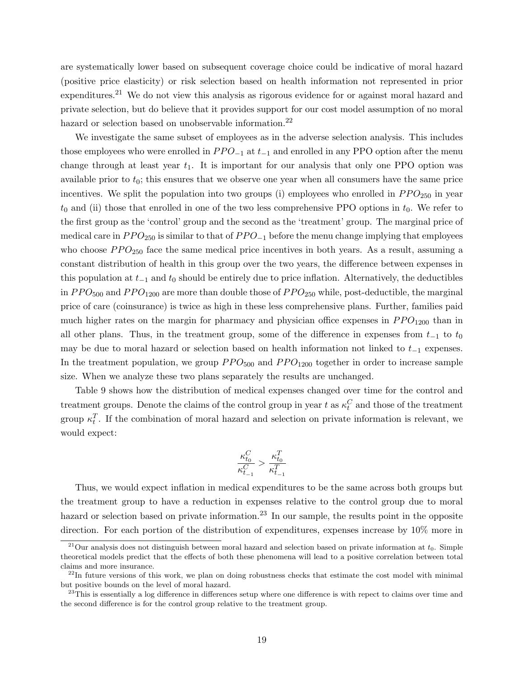are systematically lower based on subsequent coverage choice could be indicative of moral hazard (positive price elasticity) or risk selection based on health information not represented in prior expenditures.<sup>21</sup> We do not view this analysis as rigorous evidence for or against moral hazard and private selection, but do believe that it provides support for our cost model assumption of no moral hazard or selection based on unobservable information.<sup>22</sup>

We investigate the same subset of employees as in the adverse selection analysis. This includes those employees who were enrolled in  $PPO_{-1}$  at  $t_{-1}$  and enrolled in any PPO option after the menu change through at least year  $t_1$ . It is important for our analysis that only one PPO option was available prior to  $t_0$ ; this ensures that we observe one year when all consumers have the same price incentives. We split the population into two groups (i) employees who enrolled in  $PPO_{250}$  in year  $t_0$  and (ii) those that enrolled in one of the two less comprehensive PPO options in  $t_0$ . We refer to the first group as the 'control' group and the second as the 'treatment' group. The marginal price of medical care in  $PPO_{250}$  is similar to that of  $PPO_{-1}$  before the menu change implying that employees who choose  $PPO_{250}$  face the same medical price incentives in both years. As a result, assuming a constant distribution of health in this group over the two years, the difference between expenses in this population at  $t_{-1}$  and  $t_0$  should be entirely due to price inflation. Alternatively, the deductibles in  $PPO<sub>500</sub>$  and  $PPO<sub>1200</sub>$  are more than double those of  $PPO<sub>250</sub>$  while, post-deductible, the marginal price of care (coinsurance) is twice as high in these less comprehensive plans. Further, families paid much higher rates on the margin for pharmacy and physician office expenses in  $PPO<sub>1200</sub>$  than in all other plans. Thus, in the treatment group, some of the difference in expenses from  $t_{-1}$  to  $t_0$ may be due to moral hazard or selection based on health information not linked to  $t_{-1}$  expenses. In the treatment population, we group  $PPO<sub>500</sub>$  and  $PPO<sub>1200</sub>$  together in order to increase sample size. When we analyze these two plans separately the results are unchanged.

Table 9 shows how the distribution of medical expenses changed over time for the control and treatment groups. Denote the claims of the control group in year t as  $\kappa_t^C$  and those of the treatment group  $\kappa_t^T$ . If the combination of moral hazard and selection on private information is relevant, we would expect:

$$
\frac{\kappa_{t_0}^C}{\kappa_{t_{-1}}^C}>\frac{\kappa_{t_0}^T}{\kappa_{t_{-1}}^T}
$$

Thus, we would expect inflation in medical expenditures to be the same across both groups but the treatment group to have a reduction in expenses relative to the control group due to moral hazard or selection based on private information.<sup>23</sup> In our sample, the results point in the opposite direction. For each portion of the distribution of expenditures, expenses increase by 10% more in

 $^{21}$ Our analysis does not distinguish between moral hazard and selection based on private information at  $t_0$ . Simple theoretical models predict that the effects of both these phenomena will lead to a positive correlation between total claims and more insurance.

 $^{22}$ In future versions of this work, we plan on doing robustness checks that estimate the cost model with minimal but positive bounds on the level of moral hazard.

 $^{23}$ This is essentially a log difference in differences setup where one difference is with repect to claims over time and the second difference is for the control group relative to the treatment group.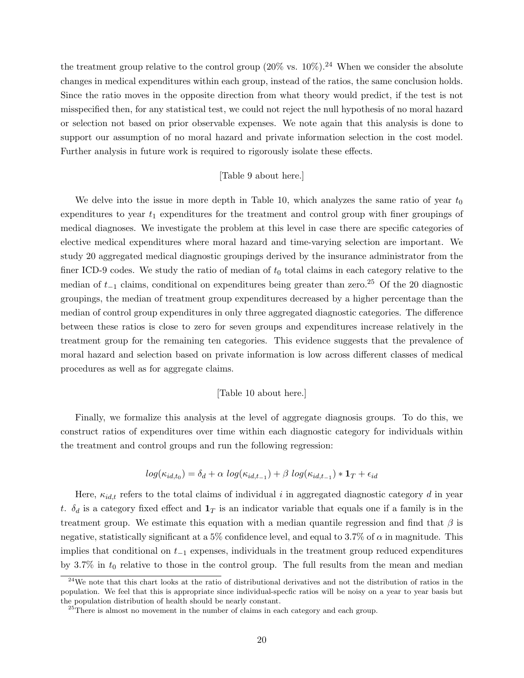the treatment group relative to the control group  $(20\% \text{ vs. } 10\%)$ .<sup>24</sup> When we consider the absolute changes in medical expenditures within each group, instead of the ratios, the same conclusion holds. Since the ratio moves in the opposite direction from what theory would predict, if the test is not misspecified then, for any statistical test, we could not reject the null hypothesis of no moral hazard or selection not based on prior observable expenses. We note again that this analysis is done to support our assumption of no moral hazard and private information selection in the cost model. Further analysis in future work is required to rigorously isolate these effects.

### [Table 9 about here.]

We delve into the issue in more depth in Table 10, which analyzes the same ratio of year  $t_0$ expenditures to year  $t_1$  expenditures for the treatment and control group with finer groupings of medical diagnoses. We investigate the problem at this level in case there are specific categories of elective medical expenditures where moral hazard and time-varying selection are important. We study 20 aggregated medical diagnostic groupings derived by the insurance administrator from the finer ICD-9 codes. We study the ratio of median of  $t_0$  total claims in each category relative to the median of  $t_{-1}$  claims, conditional on expenditures being greater than zero.<sup>25</sup> Of the 20 diagnostic groupings, the median of treatment group expenditures decreased by a higher percentage than the median of control group expenditures in only three aggregated diagnostic categories. The difference between these ratios is close to zero for seven groups and expenditures increase relatively in the treatment group for the remaining ten categories. This evidence suggests that the prevalence of moral hazard and selection based on private information is low across different classes of medical procedures as well as for aggregate claims.

#### [Table 10 about here.]

Finally, we formalize this analysis at the level of aggregate diagnosis groups. To do this, we construct ratios of expenditures over time within each diagnostic category for individuals within the treatment and control groups and run the following regression:

$$
log(\kappa_{id,t_0}) = \delta_d + \alpha \ log(\kappa_{id,t_{-1}}) + \beta \ log(\kappa_{id,t_{-1}}) * \mathbf{1}_T + \epsilon_{id}
$$

Here,  $\kappa_{id,t}$  refers to the total claims of individual i in aggregated diagnostic category d in year t.  $\delta_d$  is a category fixed effect and  $\mathbf{1}_T$  is an indicator variable that equals one if a family is in the treatment group. We estimate this equation with a median quantile regression and find that  $\beta$  is negative, statistically significant at a 5% confidence level, and equal to 3.7% of  $\alpha$  in magnitude. This implies that conditional on  $t_{-1}$  expenses, individuals in the treatment group reduced expenditures by 3.7% in  $t_0$  relative to those in the control group. The full results from the mean and median

<sup>&</sup>lt;sup>24</sup>We note that this chart looks at the ratio of distributional derivatives and not the distribution of ratios in the population. We feel that this is appropriate since individual-specfic ratios will be noisy on a year to year basis but the population distribution of health should be nearly constant.

 $25$ There is almost no movement in the number of claims in each category and each group.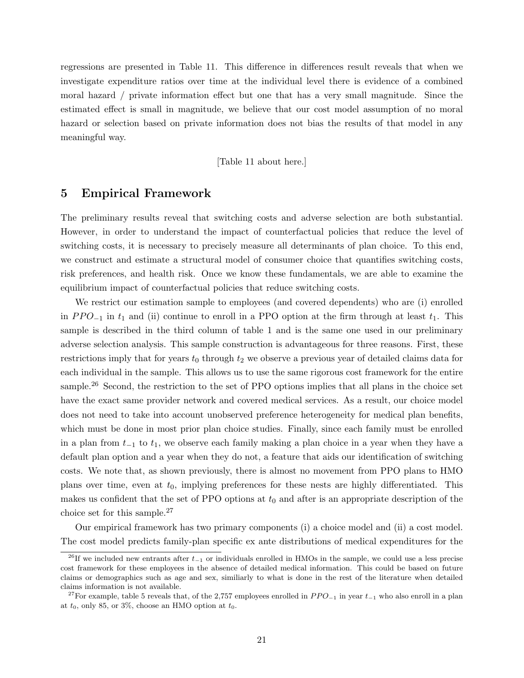regressions are presented in Table 11. This difference in differences result reveals that when we investigate expenditure ratios over time at the individual level there is evidence of a combined moral hazard / private information effect but one that has a very small magnitude. Since the estimated effect is small in magnitude, we believe that our cost model assumption of no moral hazard or selection based on private information does not bias the results of that model in any meaningful way.

#### [Table 11 about here.]

# 5 Empirical Framework

The preliminary results reveal that switching costs and adverse selection are both substantial. However, in order to understand the impact of counterfactual policies that reduce the level of switching costs, it is necessary to precisely measure all determinants of plan choice. To this end, we construct and estimate a structural model of consumer choice that quantifies switching costs, risk preferences, and health risk. Once we know these fundamentals, we are able to examine the equilibrium impact of counterfactual policies that reduce switching costs.

We restrict our estimation sample to employees (and covered dependents) who are (i) enrolled in  $PPO_{-1}$  in  $t_1$  and (ii) continue to enroll in a PPO option at the firm through at least  $t_1$ . This sample is described in the third column of table 1 and is the same one used in our preliminary adverse selection analysis. This sample construction is advantageous for three reasons. First, these restrictions imply that for years  $t_0$  through  $t_2$  we observe a previous year of detailed claims data for each individual in the sample. This allows us to use the same rigorous cost framework for the entire sample.<sup>26</sup> Second, the restriction to the set of PPO options implies that all plans in the choice set have the exact same provider network and covered medical services. As a result, our choice model does not need to take into account unobserved preference heterogeneity for medical plan benefits, which must be done in most prior plan choice studies. Finally, since each family must be enrolled in a plan from  $t_{-1}$  to  $t_1$ , we observe each family making a plan choice in a year when they have a default plan option and a year when they do not, a feature that aids our identification of switching costs. We note that, as shown previously, there is almost no movement from PPO plans to HMO plans over time, even at  $t_0$ , implying preferences for these nests are highly differentiated. This makes us confident that the set of PPO options at  $t_0$  and after is an appropriate description of the choice set for this sample.<sup>27</sup>

Our empirical framework has two primary components (i) a choice model and (ii) a cost model. The cost model predicts family-plan specific ex ante distributions of medical expenditures for the

<sup>&</sup>lt;sup>26</sup>If we included new entrants after  $t_{-1}$  or individuals enrolled in HMOs in the sample, we could use a less precise cost framework for these employees in the absence of detailed medical information. This could be based on future claims or demographics such as age and sex, similiarly to what is done in the rest of the literature when detailed claims information is not available.

<sup>&</sup>lt;sup>27</sup>For example, table 5 reveals that, of the 2,757 employees enrolled in  $PPO_{-1}$  in year  $t_{-1}$  who also enroll in a plan at  $t_0$ , only 85, or 3%, choose an HMO option at  $t_0$ .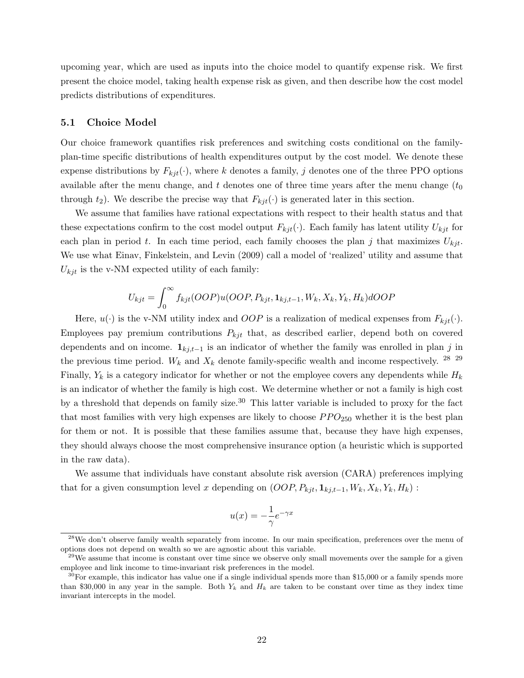upcoming year, which are used as inputs into the choice model to quantify expense risk. We first present the choice model, taking health expense risk as given, and then describe how the cost model predicts distributions of expenditures.

#### 5.1 Choice Model

Our choice framework quantifies risk preferences and switching costs conditional on the familyplan-time specific distributions of health expenditures output by the cost model. We denote these expense distributions by  $F_{kit}(\cdot)$ , where k denotes a family, j denotes one of the three PPO options available after the menu change, and t denotes one of three time years after the menu change  $(t_0)$ through  $t_2$ ). We describe the precise way that  $F_{kj}(t)$  is generated later in this section.

We assume that families have rational expectations with respect to their health status and that these expectations confirm to the cost model output  $F_{kji}(\cdot)$ . Each family has latent utility  $U_{kji}$  for each plan in period t. In each time period, each family chooses the plan j that maximizes  $U_{kji}$ . We use what Einav, Finkelstein, and Levin (2009) call a model of 'realized' utility and assume that  $U_{kjt}$  is the v-NM expected utility of each family:

$$
U_{kjt} = \int_0^\infty f_{kjt}(OOP)u(OOP, P_{kjt}, \mathbf{1}_{k,j,t-1}, W_k, X_k, Y_k, H_k)dOOP
$$

Here,  $u(\cdot)$  is the v-NM utility index and *OOP* is a realization of medical expenses from  $F_{kjt}(\cdot)$ . Employees pay premium contributions  $P_{kjt}$  that, as described earlier, depend both on covered dependents and on income.  $\mathbf{1}_{kj,t-1}$  is an indicator of whether the family was enrolled in plan j in the previous time period.  $W_k$  and  $X_k$  denote family-specific wealth and income respectively. <sup>28</sup> <sup>29</sup> Finally,  $Y_k$  is a category indicator for whether or not the employee covers any dependents while  $H_k$ is an indicator of whether the family is high cost. We determine whether or not a family is high cost by a threshold that depends on family size.<sup>30</sup> This latter variable is included to proxy for the fact that most families with very high expenses are likely to choose  $PPO_{250}$  whether it is the best plan for them or not. It is possible that these families assume that, because they have high expenses, they should always choose the most comprehensive insurance option (a heuristic which is supported in the raw data).

We assume that individuals have constant absolute risk aversion (CARA) preferences implying that for a given consumption level x depending on  $(OOP, P_{kjt}, \mathbf{1}_{kj,t-1}, W_k, X_k, Y_k, H_k)$ :

$$
u(x) = -\frac{1}{\gamma}e^{-\gamma x}
$$

<sup>&</sup>lt;sup>28</sup>We don't observe family wealth separately from income. In our main specification, preferences over the menu of options does not depend on wealth so we are agnostic about this variable.

 $^{29}$ We assume that income is constant over time since we observe only small movements over the sample for a given employee and link income to time-invariant risk preferences in the model.

 $30$ For example, this indicator has value one if a single individual spends more than \$15,000 or a family spends more than \$30,000 in any year in the sample. Both  $Y_k$  and  $H_k$  are taken to be constant over time as they index time invariant intercepts in the model.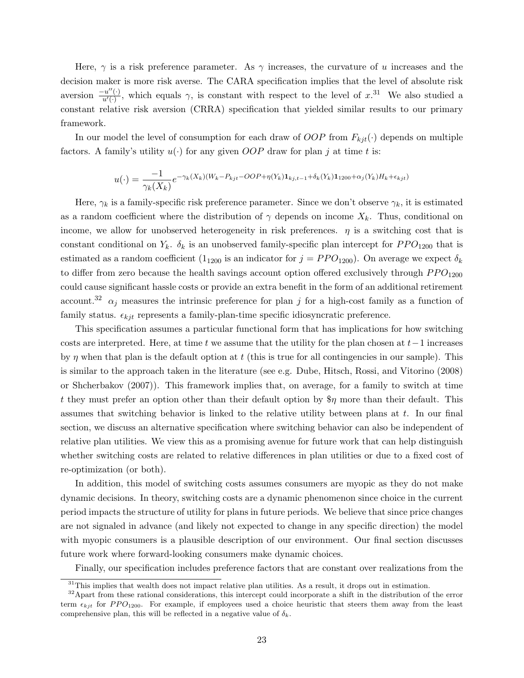Here,  $\gamma$  is a risk preference parameter. As  $\gamma$  increases, the curvature of u increases and the decision maker is more risk averse. The CARA specification implies that the level of absolute risk aversion  $\frac{-u''(\cdot)}{u'(\cdot)}$  $\frac{u''(\cdot)}{u'(\cdot)}$ , which equals  $\gamma$ , is constant with respect to the level of  $x^{31}$ . We also studied a constant relative risk aversion (CRRA) specification that yielded similar results to our primary framework.

In our model the level of consumption for each draw of *OOP* from  $F_{kjt}(\cdot)$  depends on multiple factors. A family's utility  $u(\cdot)$  for any given *OOP* draw for plan j at time t is:

$$
u(\cdot) = \frac{-1}{\gamma_k(X_k)} e^{-\gamma_k(X_k)(W_k - P_{kjt} - OOP + \eta(Y_k)\mathbf{1}_{kj,t-1} + \delta_k(Y_k)\mathbf{1}_{1200} + \alpha_j(Y_k)H_k + \epsilon_{kjt})}
$$

Here,  $\gamma_k$  is a family-specific risk preference parameter. Since we don't observe  $\gamma_k$ , it is estimated as a random coefficient where the distribution of  $\gamma$  depends on income  $X_k$ . Thus, conditional on income, we allow for unobserved heterogeneity in risk preferences.  $\eta$  is a switching cost that is constant conditional on  $Y_k$ .  $\delta_k$  is an unobserved family-specific plan intercept for  $PPO_{1200}$  that is estimated as a random coefficient  $(1_{1200}$  is an indicator for  $j = PPO_{1200}$ . On average we expect  $\delta_k$ to differ from zero because the health savings account option offered exclusively through  $PPO<sub>1200</sub>$ could cause significant hassle costs or provide an extra benefit in the form of an additional retirement account.<sup>32</sup>  $\alpha_j$  measures the intrinsic preference for plan j for a high-cost family as a function of family status.  $\epsilon_{kit}$  represents a family-plan-time specific idiosyncratic preference.

This specification assumes a particular functional form that has implications for how switching costs are interpreted. Here, at time t we assume that the utility for the plan chosen at  $t-1$  increases by  $\eta$  when that plan is the default option at t (this is true for all contingencies in our sample). This is similar to the approach taken in the literature (see e.g. Dube, Hitsch, Rossi, and Vitorino (2008) or Shcherbakov (2007)). This framework implies that, on average, for a family to switch at time t they must prefer an option other than their default option by  $\eta$  more than their default. This assumes that switching behavior is linked to the relative utility between plans at  $t$ . In our final section, we discuss an alternative specification where switching behavior can also be independent of relative plan utilities. We view this as a promising avenue for future work that can help distinguish whether switching costs are related to relative differences in plan utilities or due to a fixed cost of re-optimization (or both).

In addition, this model of switching costs assumes consumers are myopic as they do not make dynamic decisions. In theory, switching costs are a dynamic phenomenon since choice in the current period impacts the structure of utility for plans in future periods. We believe that since price changes are not signaled in advance (and likely not expected to change in any specific direction) the model with myopic consumers is a plausible description of our environment. Our final section discusses future work where forward-looking consumers make dynamic choices.

Finally, our specification includes preference factors that are constant over realizations from the

<sup>&</sup>lt;sup>31</sup>This implies that wealth does not impact relative plan utilities. As a result, it drops out in estimation.

<sup>&</sup>lt;sup>32</sup> Apart from these rational considerations, this intercept could incorporate a shift in the distribution of the error term  $\epsilon_{kjt}$  for PPO<sub>1200</sub>. For example, if employees used a choice heuristic that steers them away from the least comprehensive plan, this will be reflected in a negative value of  $\delta_k$ .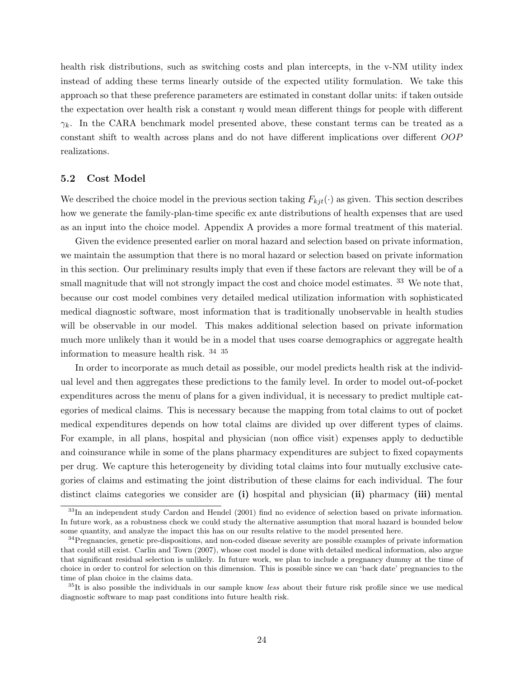health risk distributions, such as switching costs and plan intercepts, in the v-NM utility index instead of adding these terms linearly outside of the expected utility formulation. We take this approach so that these preference parameters are estimated in constant dollar units: if taken outside the expectation over health risk a constant  $\eta$  would mean different things for people with different  $\gamma_k$ . In the CARA benchmark model presented above, these constant terms can be treated as a constant shift to wealth across plans and do not have different implications over different OOP realizations.

#### 5.2 Cost Model

We described the choice model in the previous section taking  $F_{kjt}(\cdot)$  as given. This section describes how we generate the family-plan-time specific ex ante distributions of health expenses that are used as an input into the choice model. Appendix A provides a more formal treatment of this material.

Given the evidence presented earlier on moral hazard and selection based on private information, we maintain the assumption that there is no moral hazard or selection based on private information in this section. Our preliminary results imply that even if these factors are relevant they will be of a small magnitude that will not strongly impact the cost and choice model estimates. <sup>33</sup> We note that, because our cost model combines very detailed medical utilization information with sophisticated medical diagnostic software, most information that is traditionally unobservable in health studies will be observable in our model. This makes additional selection based on private information much more unlikely than it would be in a model that uses coarse demographics or aggregate health information to measure health risk. 34 35

In order to incorporate as much detail as possible, our model predicts health risk at the individual level and then aggregates these predictions to the family level. In order to model out-of-pocket expenditures across the menu of plans for a given individual, it is necessary to predict multiple categories of medical claims. This is necessary because the mapping from total claims to out of pocket medical expenditures depends on how total claims are divided up over different types of claims. For example, in all plans, hospital and physician (non office visit) expenses apply to deductible and coinsurance while in some of the plans pharmacy expenditures are subject to fixed copayments per drug. We capture this heterogeneity by dividing total claims into four mutually exclusive categories of claims and estimating the joint distribution of these claims for each individual. The four distinct claims categories we consider are (i) hospital and physician (ii) pharmacy (iii) mental

<sup>33</sup>In an independent study Cardon and Hendel (2001) find no evidence of selection based on private information. In future work, as a robustness check we could study the alternative assumption that moral hazard is bounded below some quantity, and analyze the impact this has on our results relative to the model presented here.

<sup>&</sup>lt;sup>34</sup>Pregnancies, genetic pre-dispositions, and non-coded disease severity are possible examples of private information that could still exist. Carlin and Town (2007), whose cost model is done with detailed medical information, also argue that significant residual selection is unlikely. In future work, we plan to include a pregnancy dummy at the time of choice in order to control for selection on this dimension. This is possible since we can 'back date' pregnancies to the time of plan choice in the claims data.

<sup>&</sup>lt;sup>35</sup>It is also possible the individuals in our sample know *less* about their future risk profile since we use medical diagnostic software to map past conditions into future health risk.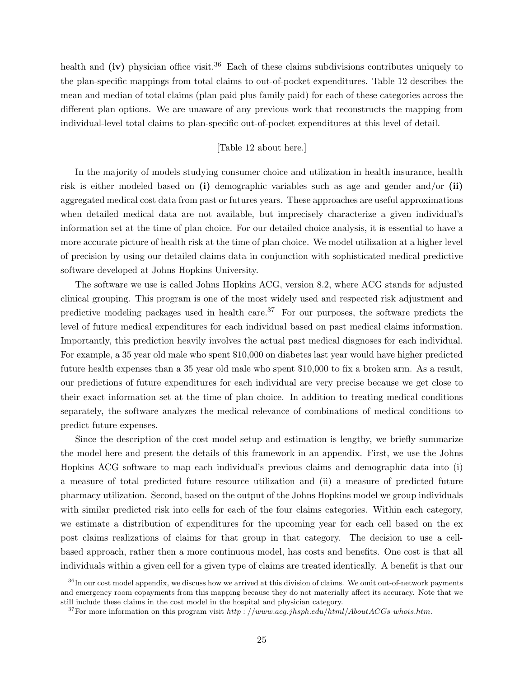health and (iv) physician office visit.<sup>36</sup> Each of these claims subdivisions contributes uniquely to the plan-specific mappings from total claims to out-of-pocket expenditures. Table 12 describes the mean and median of total claims (plan paid plus family paid) for each of these categories across the different plan options. We are unaware of any previous work that reconstructs the mapping from individual-level total claims to plan-specific out-of-pocket expenditures at this level of detail.

# [Table 12 about here.]

In the majority of models studying consumer choice and utilization in health insurance, health risk is either modeled based on  $(i)$  demographic variables such as age and gender and/or  $(ii)$ aggregated medical cost data from past or futures years. These approaches are useful approximations when detailed medical data are not available, but imprecisely characterize a given individual's information set at the time of plan choice. For our detailed choice analysis, it is essential to have a more accurate picture of health risk at the time of plan choice. We model utilization at a higher level of precision by using our detailed claims data in conjunction with sophisticated medical predictive software developed at Johns Hopkins University.

The software we use is called Johns Hopkins ACG, version 8.2, where ACG stands for adjusted clinical grouping. This program is one of the most widely used and respected risk adjustment and predictive modeling packages used in health care.<sup>37</sup> For our purposes, the software predicts the level of future medical expenditures for each individual based on past medical claims information. Importantly, this prediction heavily involves the actual past medical diagnoses for each individual. For example, a 35 year old male who spent \$10,000 on diabetes last year would have higher predicted future health expenses than a 35 year old male who spent \$10,000 to fix a broken arm. As a result, our predictions of future expenditures for each individual are very precise because we get close to their exact information set at the time of plan choice. In addition to treating medical conditions separately, the software analyzes the medical relevance of combinations of medical conditions to predict future expenses.

Since the description of the cost model setup and estimation is lengthy, we briefly summarize the model here and present the details of this framework in an appendix. First, we use the Johns Hopkins ACG software to map each individual's previous claims and demographic data into (i) a measure of total predicted future resource utilization and (ii) a measure of predicted future pharmacy utilization. Second, based on the output of the Johns Hopkins model we group individuals with similar predicted risk into cells for each of the four claims categories. Within each category, we estimate a distribution of expenditures for the upcoming year for each cell based on the ex post claims realizations of claims for that group in that category. The decision to use a cellbased approach, rather then a more continuous model, has costs and benefits. One cost is that all individuals within a given cell for a given type of claims are treated identically. A benefit is that our

<sup>&</sup>lt;sup>36</sup>In our cost model appendix, we discuss how we arrived at this division of claims. We omit out-of-network payments and emergency room copayments from this mapping because they do not materially affect its accuracy. Note that we still include these claims in the cost model in the hospital and physician category.

<sup>&</sup>lt;sup>37</sup>For more information on this program visit http://www.acg.jhsph.edu/html/AboutACGs\_whois.htm.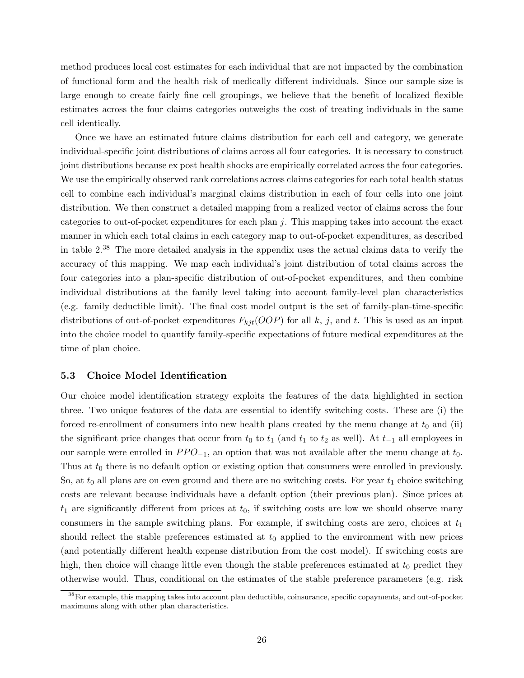method produces local cost estimates for each individual that are not impacted by the combination of functional form and the health risk of medically different individuals. Since our sample size is large enough to create fairly fine cell groupings, we believe that the benefit of localized flexible estimates across the four claims categories outweighs the cost of treating individuals in the same cell identically.

Once we have an estimated future claims distribution for each cell and category, we generate individual-specific joint distributions of claims across all four categories. It is necessary to construct joint distributions because ex post health shocks are empirically correlated across the four categories. We use the empirically observed rank correlations across claims categories for each total health status cell to combine each individual's marginal claims distribution in each of four cells into one joint distribution. We then construct a detailed mapping from a realized vector of claims across the four categories to out-of-pocket expenditures for each plan  $j$ . This mapping takes into account the exact manner in which each total claims in each category map to out-of-pocket expenditures, as described in table 2.<sup>38</sup> The more detailed analysis in the appendix uses the actual claims data to verify the accuracy of this mapping. We map each individual's joint distribution of total claims across the four categories into a plan-specific distribution of out-of-pocket expenditures, and then combine individual distributions at the family level taking into account family-level plan characteristics (e.g. family deductible limit). The final cost model output is the set of family-plan-time-specific distributions of out-of-pocket expenditures  $F_{kji}(OOP)$  for all k, j, and t. This is used as an input into the choice model to quantify family-specific expectations of future medical expenditures at the time of plan choice.

# 5.3 Choice Model Identification

Our choice model identification strategy exploits the features of the data highlighted in section three. Two unique features of the data are essential to identify switching costs. These are (i) the forced re-enrollment of consumers into new health plans created by the menu change at  $t_0$  and (ii) the significant price changes that occur from  $t_0$  to  $t_1$  (and  $t_1$  to  $t_2$  as well). At  $t_{-1}$  all employees in our sample were enrolled in  $PPO_{-1}$ , an option that was not available after the menu change at  $t_0$ . Thus at  $t_0$  there is no default option or existing option that consumers were enrolled in previously. So, at  $t_0$  all plans are on even ground and there are no switching costs. For year  $t_1$  choice switching costs are relevant because individuals have a default option (their previous plan). Since prices at  $t_1$  are significantly different from prices at  $t_0$ , if switching costs are low we should observe many consumers in the sample switching plans. For example, if switching costs are zero, choices at  $t_1$ should reflect the stable preferences estimated at  $t_0$  applied to the environment with new prices (and potentially different health expense distribution from the cost model). If switching costs are high, then choice will change little even though the stable preferences estimated at  $t_0$  predict they otherwise would. Thus, conditional on the estimates of the stable preference parameters (e.g. risk

<sup>38</sup>For example, this mapping takes into account plan deductible, coinsurance, specific copayments, and out-of-pocket maximums along with other plan characteristics.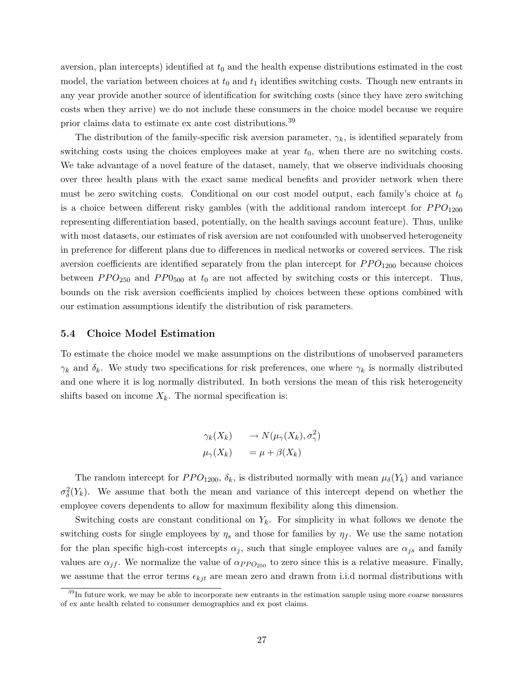aversion, plan intercepts) identified at  $t_0$  and the health expense distributions estimated in the cost model, the variation between choices at  $t_0$  and  $t_1$  identifies switching costs. Though new entrants in any year provide another source of identification for switching costs (since they have zero switching costs when they arrive) we do not include these consumers in the choice model because we require prior claims data to estimate ex ante cost distributions.<sup>39</sup>

The distribution of the family-specific risk aversion parameter,  $\gamma_k$ , is identified separately from switching costs using the choices employees make at year  $t_0$ , when there are no switching costs. We take advantage of a novel feature of the dataset, namely, that we observe individuals choosing over three health plans with the exact same medical benefits and provider network when there must be zero switching costs. Conditional on our cost model output, each family's choice at  $t_0$ is a choice between different risky gambles (with the additional random intercept for  $PPO_{1200}$ representing differentiation based, potentially, on the health savings account feature). Thus, unlike with most datasets, our estimates of risk aversion are not confounded with unobserved heterogeneity in preference for different plans due to differences in medical networks or covered services. The risk aversion coefficients are identified separately from the plan intercept for  $PPO_{1200}$  because choices between  $PPO_{250}$  and  $PPO_{500}$  at  $t_0$  are not affected by switching costs or this intercept. Thus, bounds on the risk aversion coefficients implied by choices between these options combined with our estimation assumptions identify the distribution of risk parameters.

### 5.4 Choice Model Estimation

To estimate the choice model we make assumptions on the distributions of unobserved parameters  $\gamma_k$  and  $\delta_k$ . We study two specifications for risk preferences, one where  $\gamma_k$  is normally distributed and one where it is log normally distributed. In both versions the mean of this risk heterogeneity shifts based on income  $X_k$ . The normal specification is:

$$
\gamma_k(X_k) \longrightarrow N(\mu_\gamma(X_k), \sigma_\gamma^2)
$$
  

$$
\mu_\gamma(X_k) = \mu + \beta(X_k)
$$

The random intercept for  $PPO_{1200}$ ,  $\delta_k$ , is distributed normally with mean  $\mu_{\delta}(Y_k)$  and variance  $\sigma_{\delta}^2(Y_k)$ . We assume that both the mean and variance of this intercept depend on whether the employee covers dependents to allow for maximum flexibility along this dimension.

Switching costs are constant conditional on  $Y_k$ . For simplicity in what follows we denote the switching costs for single employees by  $\eta_s$  and those for families by  $\eta_f$ . We use the same notation for the plan specific high-cost intercepts  $\alpha_j$ , such that single employee values are  $\alpha_{js}$  and family values are  $\alpha_{jf}$ . We normalize the value of  $\alpha_{PPO_{250}}$  to zero since this is a relative measure. Finally, we assume that the error terms  $\epsilon_{kjt}$  are mean zero and drawn from i.i.d normal distributions with

<sup>&</sup>lt;sup>39</sup>In future work, we may be able to incorporate new entrants in the estimation sample using more coarse measures of ex ante health related to consumer demographics and ex post claims.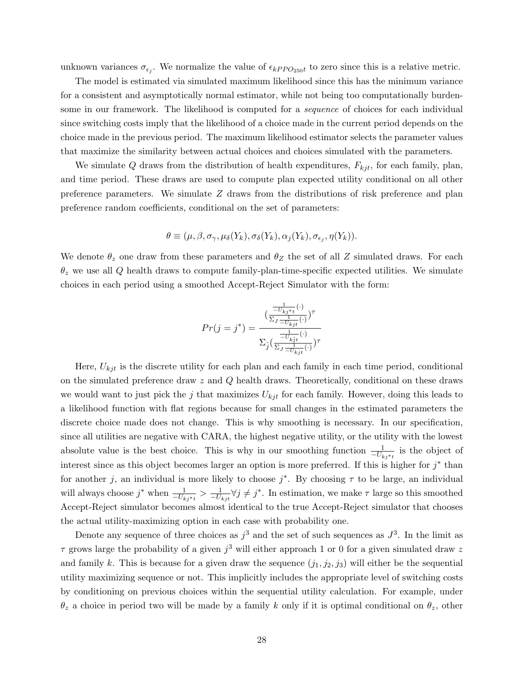unknown variances  $\sigma_{\epsilon_j}$ . We normalize the value of  $\epsilon_{kPPO_{250}t}$  to zero since this is a relative metric.

The model is estimated via simulated maximum likelihood since this has the minimum variance for a consistent and asymptotically normal estimator, while not being too computationally burdensome in our framework. The likelihood is computed for a *sequence* of choices for each individual since switching costs imply that the likelihood of a choice made in the current period depends on the choice made in the previous period. The maximum likelihood estimator selects the parameter values that maximize the similarity between actual choices and choices simulated with the parameters.

We simulate Q draws from the distribution of health expenditures,  $F_{kjt}$ , for each family, plan, and time period. These draws are used to compute plan expected utility conditional on all other preference parameters. We simulate  $Z$  draws from the distributions of risk preference and plan preference random coefficients, conditional on the set of parameters:

$$
\theta \equiv (\mu, \beta, \sigma_{\gamma}, \mu_{\delta}(Y_k), \sigma_{\delta}(Y_k), \alpha_j(Y_k), \sigma_{\epsilon_j}, \eta(Y_k)).
$$

We denote  $\theta_z$  one draw from these parameters and  $\theta_Z$  the set of all Z simulated draws. For each  $\theta_z$  we use all Q health draws to compute family-plan-time-specific expected utilities. We simulate choices in each period using a smoothed Accept-Reject Simulator with the form:

$$
Pr(j=j^*) = \frac{(\frac{-\overline{U_{kj}}*t}{\Sigma_J - \overline{U_{kj}}t}(\cdot))^\tau}{\Sigma_{\hat{j}}(\frac{\frac{1}{-\overline{U_{kj}}(\cdot)}}{\Sigma_J - \overline{U_{kj}}t}(\cdot))^\tau}
$$

Here,  $U_{kjt}$  is the discrete utility for each plan and each family in each time period, conditional on the simulated preference draw  $z$  and  $Q$  health draws. Theoretically, conditional on these draws we would want to just pick the j that maximizes  $U_{kjt}$  for each family. However, doing this leads to a likelihood function with flat regions because for small changes in the estimated parameters the discrete choice made does not change. This is why smoothing is necessary. In our specification, since all utilities are negative with CARA, the highest negative utility, or the utility with the lowest absolute value is the best choice. This is why in our smoothing function  $\frac{1}{-U_{kj^*t}}$  is the object of interest since as this object becomes larger an option is more preferred. If this is higher for  $j^*$  than for another j, an individual is more likely to choose  $j^*$ . By choosing  $\tau$  to be large, an individual will always choose  $j^*$  when  $\frac{1}{-U_{kj^*t}} > \frac{1}{-U_{kj^*}} \forall j \neq j^*$ . In estimation, we make  $\tau$  large so this smoothed Accept-Reject simulator becomes almost identical to the true Accept-Reject simulator that chooses the actual utility-maximizing option in each case with probability one.

Denote any sequence of three choices as  $j^3$  and the set of such sequences as  $J^3$ . In the limit as  $\tau$  grows large the probability of a given  $j^3$  will either approach 1 or 0 for a given simulated draw z and family k. This is because for a given draw the sequence  $(j_1, j_2, j_3)$  will either be the sequential utility maximizing sequence or not. This implicitly includes the appropriate level of switching costs by conditioning on previous choices within the sequential utility calculation. For example, under  $\theta_z$  a choice in period two will be made by a family k only if it is optimal conditional on  $\theta_z$ , other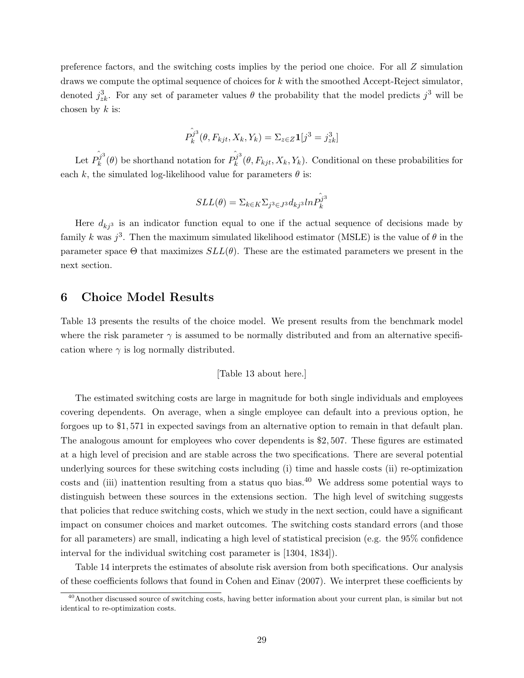preference factors, and the switching costs implies by the period one choice. For all Z simulation draws we compute the optimal sequence of choices for  $k$  with the smoothed Accept-Reject simulator, denoted  $j_{z_k}^3$ . For any set of parameter values  $\theta$  the probability that the model predicts  $j^3$  will be chosen by  $k$  is:

$$
\hat{P_k^{j^3}}(\theta, F_{kjt}, X_k, Y_k) = \Sigma_{z \in Z} \mathbf{1}[j^3 = j_{zk}^3]
$$

Let  $\hat{P_k^{j3}}$  $\hat{h}^j_k^3(\theta)$  be shorthand notation for  $\hat{P_k^j}^3$  $k_k^{\jmath}(\theta, F_{kjt}, X_k, Y_k)$ . Conditional on these probabilities for each k, the simulated log-likelihood value for parameters  $\theta$  is:

$$
SLL(\theta)=\Sigma_{k\in K}\Sigma_{j^3\in J^3}d_{kj^3}ln\hat{P_k^j}^3
$$

Here  $d_{kj^3}$  is an indicator function equal to one if the actual sequence of decisions made by family k was  $j^3$ . Then the maximum simulated likelihood estimator (MSLE) is the value of  $\theta$  in the parameter space  $\Theta$  that maximizes  $SLL(\theta)$ . These are the estimated parameters we present in the next section.

# 6 Choice Model Results

Table 13 presents the results of the choice model. We present results from the benchmark model where the risk parameter  $\gamma$  is assumed to be normally distributed and from an alternative specification where  $\gamma$  is log normally distributed.

#### [Table 13 about here.]

The estimated switching costs are large in magnitude for both single individuals and employees covering dependents. On average, when a single employee can default into a previous option, he forgoes up to \$1, 571 in expected savings from an alternative option to remain in that default plan. The analogous amount for employees who cover dependents is \$2, 507. These figures are estimated at a high level of precision and are stable across the two specifications. There are several potential underlying sources for these switching costs including (i) time and hassle costs (ii) re-optimization costs and (iii) inattention resulting from a status quo bias.<sup>40</sup> We address some potential ways to distinguish between these sources in the extensions section. The high level of switching suggests that policies that reduce switching costs, which we study in the next section, could have a significant impact on consumer choices and market outcomes. The switching costs standard errors (and those for all parameters) are small, indicating a high level of statistical precision (e.g. the 95% confidence interval for the individual switching cost parameter is [1304, 1834]).

Table 14 interprets the estimates of absolute risk aversion from both specifications. Our analysis of these coefficients follows that found in Cohen and Einav (2007). We interpret these coefficients by

<sup>&</sup>lt;sup>40</sup>Another discussed source of switching costs, having better information about your current plan, is similar but not identical to re-optimization costs.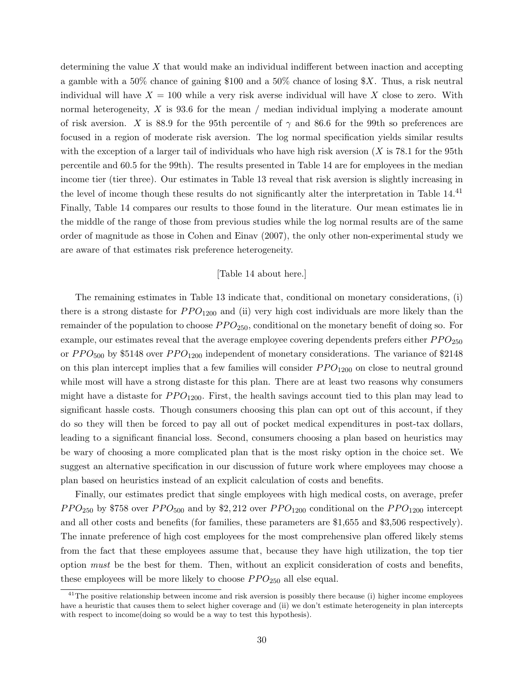determining the value  $X$  that would make an individual indifferent between inaction and accepting a gamble with a 50% chance of gaining \$100 and a 50% chance of losing  $X$ . Thus, a risk neutral individual will have  $X = 100$  while a very risk averse individual will have X close to zero. With normal heterogeneity,  $X$  is 93.6 for the mean / median individual implying a moderate amount of risk aversion. X is 88.9 for the 95th percentile of  $\gamma$  and 86.6 for the 99th so preferences are focused in a region of moderate risk aversion. The log normal specification yields similar results with the exception of a larger tail of individuals who have high risk aversion  $(X \text{ is } 78.1$  for the 95th percentile and 60.5 for the 99th). The results presented in Table 14 are for employees in the median income tier (tier three). Our estimates in Table 13 reveal that risk aversion is slightly increasing in the level of income though these results do not significantly alter the interpretation in Table 14.<sup>41</sup> Finally, Table 14 compares our results to those found in the literature. Our mean estimates lie in the middle of the range of those from previous studies while the log normal results are of the same order of magnitude as those in Cohen and Einav (2007), the only other non-experimental study we are aware of that estimates risk preference heterogeneity.

### [Table 14 about here.]

The remaining estimates in Table 13 indicate that, conditional on monetary considerations, (i) there is a strong distaste for  $PPO_{1200}$  and (ii) very high cost individuals are more likely than the remainder of the population to choose  $PPO<sub>250</sub>$ , conditional on the monetary benefit of doing so. For example, our estimates reveal that the average employee covering dependents prefers either  $PPO_{250}$ or  $PPO<sub>500</sub>$  by \$5148 over  $PPO<sub>1200</sub>$  independent of monetary considerations. The variance of \$2148 on this plan intercept implies that a few families will consider  $PPO_{1200}$  on close to neutral ground while most will have a strong distaste for this plan. There are at least two reasons why consumers might have a distaste for  $PPO_{1200}$ . First, the health savings account tied to this plan may lead to significant hassle costs. Though consumers choosing this plan can opt out of this account, if they do so they will then be forced to pay all out of pocket medical expenditures in post-tax dollars, leading to a significant financial loss. Second, consumers choosing a plan based on heuristics may be wary of choosing a more complicated plan that is the most risky option in the choice set. We suggest an alternative specification in our discussion of future work where employees may choose a plan based on heuristics instead of an explicit calculation of costs and benefits.

Finally, our estimates predict that single employees with high medical costs, on average, prefer  $PPO_{250}$  by \$758 over  $PPO_{500}$  and by \$2, 212 over  $PPO_{1200}$  conditional on the  $PPO_{1200}$  intercept and all other costs and benefits (for families, these parameters are \$1,655 and \$3,506 respectively). The innate preference of high cost employees for the most comprehensive plan offered likely stems from the fact that these employees assume that, because they have high utilization, the top tier option must be the best for them. Then, without an explicit consideration of costs and benefits, these employees will be more likely to choose  $PPO_{250}$  all else equal.

 $41$ The positive relationship between income and risk aversion is possibly there because (i) higher income employees have a heuristic that causes them to select higher coverage and (ii) we don't estimate heterogeneity in plan intercepts with respect to income (doing so would be a way to test this hypothesis).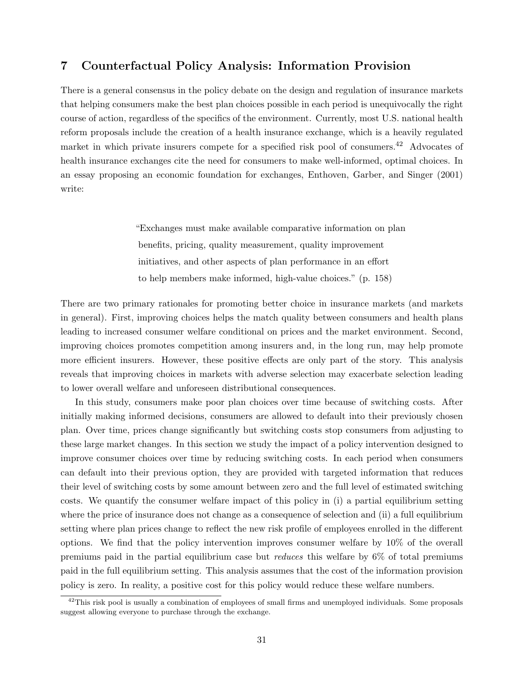# 7 Counterfactual Policy Analysis: Information Provision

There is a general consensus in the policy debate on the design and regulation of insurance markets that helping consumers make the best plan choices possible in each period is unequivocally the right course of action, regardless of the specifics of the environment. Currently, most U.S. national health reform proposals include the creation of a health insurance exchange, which is a heavily regulated market in which private insurers compete for a specified risk pool of consumers.<sup>42</sup> Advocates of health insurance exchanges cite the need for consumers to make well-informed, optimal choices. In an essay proposing an economic foundation for exchanges, Enthoven, Garber, and Singer (2001) write:

> "Exchanges must make available comparative information on plan benefits, pricing, quality measurement, quality improvement initiatives, and other aspects of plan performance in an effort to help members make informed, high-value choices." (p. 158)

There are two primary rationales for promoting better choice in insurance markets (and markets in general). First, improving choices helps the match quality between consumers and health plans leading to increased consumer welfare conditional on prices and the market environment. Second, improving choices promotes competition among insurers and, in the long run, may help promote more efficient insurers. However, these positive effects are only part of the story. This analysis reveals that improving choices in markets with adverse selection may exacerbate selection leading to lower overall welfare and unforeseen distributional consequences.

In this study, consumers make poor plan choices over time because of switching costs. After initially making informed decisions, consumers are allowed to default into their previously chosen plan. Over time, prices change significantly but switching costs stop consumers from adjusting to these large market changes. In this section we study the impact of a policy intervention designed to improve consumer choices over time by reducing switching costs. In each period when consumers can default into their previous option, they are provided with targeted information that reduces their level of switching costs by some amount between zero and the full level of estimated switching costs. We quantify the consumer welfare impact of this policy in (i) a partial equilibrium setting where the price of insurance does not change as a consequence of selection and (ii) a full equilibrium setting where plan prices change to reflect the new risk profile of employees enrolled in the different options. We find that the policy intervention improves consumer welfare by 10% of the overall premiums paid in the partial equilibrium case but reduces this welfare by 6% of total premiums paid in the full equilibrium setting. This analysis assumes that the cost of the information provision policy is zero. In reality, a positive cost for this policy would reduce these welfare numbers.

 $^{42}$ This risk pool is usually a combination of employees of small firms and unemployed individuals. Some proposals suggest allowing everyone to purchase through the exchange.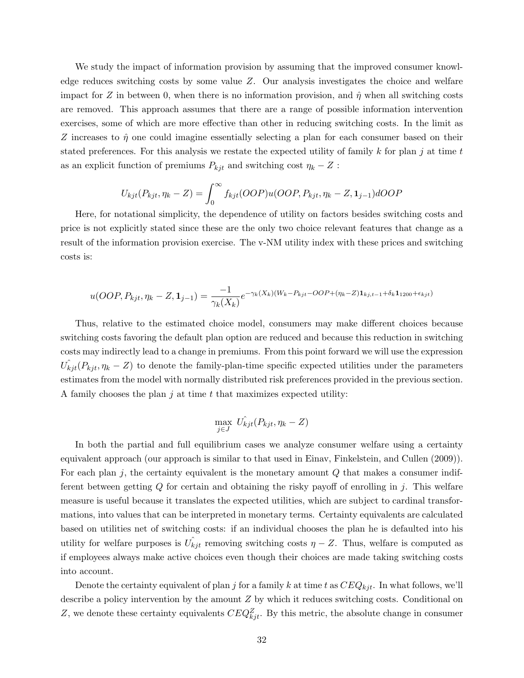We study the impact of information provision by assuming that the improved consumer knowledge reduces switching costs by some value Z. Our analysis investigates the choice and welfare impact for Z in between 0, when there is no information provision, and  $\hat{\eta}$  when all switching costs are removed. This approach assumes that there are a range of possible information intervention exercises, some of which are more effective than other in reducing switching costs. In the limit as Z increases to  $\hat{\eta}$  one could imagine essentially selecting a plan for each consumer based on their stated preferences. For this analysis we restate the expected utility of family k for plan j at time t as an explicit function of premiums  $P_{kjt}$  and switching cost  $\eta_k - Z$ :

$$
U_{kjt}(P_{kjt}, \eta_k - Z) = \int_0^\infty f_{kjt}(OOP)u(OOP, P_{kjt}, \eta_k - Z, \mathbf{1}_{j-1})dOOP
$$

Here, for notational simplicity, the dependence of utility on factors besides switching costs and price is not explicitly stated since these are the only two choice relevant features that change as a result of the information provision exercise. The v-NM utility index with these prices and switching costs is:

$$
u(OOP, P_{kjt}, \eta_k - Z, \mathbf{1}_{j-1}) = \frac{-1}{\gamma_k(X_k)} e^{-\gamma_k(X_k)(W_k - P_{kjt} - OOP + (\eta_k - Z)\mathbf{1}_{kj,t-1} + \delta_k \mathbf{1}_{1200} + \epsilon_{kjt})}
$$

Thus, relative to the estimated choice model, consumers may make different choices because switching costs favoring the default plan option are reduced and because this reduction in switching costs may indirectly lead to a change in premiums. From this point forward we will use the expression  $\hat{U}_{k}(\hat{P}_{k}(\hat{\theta}_{k})$  = Z) to denote the family-plan-time specific expected utilities under the parameters estimates from the model with normally distributed risk preferences provided in the previous section. A family chooses the plan  $j$  at time  $t$  that maximizes expected utility:

$$
\max_{j \in J} \; U_{kjt}^{\hat{}}(P_{kjt}, \eta_k - Z)
$$

In both the partial and full equilibrium cases we analyze consumer welfare using a certainty equivalent approach (our approach is similar to that used in Einav, Finkelstein, and Cullen (2009)). For each plan j, the certainty equivalent is the monetary amount  $Q$  that makes a consumer indifferent between getting  $Q$  for certain and obtaining the risky payoff of enrolling in j. This welfare measure is useful because it translates the expected utilities, which are subject to cardinal transformations, into values that can be interpreted in monetary terms. Certainty equivalents are calculated based on utilities net of switching costs: if an individual chooses the plan he is defaulted into his utility for welfare purposes is  $\hat{U}_{kjt}$  removing switching costs  $\eta - Z$ . Thus, welfare is computed as if employees always make active choices even though their choices are made taking switching costs into account.

Denote the certainty equivalent of plan j for a family k at time t as  $CEQ_{kit}$ . In what follows, we'll describe a policy intervention by the amount Z by which it reduces switching costs. Conditional on Z, we denote these certainty equivalents  $CEQ_{kjt}^Z$ . By this metric, the absolute change in consumer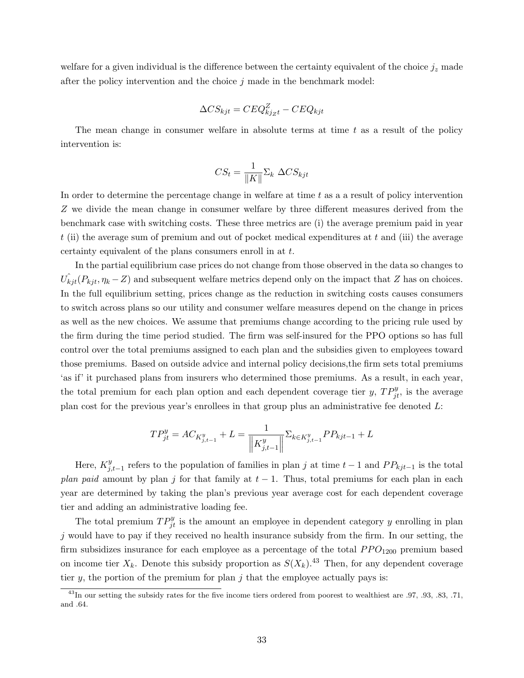welfare for a given individual is the difference between the certainty equivalent of the choice  $j_z$  made after the policy intervention and the choice  $j$  made in the benchmark model:

$$
\Delta CS_{kjt} = CEQ_{kjzt}^Z - CEQ_{kjt}
$$

The mean change in consumer welfare in absolute terms at time  $t$  as a result of the policy intervention is:

$$
CS_t = \frac{1}{\|K\|} \Sigma_k \ \Delta CS_{kjt}
$$

In order to determine the percentage change in welfare at time  $t$  as a a result of policy intervention Z we divide the mean change in consumer welfare by three different measures derived from the benchmark case with switching costs. These three metrics are (i) the average premium paid in year t (ii) the average sum of premium and out of pocket medical expenditures at t and (iii) the average certainty equivalent of the plans consumers enroll in at t.

In the partial equilibrium case prices do not change from those observed in the data so changes to  $\hat{U}_{kjt}(P_{kjt}, \eta_k - Z)$  and subsequent welfare metrics depend only on the impact that Z has on choices. In the full equilibrium setting, prices change as the reduction in switching costs causes consumers to switch across plans so our utility and consumer welfare measures depend on the change in prices as well as the new choices. We assume that premiums change according to the pricing rule used by the firm during the time period studied. The firm was self-insured for the PPO options so has full control over the total premiums assigned to each plan and the subsidies given to employees toward those premiums. Based on outside advice and internal policy decisions,the firm sets total premiums 'as if' it purchased plans from insurers who determined those premiums. As a result, in each year, the total premium for each plan option and each dependent coverage tier y,  $TP_{jt}^y$ , is the average plan cost for the previous year's enrollees in that group plus an administrative fee denoted L:

$$
TP_{jt}^{y} = AC_{K_{j,t-1}^{y}} + L = \frac{1}{\left\|K_{j,t-1}^{y}\right\|} \sum_{k \in K_{j,t-1}^{y}} PP_{kjt-1} + L
$$

Here,  $K_i^y$  $j_{j,t-1}^{y}$  refers to the population of families in plan j at time  $t-1$  and  $PP_{kjt-1}$  is the total plan paid amount by plan j for that family at  $t-1$ . Thus, total premiums for each plan in each year are determined by taking the plan's previous year average cost for each dependent coverage tier and adding an administrative loading fee.

The total premium  $TP_{jt}^y$  is the amount an employee in dependent category y enrolling in plan  $j$  would have to pay if they received no health insurance subsidy from the firm. In our setting, the firm subsidizes insurance for each employee as a percentage of the total  $PPO<sub>1200</sub>$  premium based on income tier  $X_k$ . Denote this subsidy proportion as  $S(X_k)$ .<sup>43</sup> Then, for any dependent coverage tier y, the portion of the premium for plan j that the employee actually pays is:

<sup>43</sup>In our setting the subsidy rates for the five income tiers ordered from poorest to wealthiest are .97, .93, .83, .71, and .64.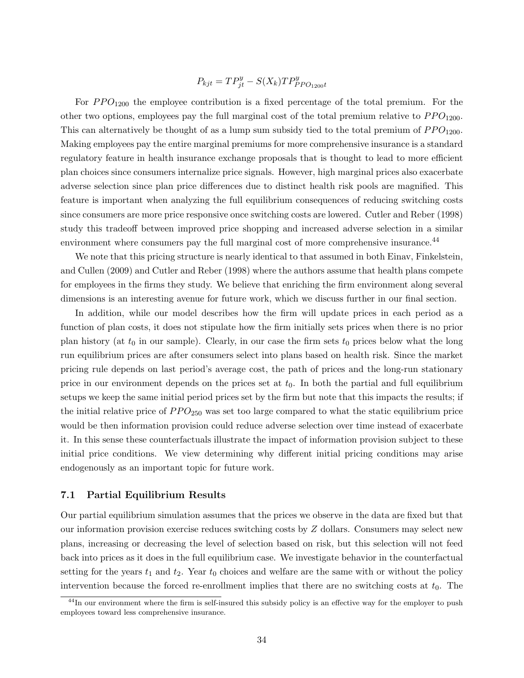$$
P_{kjt} = TP_{jt}^y - S(X_k)TP_{PPO_{1200}t}^y
$$

For  $PPO<sub>1200</sub>$  the employee contribution is a fixed percentage of the total premium. For the other two options, employees pay the full marginal cost of the total premium relative to  $PPO<sub>1200</sub>$ . This can alternatively be thought of as a lump sum subsidy tied to the total premium of  $PPO_{1200}$ . Making employees pay the entire marginal premiums for more comprehensive insurance is a standard regulatory feature in health insurance exchange proposals that is thought to lead to more efficient plan choices since consumers internalize price signals. However, high marginal prices also exacerbate adverse selection since plan price differences due to distinct health risk pools are magnified. This feature is important when analyzing the full equilibrium consequences of reducing switching costs since consumers are more price responsive once switching costs are lowered. Cutler and Reber (1998) study this tradeoff between improved price shopping and increased adverse selection in a similar environment where consumers pay the full marginal cost of more comprehensive insurance.<sup>44</sup>

We note that this pricing structure is nearly identical to that assumed in both Einav, Finkelstein, and Cullen (2009) and Cutler and Reber (1998) where the authors assume that health plans compete for employees in the firms they study. We believe that enriching the firm environment along several dimensions is an interesting avenue for future work, which we discuss further in our final section.

In addition, while our model describes how the firm will update prices in each period as a function of plan costs, it does not stipulate how the firm initially sets prices when there is no prior plan history (at  $t_0$  in our sample). Clearly, in our case the firm sets  $t_0$  prices below what the long run equilibrium prices are after consumers select into plans based on health risk. Since the market pricing rule depends on last period's average cost, the path of prices and the long-run stationary price in our environment depends on the prices set at  $t_0$ . In both the partial and full equilibrium setups we keep the same initial period prices set by the firm but note that this impacts the results; if the initial relative price of  $PPO_{250}$  was set too large compared to what the static equilibrium price would be then information provision could reduce adverse selection over time instead of exacerbate it. In this sense these counterfactuals illustrate the impact of information provision subject to these initial price conditions. We view determining why different initial pricing conditions may arise endogenously as an important topic for future work.

# 7.1 Partial Equilibrium Results

Our partial equilibrium simulation assumes that the prices we observe in the data are fixed but that our information provision exercise reduces switching costs by Z dollars. Consumers may select new plans, increasing or decreasing the level of selection based on risk, but this selection will not feed back into prices as it does in the full equilibrium case. We investigate behavior in the counterfactual setting for the years  $t_1$  and  $t_2$ . Year  $t_0$  choices and welfare are the same with or without the policy intervention because the forced re-enrollment implies that there are no switching costs at  $t<sub>0</sub>$ . The

<sup>&</sup>lt;sup>44</sup>In our environment where the firm is self-insured this subsidy policy is an effective way for the employer to push employees toward less comprehensive insurance.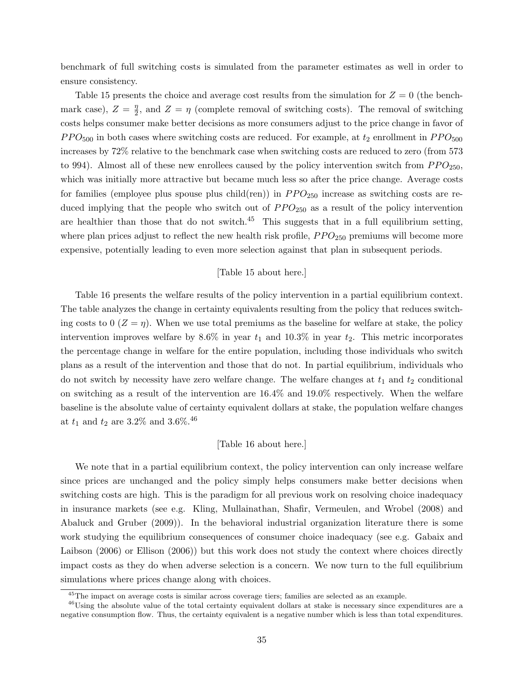benchmark of full switching costs is simulated from the parameter estimates as well in order to ensure consistency.

Table 15 presents the choice and average cost results from the simulation for  $Z = 0$  (the benchmark case),  $Z = \frac{\eta}{2}$  $\frac{\eta}{2}$ , and  $Z = \eta$  (complete removal of switching costs). The removal of switching costs helps consumer make better decisions as more consumers adjust to the price change in favor of  $PPO<sub>500</sub>$  in both cases where switching costs are reduced. For example, at  $t_2$  enrollment in  $PPO<sub>500</sub>$ increases by 72% relative to the benchmark case when switching costs are reduced to zero (from 573 to 994). Almost all of these new enrollees caused by the policy intervention switch from  $PPO_{250}$ , which was initially more attractive but became much less so after the price change. Average costs for families (employee plus spouse plus child(ren)) in  $PPO_{250}$  increase as switching costs are reduced implying that the people who switch out of  $PPO_{250}$  as a result of the policy intervention are healthier than those that do not switch.<sup>45</sup> This suggests that in a full equilibrium setting, where plan prices adjust to reflect the new health risk profile,  $PPO_{250}$  premiums will become more expensive, potentially leading to even more selection against that plan in subsequent periods.

# [Table 15 about here.]

Table 16 presents the welfare results of the policy intervention in a partial equilibrium context. The table analyzes the change in certainty equivalents resulting from the policy that reduces switching costs to 0  $(Z = \eta)$ . When we use total premiums as the baseline for welfare at stake, the policy intervention improves welfare by 8.6% in year  $t_1$  and 10.3% in year  $t_2$ . This metric incorporates the percentage change in welfare for the entire population, including those individuals who switch plans as a result of the intervention and those that do not. In partial equilibrium, individuals who do not switch by necessity have zero welfare change. The welfare changes at  $t_1$  and  $t_2$  conditional on switching as a result of the intervention are 16.4% and 19.0% respectively. When the welfare baseline is the absolute value of certainty equivalent dollars at stake, the population welfare changes at  $t_1$  and  $t_2$  are 3.2% and 3.6%.<sup>46</sup>

#### [Table 16 about here.]

We note that in a partial equilibrium context, the policy intervention can only increase welfare since prices are unchanged and the policy simply helps consumers make better decisions when switching costs are high. This is the paradigm for all previous work on resolving choice inadequacy in insurance markets (see e.g. Kling, Mullainathan, Shafir, Vermeulen, and Wrobel (2008) and Abaluck and Gruber (2009)). In the behavioral industrial organization literature there is some work studying the equilibrium consequences of consumer choice inadequacy (see e.g. Gabaix and Laibson (2006) or Ellison (2006)) but this work does not study the context where choices directly impact costs as they do when adverse selection is a concern. We now turn to the full equilibrium simulations where prices change along with choices.

<sup>45</sup>The impact on average costs is similar across coverage tiers; families are selected as an example.

<sup>&</sup>lt;sup>46</sup>Using the absolute value of the total certainty equivalent dollars at stake is necessary since expenditures are a negative consumption flow. Thus, the certainty equivalent is a negative number which is less than total expenditures.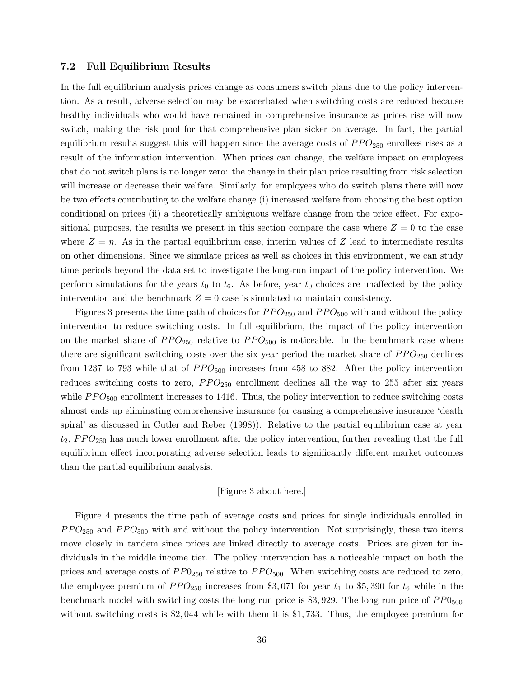#### 7.2 Full Equilibrium Results

In the full equilibrium analysis prices change as consumers switch plans due to the policy intervention. As a result, adverse selection may be exacerbated when switching costs are reduced because healthy individuals who would have remained in comprehensive insurance as prices rise will now switch, making the risk pool for that comprehensive plan sicker on average. In fact, the partial equilibrium results suggest this will happen since the average costs of  $PPO_{250}$  enrollees rises as a result of the information intervention. When prices can change, the welfare impact on employees that do not switch plans is no longer zero: the change in their plan price resulting from risk selection will increase or decrease their welfare. Similarly, for employees who do switch plans there will now be two effects contributing to the welfare change (i) increased welfare from choosing the best option conditional on prices (ii) a theoretically ambiguous welfare change from the price effect. For expositional purposes, the results we present in this section compare the case where  $Z = 0$  to the case where  $Z = \eta$ . As in the partial equilibrium case, interim values of Z lead to intermediate results on other dimensions. Since we simulate prices as well as choices in this environment, we can study time periods beyond the data set to investigate the long-run impact of the policy intervention. We perform simulations for the years  $t_0$  to  $t_6$ . As before, year  $t_0$  choices are unaffected by the policy intervention and the benchmark  $Z = 0$  case is simulated to maintain consistency.

Figures 3 presents the time path of choices for  $PPO_{250}$  and  $PPO_{500}$  with and without the policy intervention to reduce switching costs. In full equilibrium, the impact of the policy intervention on the market share of  $PPO_{250}$  relative to  $PPO_{500}$  is noticeable. In the benchmark case where there are significant switching costs over the six year period the market share of  $PPO_{250}$  declines from 1237 to 793 while that of  $PPO<sub>500</sub>$  increases from 458 to 882. After the policy intervention reduces switching costs to zero,  $PPO_{250}$  enrollment declines all the way to 255 after six years while  $PPO<sub>500</sub>$  enrollment increases to 1416. Thus, the policy intervention to reduce switching costs almost ends up eliminating comprehensive insurance (or causing a comprehensive insurance 'death spiral' as discussed in Cutler and Reber (1998)). Relative to the partial equilibrium case at year  $t_2$ ,  $PPO_{250}$  has much lower enrollment after the policy intervention, further revealing that the full equilibrium effect incorporating adverse selection leads to significantly different market outcomes than the partial equilibrium analysis.

#### [Figure 3 about here.]

Figure 4 presents the time path of average costs and prices for single individuals enrolled in  $PPO_{250}$  and  $PPO_{500}$  with and without the policy intervention. Not surprisingly, these two items move closely in tandem since prices are linked directly to average costs. Prices are given for individuals in the middle income tier. The policy intervention has a noticeable impact on both the prices and average costs of  $PP0_{250}$  relative to  $PP0_{500}$ . When switching costs are reduced to zero, the employee premium of  $PPO_{250}$  increases from \$3,071 for year  $t_1$  to \$5,390 for  $t_6$  while in the benchmark model with switching costs the long run price is \$3,929. The long run price of  $PP0_{500}$ without switching costs is \$2,044 while with them it is \$1,733. Thus, the employee premium for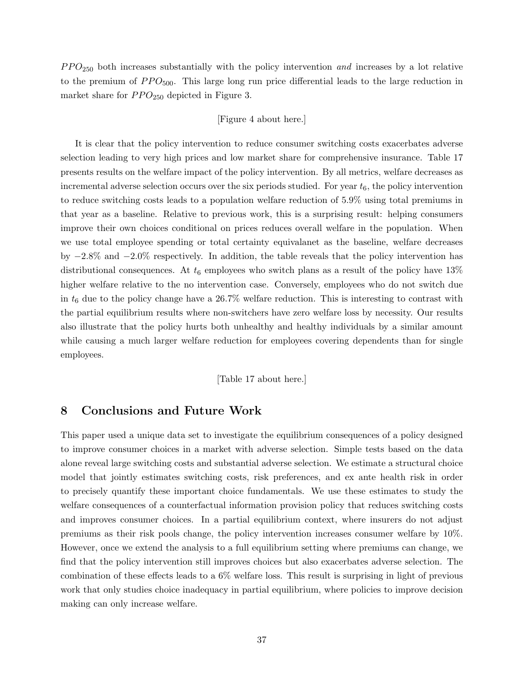$PPO<sub>250</sub>$  both increases substantially with the policy intervention and increases by a lot relative to the premium of  $PPO<sub>500</sub>$ . This large long run price differential leads to the large reduction in market share for  $PPO_{250}$  depicted in Figure 3.

#### [Figure 4 about here.]

It is clear that the policy intervention to reduce consumer switching costs exacerbates adverse selection leading to very high prices and low market share for comprehensive insurance. Table 17 presents results on the welfare impact of the policy intervention. By all metrics, welfare decreases as incremental adverse selection occurs over the six periods studied. For year  $t_6$ , the policy intervention to reduce switching costs leads to a population welfare reduction of 5.9% using total premiums in that year as a baseline. Relative to previous work, this is a surprising result: helping consumers improve their own choices conditional on prices reduces overall welfare in the population. When we use total employee spending or total certainty equivalanet as the baseline, welfare decreases by −2.8% and −2.0% respectively. In addition, the table reveals that the policy intervention has distributional consequences. At  $t_6$  employees who switch plans as a result of the policy have 13% higher welfare relative to the no intervention case. Conversely, employees who do not switch due in  $t_6$  due to the policy change have a 26.7% welfare reduction. This is interesting to contrast with the partial equilibrium results where non-switchers have zero welfare loss by necessity. Our results also illustrate that the policy hurts both unhealthy and healthy individuals by a similar amount while causing a much larger welfare reduction for employees covering dependents than for single employees.

[Table 17 about here.]

# 8 Conclusions and Future Work

This paper used a unique data set to investigate the equilibrium consequences of a policy designed to improve consumer choices in a market with adverse selection. Simple tests based on the data alone reveal large switching costs and substantial adverse selection. We estimate a structural choice model that jointly estimates switching costs, risk preferences, and ex ante health risk in order to precisely quantify these important choice fundamentals. We use these estimates to study the welfare consequences of a counterfactual information provision policy that reduces switching costs and improves consumer choices. In a partial equilibrium context, where insurers do not adjust premiums as their risk pools change, the policy intervention increases consumer welfare by 10%. However, once we extend the analysis to a full equilibrium setting where premiums can change, we find that the policy intervention still improves choices but also exacerbates adverse selection. The combination of these effects leads to a 6% welfare loss. This result is surprising in light of previous work that only studies choice inadequacy in partial equilibrium, where policies to improve decision making can only increase welfare.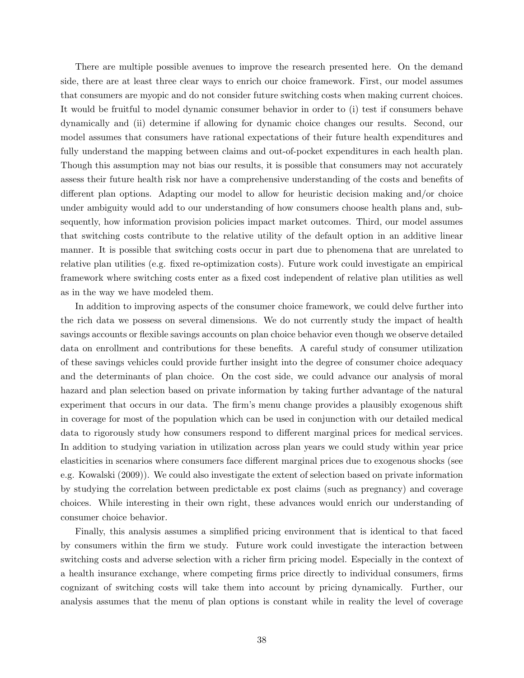There are multiple possible avenues to improve the research presented here. On the demand side, there are at least three clear ways to enrich our choice framework. First, our model assumes that consumers are myopic and do not consider future switching costs when making current choices. It would be fruitful to model dynamic consumer behavior in order to (i) test if consumers behave dynamically and (ii) determine if allowing for dynamic choice changes our results. Second, our model assumes that consumers have rational expectations of their future health expenditures and fully understand the mapping between claims and out-of-pocket expenditures in each health plan. Though this assumption may not bias our results, it is possible that consumers may not accurately assess their future health risk nor have a comprehensive understanding of the costs and benefits of different plan options. Adapting our model to allow for heuristic decision making and/or choice under ambiguity would add to our understanding of how consumers choose health plans and, subsequently, how information provision policies impact market outcomes. Third, our model assumes that switching costs contribute to the relative utility of the default option in an additive linear manner. It is possible that switching costs occur in part due to phenomena that are unrelated to relative plan utilities (e.g. fixed re-optimization costs). Future work could investigate an empirical framework where switching costs enter as a fixed cost independent of relative plan utilities as well as in the way we have modeled them.

In addition to improving aspects of the consumer choice framework, we could delve further into the rich data we possess on several dimensions. We do not currently study the impact of health savings accounts or flexible savings accounts on plan choice behavior even though we observe detailed data on enrollment and contributions for these benefits. A careful study of consumer utilization of these savings vehicles could provide further insight into the degree of consumer choice adequacy and the determinants of plan choice. On the cost side, we could advance our analysis of moral hazard and plan selection based on private information by taking further advantage of the natural experiment that occurs in our data. The firm's menu change provides a plausibly exogenous shift in coverage for most of the population which can be used in conjunction with our detailed medical data to rigorously study how consumers respond to different marginal prices for medical services. In addition to studying variation in utilization across plan years we could study within year price elasticities in scenarios where consumers face different marginal prices due to exogenous shocks (see e.g. Kowalski (2009)). We could also investigate the extent of selection based on private information by studying the correlation between predictable ex post claims (such as pregnancy) and coverage choices. While interesting in their own right, these advances would enrich our understanding of consumer choice behavior.

Finally, this analysis assumes a simplified pricing environment that is identical to that faced by consumers within the firm we study. Future work could investigate the interaction between switching costs and adverse selection with a richer firm pricing model. Especially in the context of a health insurance exchange, where competing firms price directly to individual consumers, firms cognizant of switching costs will take them into account by pricing dynamically. Further, our analysis assumes that the menu of plan options is constant while in reality the level of coverage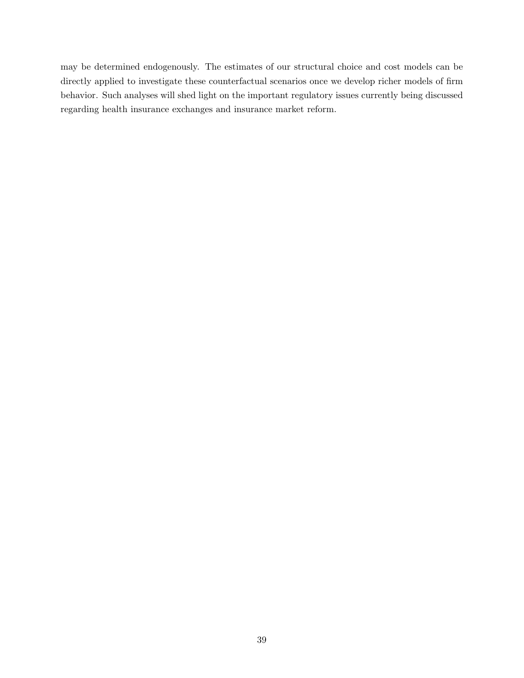may be determined endogenously. The estimates of our structural choice and cost models can be directly applied to investigate these counterfactual scenarios once we develop richer models of firm behavior. Such analyses will shed light on the important regulatory issues currently being discussed regarding health insurance exchanges and insurance market reform.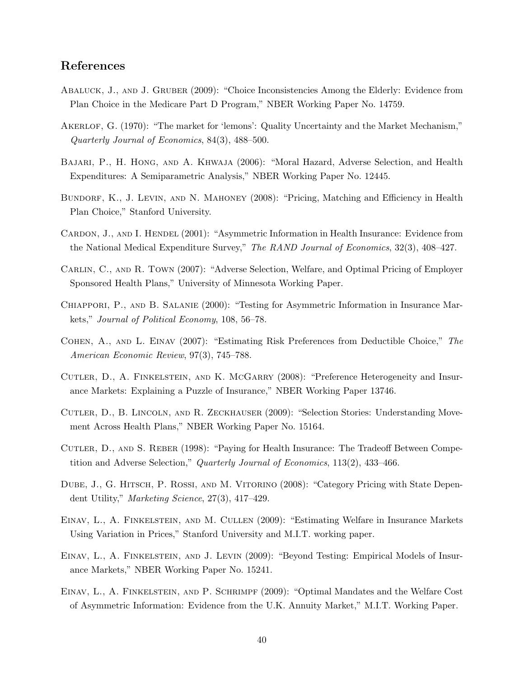# References

- Abaluck, J., and J. Gruber (2009): "Choice Inconsistencies Among the Elderly: Evidence from Plan Choice in the Medicare Part D Program," NBER Working Paper No. 14759.
- AKERLOF, G. (1970): "The market for 'lemons': Quality Uncertainty and the Market Mechanism," Quarterly Journal of Economics, 84(3), 488–500.
- Bajari, P., H. Hong, and A. Khwaja (2006): "Moral Hazard, Adverse Selection, and Health Expenditures: A Semiparametric Analysis," NBER Working Paper No. 12445.
- BUNDORF, K., J. LEVIN, AND N. MAHONEY (2008): "Pricing, Matching and Efficiency in Health Plan Choice," Stanford University.
- CARDON, J., AND I. HENDEL (2001): "Asymmetric Information in Health Insurance: Evidence from the National Medical Expenditure Survey," The RAND Journal of Economics, 32(3), 408–427.
- Carlin, C., and R. Town (2007): "Adverse Selection, Welfare, and Optimal Pricing of Employer Sponsored Health Plans," University of Minnesota Working Paper.
- Chiappori, P., and B. Salanie (2000): "Testing for Asymmetric Information in Insurance Markets," Journal of Political Economy, 108, 56–78.
- Cohen, A., and L. Einav (2007): "Estimating Risk Preferences from Deductible Choice," The American Economic Review, 97(3), 745–788.
- CUTLER, D., A. FINKELSTEIN, AND K. MCGARRY (2008): "Preference Heterogeneity and Insurance Markets: Explaining a Puzzle of Insurance," NBER Working Paper 13746.
- Cutler, D., B. Lincoln, and R. Zeckhauser (2009): "Selection Stories: Understanding Movement Across Health Plans," NBER Working Paper No. 15164.
- CUTLER, D., AND S. REBER (1998): "Paying for Health Insurance: The Tradeoff Between Competition and Adverse Selection," Quarterly Journal of Economics, 113(2), 433–466.
- DUBE, J., G. HITSCH, P. ROSSI, AND M. VITORINO (2008): "Category Pricing with State Dependent Utility," Marketing Science, 27(3), 417–429.
- Einav, L., A. Finkelstein, and M. Cullen (2009): "Estimating Welfare in Insurance Markets Using Variation in Prices," Stanford University and M.I.T. working paper.
- EINAV, L., A. FINKELSTEIN, AND J. LEVIN (2009): "Beyond Testing: Empirical Models of Insurance Markets," NBER Working Paper No. 15241.
- Einav, L., A. Finkelstein, and P. Schrimpf (2009): "Optimal Mandates and the Welfare Cost of Asymmetric Information: Evidence from the U.K. Annuity Market," M.I.T. Working Paper.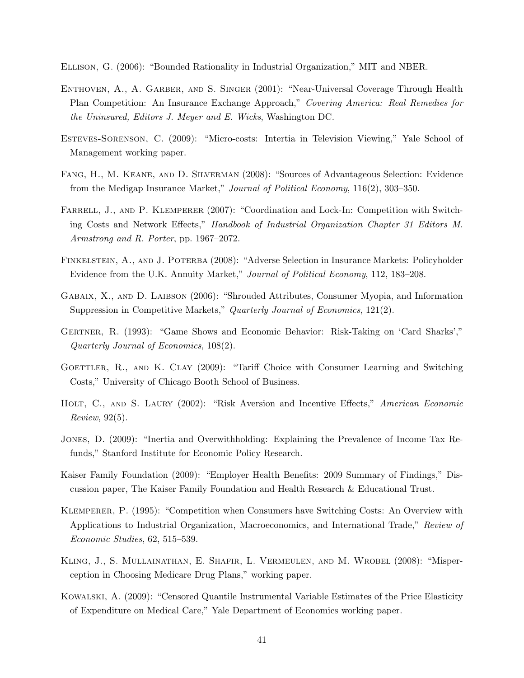Ellison, G. (2006): "Bounded Rationality in Industrial Organization," MIT and NBER.

- ENTHOVEN, A., A. GARBER, AND S. SINGER (2001): "Near-Universal Coverage Through Health Plan Competition: An Insurance Exchange Approach," Covering America: Real Remedies for the Uninsured, Editors J. Meyer and E. Wicks, Washington DC.
- Esteves-Sorenson, C. (2009): "Micro-costs: Intertia in Television Viewing," Yale School of Management working paper.
- Fang, H., M. Keane, and D. Silverman (2008): "Sources of Advantageous Selection: Evidence from the Medigap Insurance Market," Journal of Political Economy, 116(2), 303–350.
- FARRELL, J., AND P. KLEMPERER (2007): "Coordination and Lock-In: Competition with Switching Costs and Network Effects," Handbook of Industrial Organization Chapter 31 Editors M. Armstrong and R. Porter, pp. 1967–2072.
- Finkelstein, A., and J. Poterba (2008): "Adverse Selection in Insurance Markets: Policyholder Evidence from the U.K. Annuity Market," Journal of Political Economy, 112, 183–208.
- Gabaix, X., and D. Laibson (2006): "Shrouded Attributes, Consumer Myopia, and Information Suppression in Competitive Markets," Quarterly Journal of Economics, 121(2).
- Gertner, R. (1993): "Game Shows and Economic Behavior: Risk-Taking on 'Card Sharks'," Quarterly Journal of Economics, 108(2).
- GOETTLER, R., AND K. CLAY (2009): "Tariff Choice with Consumer Learning and Switching Costs," University of Chicago Booth School of Business.
- HOLT, C., AND S. LAURY (2002): "Risk Aversion and Incentive Effects," American Economic Review, 92(5).
- Jones, D. (2009): "Inertia and Overwithholding: Explaining the Prevalence of Income Tax Refunds," Stanford Institute for Economic Policy Research.
- Kaiser Family Foundation (2009): "Employer Health Benefits: 2009 Summary of Findings," Discussion paper, The Kaiser Family Foundation and Health Research & Educational Trust.
- Klemperer, P. (1995): "Competition when Consumers have Switching Costs: An Overview with Applications to Industrial Organization, Macroeconomics, and International Trade," Review of Economic Studies, 62, 515–539.
- Kling, J., S. Mullainathan, E. Shafir, L. Vermeulen, and M. Wrobel (2008): "Misperception in Choosing Medicare Drug Plans," working paper.
- Kowalski, A. (2009): "Censored Quantile Instrumental Variable Estimates of the Price Elasticity of Expenditure on Medical Care," Yale Department of Economics working paper.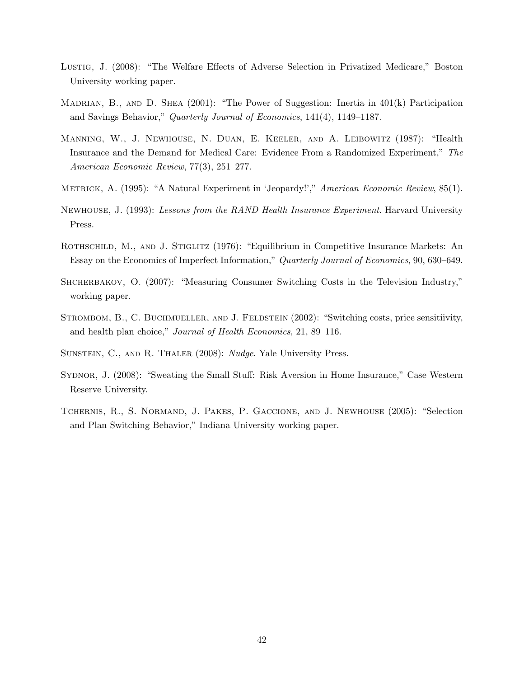- Lustig, J. (2008): "The Welfare Effects of Adverse Selection in Privatized Medicare," Boston University working paper.
- MADRIAN, B., AND D. SHEA  $(2001)$ : "The Power of Suggestion: Inertia in  $401(k)$  Participation and Savings Behavior," Quarterly Journal of Economics, 141(4), 1149–1187.
- Manning, W., J. Newhouse, N. Duan, E. Keeler, and A. Leibowitz (1987): "Health Insurance and the Demand for Medical Care: Evidence From a Randomized Experiment," The American Economic Review, 77(3), 251–277.
- METRICK, A. (1995): "A Natural Experiment in 'Jeopardy!'," American Economic Review, 85(1).
- NEWHOUSE, J. (1993): Lessons from the RAND Health Insurance Experiment. Harvard University Press.
- ROTHSCHILD, M., AND J. STIGLITZ (1976): "Equilibrium in Competitive Insurance Markets: An Essay on the Economics of Imperfect Information," Quarterly Journal of Economics, 90, 630–649.
- SHCHERBAKOV, O. (2007): "Measuring Consumer Switching Costs in the Television Industry," working paper.
- STROMBOM, B., C. BUCHMUELLER, AND J. FELDSTEIN (2002): "Switching costs, price sensitiivity, and health plan choice," Journal of Health Economics, 21, 89–116.
- SUNSTEIN, C., AND R. THALER (2008): *Nudge*. Yale University Press.
- Sydnor, J. (2008): "Sweating the Small Stuff: Risk Aversion in Home Insurance," Case Western Reserve University.
- Tchernis, R., S. Normand, J. Pakes, P. Gaccione, and J. Newhouse (2005): "Selection and Plan Switching Behavior," Indiana University working paper.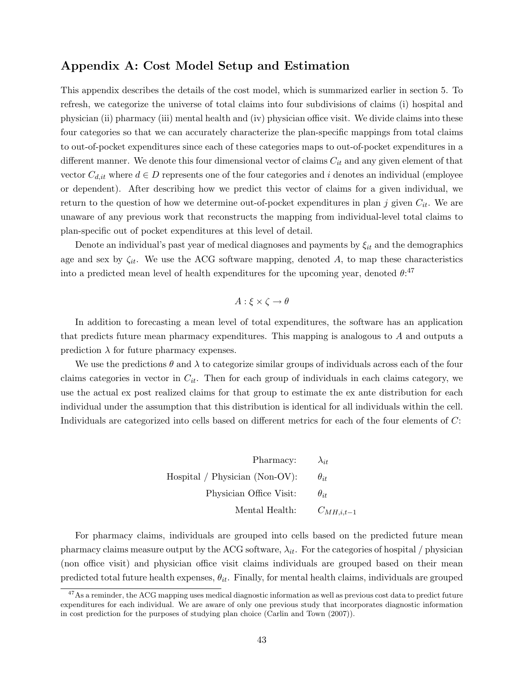# Appendix A: Cost Model Setup and Estimation

This appendix describes the details of the cost model, which is summarized earlier in section 5. To refresh, we categorize the universe of total claims into four subdivisions of claims (i) hospital and physician (ii) pharmacy (iii) mental health and (iv) physician office visit. We divide claims into these four categories so that we can accurately characterize the plan-specific mappings from total claims to out-of-pocket expenditures since each of these categories maps to out-of-pocket expenditures in a different manner. We denote this four dimensional vector of claims  $C_{it}$  and any given element of that vector  $C_{d,it}$  where  $d \in D$  represents one of the four categories and i denotes an individual (employee or dependent). After describing how we predict this vector of claims for a given individual, we return to the question of how we determine out-of-pocket expenditures in plan j given  $C_{it}$ . We are unaware of any previous work that reconstructs the mapping from individual-level total claims to plan-specific out of pocket expenditures at this level of detail.

Denote an individual's past year of medical diagnoses and payments by  $\xi_{it}$  and the demographics age and sex by  $\zeta_{it}$ . We use the ACG software mapping, denoted A, to map these characteristics into a predicted mean level of health expenditures for the upcoming year, denoted  $\theta$ :<sup>47</sup>

$$
A: \xi \times \zeta \to \theta
$$

In addition to forecasting a mean level of total expenditures, the software has an application that predicts future mean pharmacy expenditures. This mapping is analogous to A and outputs a prediction  $\lambda$  for future pharmacy expenses.

We use the predictions  $\theta$  and  $\lambda$  to categorize similar groups of individuals across each of the four claims categories in vector in  $C_{it}$ . Then for each group of individuals in each claims category, we use the actual ex post realized claims for that group to estimate the ex ante distribution for each individual under the assumption that this distribution is identical for all individuals within the cell. Individuals are categorized into cells based on different metrics for each of the four elements of C:

> Pharmacy:  $\lambda_{it}$ Hospital / Physician (Non-OV):  $\theta_{it}$ Physician Office Visit:  $\theta_{it}$ Mental Health:  $C_{MH,i,t-1}$

For pharmacy claims, individuals are grouped into cells based on the predicted future mean pharmacy claims measure output by the ACG software,  $\lambda_{it}$ . For the categories of hospital / physician (non office visit) and physician office visit claims individuals are grouped based on their mean predicted total future health expenses,  $\theta_{it}$ . Finally, for mental health claims, individuals are grouped

 $47\text{As a reminder, the ACG mapping uses medical diagnostic information as well as previous cost data to predict future.}$ expenditures for each individual. We are aware of only one previous study that incorporates diagnostic information in cost prediction for the purposes of studying plan choice (Carlin and Town (2007)).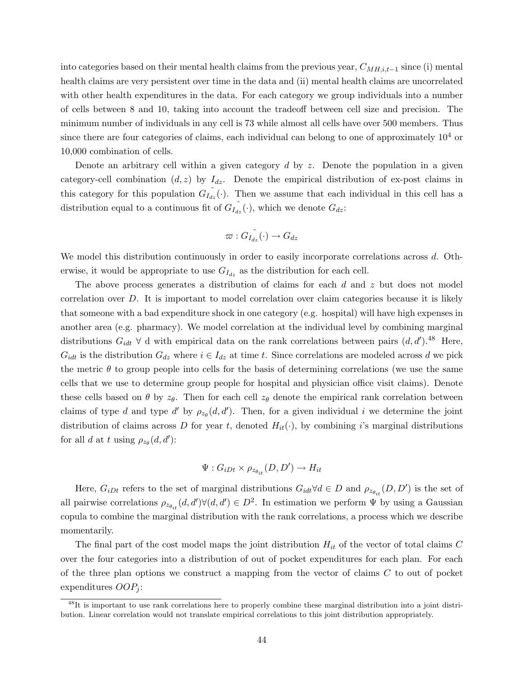into categories based on their mental health claims from the previous year,  $C_{MH,i,t-1}$  since (i) mental health claims are very persistent over time in the data and (ii) mental health claims are uncorrelated with other health expenditures in the data. For each category we group individuals into a number of cells between 8 and 10, taking into account the tradeoff between cell size and precision. The minimum number of individuals in any cell is 73 while almost all cells have over 500 members. Thus since there are four categories of claims, each individual can belong to one of approximately  $10<sup>4</sup>$  or 10,000 combination of cells.

Denote an arbitrary cell within a given category  $d$  by z. Denote the population in a given category-cell combination  $(d, z)$  by  $I_{dz}$ . Denote the empirical distribution of ex-post claims in this category for this population  $G_{I_{az}}(\cdot)$ . Then we assume that each individual in this cell has a distribution equal to a continuous fit of  $G_{I_{dz}}^{\hat{i}}(\cdot)$ , which we denote  $G_{dz}$ :

$$
\varpi: \hat{G_{I_{dz}}}(\cdot) \to G_{dz}
$$

We model this distribution continuously in order to easily incorporate correlations across d. Otherwise, it would be appropriate to use  $G_{I_{dz}}$  as the distribution for each cell.

The above process generates a distribution of claims for each  $d$  and  $z$  but does not model correlation over D. It is important to model correlation over claim categories because it is likely that someone with a bad expenditure shock in one category (e.g. hospital) will have high expenses in another area (e.g. pharmacy). We model correlation at the individual level by combining marginal distributions  $G_{idt} \ \forall d$  with empirical data on the rank correlations between pairs  $(d, d')$ .<sup>48</sup> Here,  $G_{idt}$  is the distribution  $G_{dz}$  where  $i \in I_{dz}$  at time t. Since correlations are modeled across d we pick the metric  $\theta$  to group people into cells for the basis of determining correlations (we use the same cells that we use to determine group people for hospital and physician office visit claims). Denote these cells based on  $\theta$  by  $z_{\theta}$ . Then for each cell  $z_{\theta}$  denote the empirical rank correlation between claims of type d and type d' by  $\rho_{z_{\theta}}(d, d')$ . Then, for a given individual i we determine the joint distribution of claims across D for year t, denoted  $H_{it}(\cdot)$ , by combining i's marginal distributions for all d at t using  $\rho_{z_{\theta}}(d, d')$ :

$$
\Psi: G_{iDt} \times \rho_{z_{\theta_{it}}}(D, D') \to H_{it}
$$

Here,  $G_{iDt}$  refers to the set of marginal distributions  $G_{idt} \forall d \in D$  and  $\rho_{z_{\theta_{it}}}(D, D')$  is the set of all pairwise correlations  $\rho_{z_{\theta_{it}}}(d, d')\forall (d, d') \in D^2$ . In estimation we perform  $\Psi$  by using a Gaussian copula to combine the marginal distribution with the rank correlations, a process which we describe momentarily.

The final part of the cost model maps the joint distribution  $H_{it}$  of the vector of total claims C over the four categories into a distribution of out of pocket expenditures for each plan. For each of the three plan options we construct a mapping from the vector of claims  $C$  to out of pocket expenditures  $OOP_i$ :

<sup>48</sup>It is important to use rank correlations here to properly combine these marginal distribution into a joint distribution. Linear correlation would not translate empirical correlations to this joint distribution appropriately.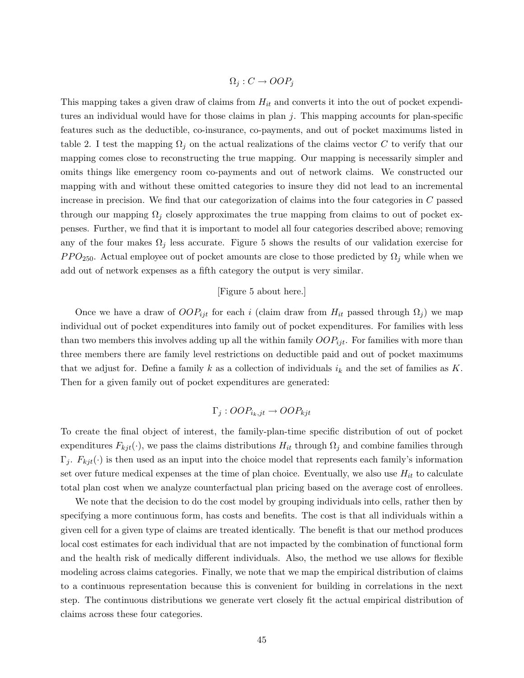$$
\Omega_j : C \to OOP_j
$$

This mapping takes a given draw of claims from  $H_{it}$  and converts it into the out of pocket expenditures an individual would have for those claims in plan  $j$ . This mapping accounts for plan-specific features such as the deductible, co-insurance, co-payments, and out of pocket maximums listed in table 2. I test the mapping  $\Omega_j$  on the actual realizations of the claims vector C to verify that our mapping comes close to reconstructing the true mapping. Our mapping is necessarily simpler and omits things like emergency room co-payments and out of network claims. We constructed our mapping with and without these omitted categories to insure they did not lead to an incremental increase in precision. We find that our categorization of claims into the four categories in C passed through our mapping  $\Omega_j$  closely approximates the true mapping from claims to out of pocket expenses. Further, we find that it is important to model all four categories described above; removing any of the four makes  $\Omega_j$  less accurate. Figure 5 shows the results of our validation exercise for  $PPO<sub>250</sub>$ . Actual employee out of pocket amounts are close to those predicted by  $\Omega_j$  while when we add out of network expenses as a fifth category the output is very similar.

# [Figure 5 about here.]

Once we have a draw of  $OOP_{ijt}$  for each i (claim draw from  $H_{it}$  passed through  $\Omega_j$ ) we map individual out of pocket expenditures into family out of pocket expenditures. For families with less than two members this involves adding up all the within family  $OOP_{ijt}$ . For families with more than three members there are family level restrictions on deductible paid and out of pocket maximums that we adjust for. Define a family k as a collection of individuals  $i_k$  and the set of families as K. Then for a given family out of pocket expenditures are generated:

$$
\Gamma_j: OOP_{i_k,j_t} \to OOP_{kjt}
$$

To create the final object of interest, the family-plan-time specific distribution of out of pocket expenditures  $F_{kjt}(\cdot)$ , we pass the claims distributions  $H_{it}$  through  $\Omega_j$  and combine families through  $\Gamma_j$ .  $F_{kjt}(\cdot)$  is then used as an input into the choice model that represents each family's information set over future medical expenses at the time of plan choice. Eventually, we also use  $H_{it}$  to calculate total plan cost when we analyze counterfactual plan pricing based on the average cost of enrollees.

We note that the decision to do the cost model by grouping individuals into cells, rather then by specifying a more continuous form, has costs and benefits. The cost is that all individuals within a given cell for a given type of claims are treated identically. The benefit is that our method produces local cost estimates for each individual that are not impacted by the combination of functional form and the health risk of medically different individuals. Also, the method we use allows for flexible modeling across claims categories. Finally, we note that we map the empirical distribution of claims to a continuous representation because this is convenient for building in correlations in the next step. The continuous distributions we generate vert closely fit the actual empirical distribution of claims across these four categories.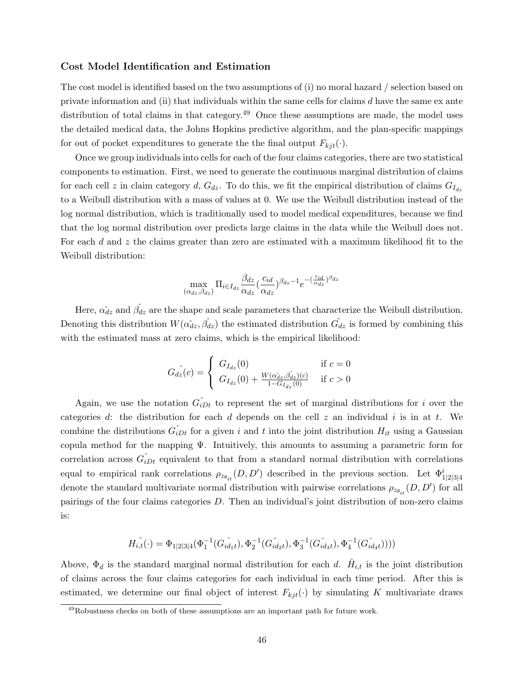#### Cost Model Identification and Estimation

The cost model is identified based on the two assumptions of (i) no moral hazard / selection based on private information and (ii) that individuals within the same cells for claims  $d$  have the same  $ex$  ante distribution of total claims in that category.<sup>49</sup> Once these assumptions are made, the model uses the detailed medical data, the Johns Hopkins predictive algorithm, and the plan-specific mappings for out of pocket expenditures to generate the the final output  $F_{kjt}(\cdot)$ .

Once we group individuals into cells for each of the four claims categories, there are two statistical components to estimation. First, we need to generate the continuous marginal distribution of claims for each cell z in claim category d,  $G_{dz}$ . To do this, we fit the empirical distribution of claims  $G_{I_{dz}}$ to a Weibull distribution with a mass of values at 0. We use the Weibull distribution instead of the log normal distribution, which is traditionally used to model medical expenditures, because we find that the log normal distribution over predicts large claims in the data while the Weibull does not. For each d and z the claims greater than zero are estimated with a maximum likelihood fit to the Weibull distribution:

$$
\max_{(\alpha_{dz}, \beta_{dz})} \Pi_{i \in I_{dz}} \frac{\beta_{dz}}{\alpha_{dz}} \left(\frac{c_{id}}{\alpha_{dz}}\right)^{\beta_{dz} - 1} e^{-\left(\frac{c_{id}}{\alpha_{dz}}\right)^{\beta_{dz}}}
$$

Here,  $\hat{\alpha_{dz}}$  and  $\hat{\beta_{dz}}$  are the shape and scale parameters that characterize the Weibull distribution. Denoting this distribution  $W(\hat{\alpha}_{dz}, \hat{\beta}_{dz})$  the estimated distribution  $\hat{G}_{dz}$  is formed by combining this with the estimated mass at zero claims, which is the empirical likelihood:

$$
G_{dz}(c) = \begin{cases} G_{I_{dz}}(0) & \text{if } c = 0\\ G_{I_{dz}}(0) + \frac{W(\alpha \hat{a}z, \hat{\beta} \hat{a}z)(c)}{1 - G_{I_{dz}}(0)} & \text{if } c > 0 \end{cases}
$$

Again, we use the notation  $\hat{G}_{iDt}$  to represent the set of marginal distributions for i over the categories d: the distribution for each d depends on the cell z an individual i is in at t. We combine the distributions  $\hat{G}_{iDt}$  for a given i and t into the joint distribution  $H_{it}$  using a Gaussian copula method for the mapping Ψ. Intuitively, this amounts to assuming a parametric form for correlation across  $\hat{G}_{iDt}$  equivalent to that from a standard normal distribution with correlations equal to empirical rank correlations  $\rho_{z_{\theta_{it}}}(D, D')$  described in the previous section. Let  $\Phi^i_{1|2|3|4}$ denote the standard multivariate normal distribution with pairwise correlations  $\rho_{z_{\theta_{it}}}(D, D')$  for all pairings of the four claims categories D. Then an individual's joint distribution of non-zero claims is:

$$
\hat{H}_{i,t}(\cdot) = \Phi_{1|2|3|4}(\Phi_1^{-1}(G_{id_1t}), \Phi_2^{-1}(G_{id_2t}), \Phi_3^{-1}(G_{id_3t}), \Phi_4^{-1}(G_{id_4t})))
$$

Above,  $\Phi_d$  is the standard marginal normal distribution for each d.  $\hat{H}_{i,t}$  is the joint distribution of claims across the four claims categories for each individual in each time period. After this is estimated, we determine our final object of interest  $F_{kjt}(\cdot)$  by simulating K multivariate draws

<sup>49</sup>Robustness checks on both of these assumptions are an important path for future work.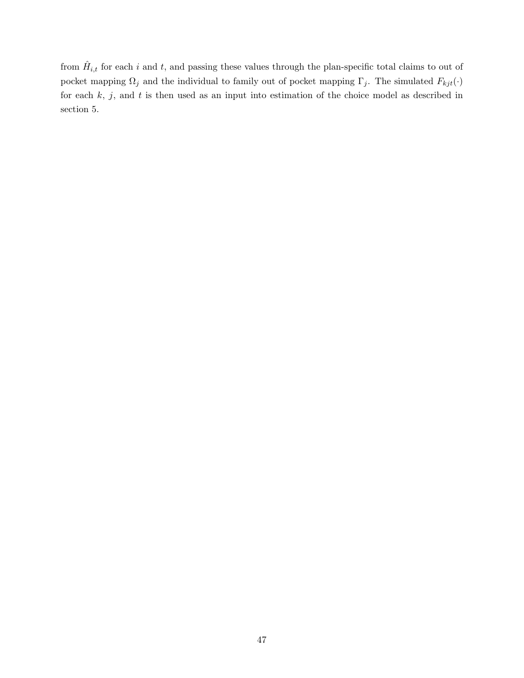from  $\hat{H}_{i,t}$  for each i and t, and passing these values through the plan-specific total claims to out of pocket mapping  $\Omega_j$  and the individual to family out of pocket mapping  $\Gamma_j$ . The simulated  $F_{kjt}(\cdot)$ for each  $k, j$ , and  $t$  is then used as an input into estimation of the choice model as described in section 5.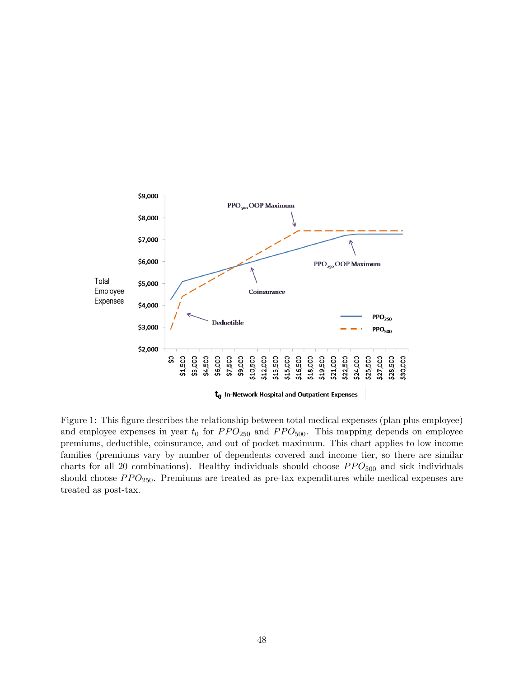

Figure 1: This figure describes the relationship between total medical expenses (plan plus employee) and employee expenses in year  $t_0$  for  $PPO_{250}$  and  $PPO_{500}$ . This mapping depends on employee premiums, deductible, coinsurance, and out of pocket maximum. This chart applies to low income families (premiums vary by number of dependents covered and income tier, so there are similar charts for all 20 combinations). Healthy individuals should choose  $PPO<sub>500</sub>$  and sick individuals should choose  $PPO_{250}$ . Premiums are treated as pre-tax expenditures while medical expenses are treated as post-tax.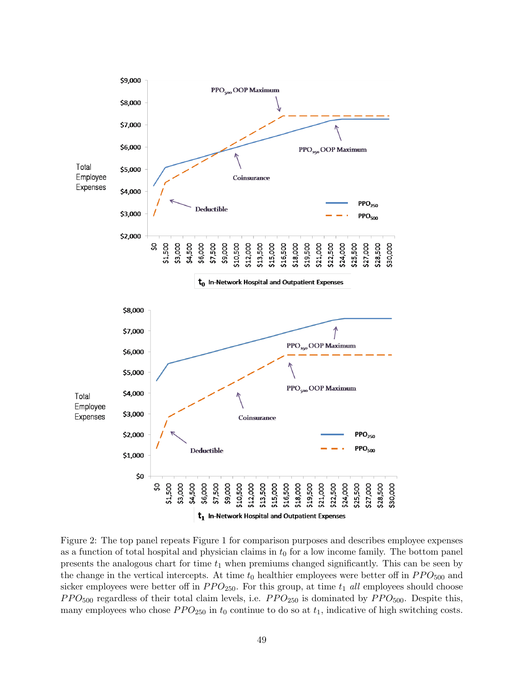

Figure 2: The top panel repeats Figure 1 for comparison purposes and describes employee expenses as a function of total hospital and physician claims in  $t_0$  for a low income family. The bottom panel presents the analogous chart for time  $t_1$  when premiums changed significantly. This can be seen by the change in the vertical intercepts. At time  $t_0$  healthier employees were better off in  $PPO<sub>500</sub>$  and sicker employees were better off in  $PPO_{250}$ . For this group, at time  $t_1$  all employees should choose  $PPO<sub>500</sub>$  regardless of their total claim levels, i.e.  $PPO<sub>250</sub>$  is dominated by  $PPO<sub>500</sub>$ . Despite this, many employees who chose  $PPO_{250}$  in  $t_0$  continue to do so at  $t_1$ , indicative of high switching costs.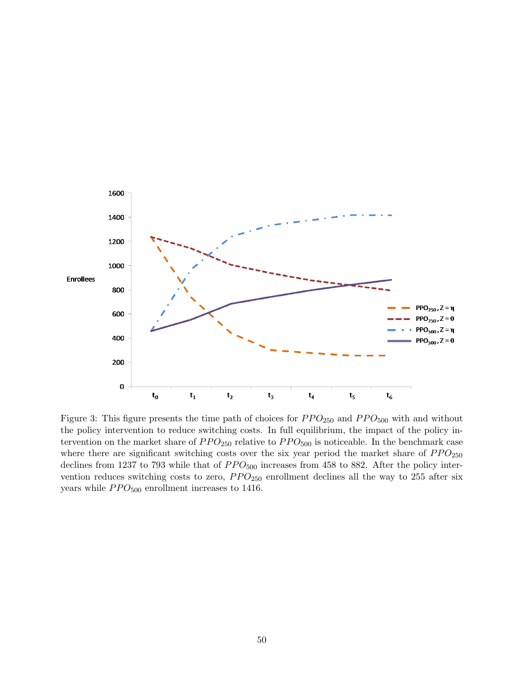

Figure 3: This figure presents the time path of choices for  $PPO_{250}$  and  $PPO_{500}$  with and without the policy intervention to reduce switching costs. In full equilibrium, the impact of the policy intervention on the market share of  $PPO_{250}$  relative to  $PPO_{500}$  is noticeable. In the benchmark case where there are significant switching costs over the six year period the market share of  $PPO_{250}$ declines from 1237 to 793 while that of  $PPO<sub>500</sub>$  increases from 458 to 882. After the policy intervention reduces switching costs to zero,  $PPO_{250}$  enrollment declines all the way to 255 after six years while  $PPO<sub>500</sub>$  enrollment increases to 1416.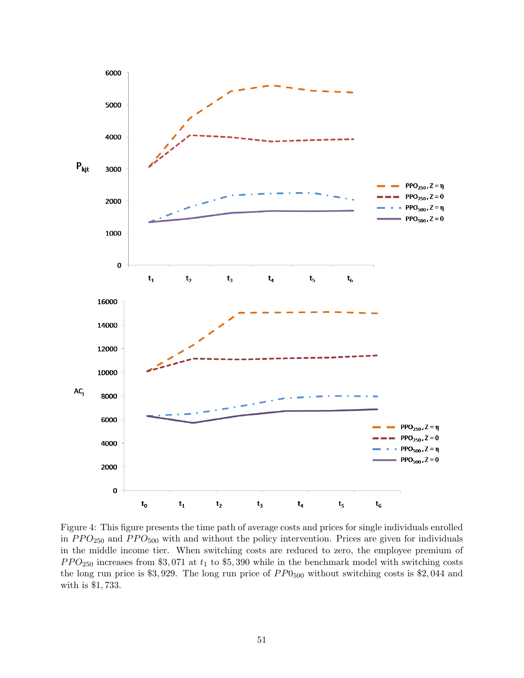

Figure 4: This figure presents the time path of average costs and prices for single individuals enrolled in  $PPO_{250}$  and  $PPO_{500}$  with and without the policy intervention. Prices are given for individuals in the middle income tier. When switching costs are reduced to zero, the employee premium of  $PPO<sub>250</sub>$  increases from \$3,071 at  $t<sub>1</sub>$  to \$5,390 while in the benchmark model with switching costs the long run price is \$3,929. The long run price of  $PP0<sub>500</sub>$  without switching costs is \$2,044 and with is \$1, 733.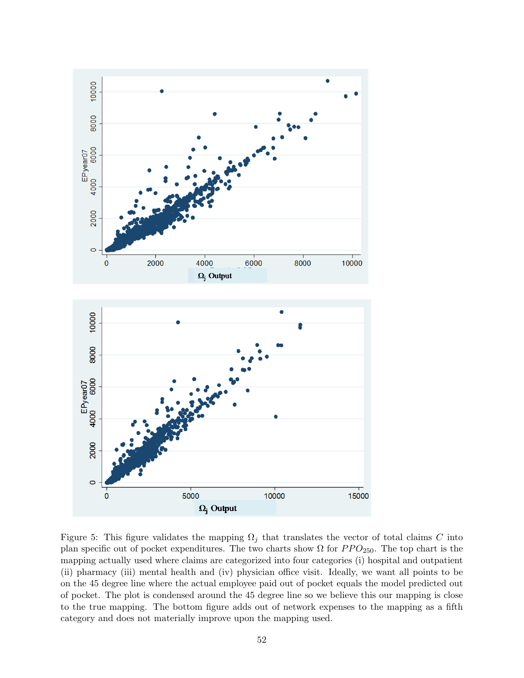

Figure 5: This figure validates the mapping  $\Omega_j$  that translates the vector of total claims C into plan specific out of pocket expenditures. The two charts show  $\Omega$  for  $PPO_{250}$ . The top chart is the mapping actually used where claims are categorized into four categories (i) hospital and outpatient (ii) pharmacy (iii) mental health and (iv) physician office visit. Ideally, we want all points to be on the 45 degree line where the actual employee paid out of pocket equals the model predicted out of pocket. The plot is condensed around the 45 degree line so we believe this our mapping is close to the true mapping. The bottom figure adds out of network expenses to the mapping as a fifth category and does not materially improve upon the mapping used.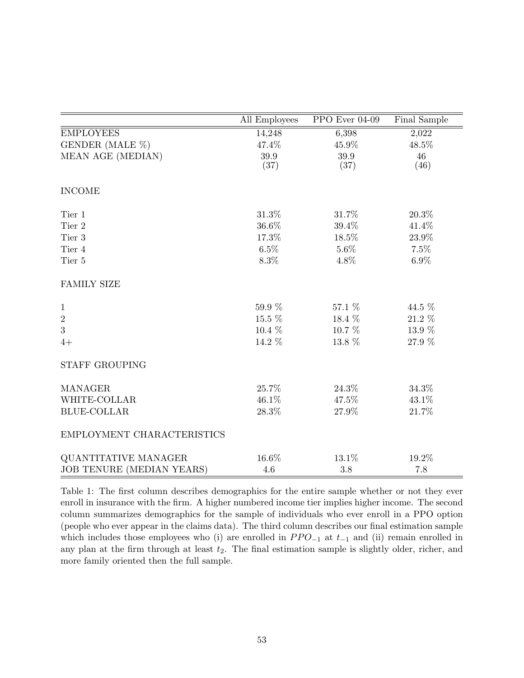|                                  | All Employees | PPO Ever 04-09 | Final Sample |
|----------------------------------|---------------|----------------|--------------|
| <b>EMPLOYEES</b>                 | 14,248        | 6,398          | 2,022        |
| GENDER (MALE %)                  | 47.4%         | 45.9%          | 48.5%        |
| MEAN AGE (MEDIAN)                | 39.9<br>(37)  | 39.9<br>(37)   | 46<br>(46)   |
| <b>INCOME</b>                    |               |                |              |
| Tier 1                           | 31.3%         | 31.7%          | 20.3%        |
| Tier 2                           | 36.6%         | 39.4%          | 41.4%        |
| Tier 3                           | 17.3%         | 18.5%          | 23.9%        |
| Tier 4                           | $6.5\%$       | 5.6%           | 7.5%         |
| Tier 5                           | $8.3\%$       | 4.8%           | $6.9\%$      |
| <b>FAMILY SIZE</b>               |               |                |              |
| $\mathbf{1}$                     | 59.9 %        | 57.1 %         | 44.5 %       |
| $\sqrt{2}$                       | 15.5 %        | 18.4 %         | 21.2 %       |
| 3                                | $10.4\%$      | 10.7 %         | 13.9 %       |
| $4+$                             | 14.2 %        | 13.8 %         | 27.9 %       |
| <b>STAFF GROUPING</b>            |               |                |              |
| <b>MANAGER</b>                   | 25.7%         | 24.3%          | 34.3%        |
| WHITE-COLLAR                     | 46.1%         | 47.5%          | 43.1%        |
| <b>BLUE-COLLAR</b>               | 28.3%         | 27.9%          | 21.7%        |
| EMPLOYMENT CHARACTERISTICS       |               |                |              |
| QUANTITATIVE MANAGER             | 16.6%         | 13.1%          | 19.2%        |
| <b>JOB TENURE (MEDIAN YEARS)</b> | 4.6           | 3.8            | 7.8          |

Table 1: The first column describes demographics for the entire sample whether or not they ever enroll in insurance with the firm. A higher numbered income tier implies higher income. The second column summarizes demographics for the sample of individuals who ever enroll in a PPO option (people who ever appear in the claims data). The third column describes our final estimation sample which includes those employees who (i) are enrolled in  $PPO_{-1}$  at  $t_{-1}$  and (ii) remain enrolled in any plan at the firm through at least  $t_2$ . The final estimation sample is slightly older, richer, and more family oriented then the full sample.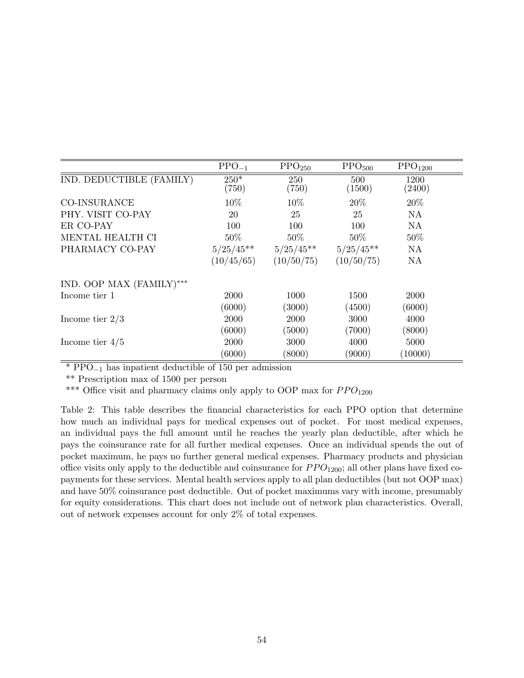|                          | $PPO_{-1}$      | $\text{PPO}_{250}$ | $\text{PPO}_{500}$ | $\text{PPO}_{1200}$ |
|--------------------------|-----------------|--------------------|--------------------|---------------------|
| IND. DEDUCTIBLE (FAMILY) | $250*$<br>(750) | 250<br>(750)       | 500<br>(1500)      | 1200<br>(2400)      |
| <b>CO-INSURANCE</b>      | 10%             | 10%                | 20%                | 20%                 |
| PHY. VISIT CO-PAY        | 20              | 25                 | 25                 | <b>NA</b>           |
| ER CO-PAY                | 100             | 100                | 100                | NA                  |
| MENTAL HEALTH CI         | 50%             | $50\%$             | $50\%$             | 50%                 |
| PHARMACY CO-PAY          | $5/25/45**$     | $5/25/45**$        | $5/25/45**$        | NA                  |
|                          | (10/45/65)      | (10/50/75)         | (10/50/75)         | NA                  |
| IND. OOP MAX (FAMILY)*** |                 |                    |                    |                     |
| Income tier 1            | 2000            | 1000               | 1500               | 2000                |
|                          | (6000)          | (3000)             | (4500)             | (6000)              |
| Income tier $2/3$        | 2000            | 2000               | 3000               | 4000                |
|                          | (6000)          | (5000)             | (7000)             | (8000)              |
| Income tier $4/5$        | 2000            | 3000               | 4000               | 5000                |
|                          | (6000)          | (8000)             | (9000)             | (10000)             |

\* PPO−<sup>1</sup> has inpatient deductible of 150 per admission

\*\* Prescription max of 1500 per person

\*\*\* Office visit and pharmacy claims only apply to OOP max for  $PPO<sub>1200</sub>$ 

Table 2: This table describes the financial characteristics for each PPO option that determine how much an individual pays for medical expenses out of pocket. For most medical expenses, an individual pays the full amount until he reaches the yearly plan deductible, after which he pays the coinsurance rate for all further medical expenses. Once an individual spends the out of pocket maximum, he pays no further general medical expenses. Pharmacy products and physician office visits only apply to the deductible and coinsurance for  $PPO<sub>1200</sub>$ ; all other plans have fixed copayments for these services. Mental health services apply to all plan deductibles (but not OOP max) and have 50% coinsurance post deductible. Out of pocket maximums vary with income, presumably for equity considerations. This chart does not include out of network plan characteristics. Overall, out of network expenses account for only  $2\%$  of total expenses.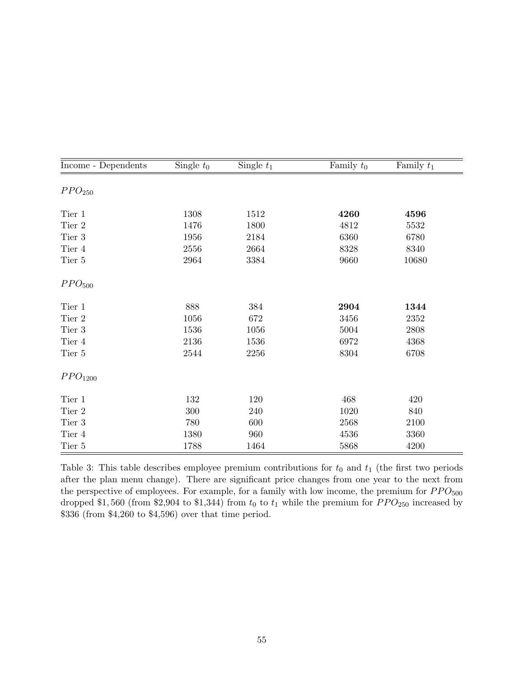| Income - Dependents | Single $t_0$ | Single $t_1$ | Family $t_0$ | Family $t_1$ |
|---------------------|--------------|--------------|--------------|--------------|
| PPO <sub>250</sub>  |              |              |              |              |
|                     |              |              |              |              |
| Tier 1              | 1308         | 1512         | 4260         | 4596         |
| Tier 2              | 1476         | 1800         | 4812         | 5532         |
| Tier 3              | 1956         | 2184         | 6360         | 6780         |
| Tier 4              | 2556         | 2664         | 8328         | 8340         |
| Tier 5              | 2964         | 3384         | 9660         | 10680        |
| PPO <sub>500</sub>  |              |              |              |              |
| Tier 1              | 888          | $384\,$      | 2904         | 1344         |
| Tier 2              | 1056         | 672          | 3456         | 2352         |
| Tier 3              | 1536         | 1056         | 5004         | 2808         |
| Tier 4              | 2136         | 1536         | 6972         | 4368         |
| Tier 5              | $2544\,$     | $2256\,$     | $8304\,$     | 6708         |
| PPO <sub>1200</sub> |              |              |              |              |
| Tier 1              | 132          | 120          | 468          | 420          |
| Tier 2              | 300          | 240          | 1020         | 840          |
| Tier 3              | 780          | 600          | 2568         | 2100         |
| Tier 4              | 1380         | 960          | 4536         | 3360         |
| Tier 5              | 1788         | 1464         | 5868         | 4200         |

Table 3: This table describes employee premium contributions for  $t_0$  and  $t_1$  (the first two periods after the plan menu change). There are significant price changes from one year to the next from the perspective of employees. For example, for a family with low income, the premium for  $PPO<sub>500</sub>$ dropped \$1,560 (from \$2,904 to \$1,344) from  $t_0$  to  $t_1$  while the premium for  $PPO_{250}$  increased by \$336 (from \$4,260 to \$4,596) over that time period.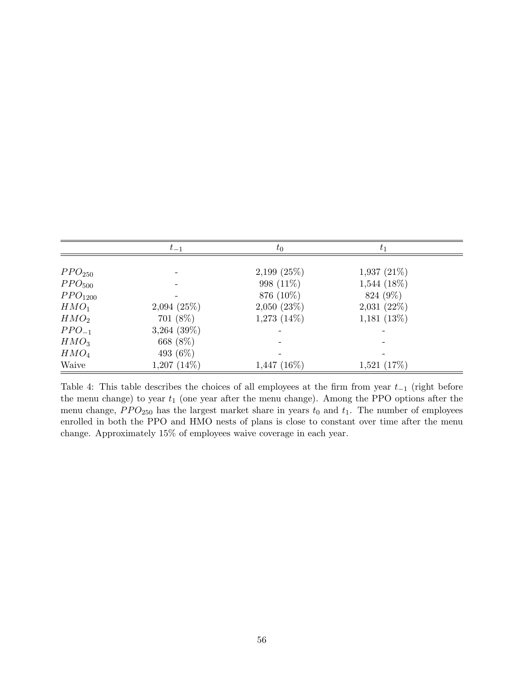|                     | $t_{-1}$         | $t_{0}$          | $t_1$            |  |
|---------------------|------------------|------------------|------------------|--|
|                     |                  |                  |                  |  |
| PPO <sub>250</sub>  |                  | $2,199$ $(25\%)$ | $1,937(21\%)$    |  |
| PPO <sub>500</sub>  |                  | 998 (11\%)       | $1,544$ $(18\%)$ |  |
| PPO <sub>1200</sub> |                  | 876 (10%)        | 824 (9%)         |  |
| HMO <sub>1</sub>    | 2,094(25%)       | 2,050(23%)       | 2,031(22%)       |  |
| HMO <sub>2</sub>    | $701(8\%)$       | $1,273$ $(14\%)$ | 1,181(13%)       |  |
| $PPO_{-1}$          | $3,264$ $(39\%)$ |                  |                  |  |
| HMO <sub>3</sub>    | 668 (8%)         |                  |                  |  |
| HMO <sub>4</sub>    | 493 $(6\%)$      |                  |                  |  |
| Waive               | $1,207$ $(14\%)$ | $1,447$ (16%)    | 1,521(17%)       |  |

Table 4: This table describes the choices of all employees at the firm from year  $t_{-1}$  (right before the menu change) to year  $t_1$  (one year after the menu change). Among the PPO options after the menu change,  $PPO_{250}$  has the largest market share in years  $t_0$  and  $t_1$ . The number of employees enrolled in both the PPO and HMO nests of plans is close to constant over time after the menu change. Approximately 15% of employees waive coverage in each year.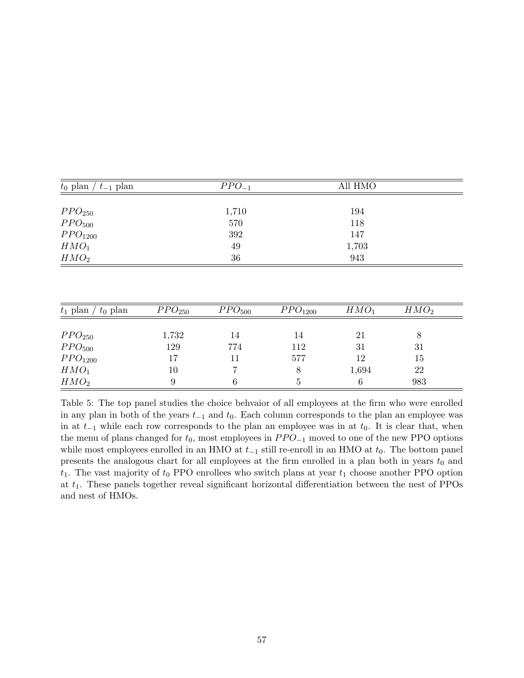| $t_0$ plan / $t_{-1}$ plan |                        | $PPO_{-1}$             |                     | All HMO          |                  |
|----------------------------|------------------------|------------------------|---------------------|------------------|------------------|
|                            |                        |                        |                     |                  |                  |
| PPO <sub>250</sub>         |                        | 1,710                  |                     | 194              |                  |
| PPO <sub>500</sub>         |                        | 570                    |                     | 118              |                  |
| PPO <sub>1200</sub>        |                        | 392                    |                     | 147              |                  |
| HMO <sub>1</sub>           |                        | 49                     |                     | 1,703            |                  |
| HMO <sub>2</sub>           |                        | $36\,$                 |                     | 943              |                  |
|                            |                        |                        |                     |                  |                  |
|                            |                        |                        |                     |                  |                  |
| $t_0$ plan<br>$t_1$ plan / | $\overline{PPO}_{250}$ | $\overline{PPO}_{500}$ | PPO <sub>1200</sub> | HMO <sub>1</sub> | HMO <sub>2</sub> |
|                            |                        |                        |                     |                  |                  |
| PPO <sub>250</sub>         | 1,732                  | 14                     | 14                  | 21               | 8                |

| PPO <sub>250</sub>  | 1,732 | 14  | 14  | 21    |     |  |
|---------------------|-------|-----|-----|-------|-----|--|
| PPO <sub>500</sub>  | 129   | 774 | 112 | 31    | 31  |  |
| PPO <sub>1200</sub> |       | 11  | 577 | 12    | 15  |  |
| HMO <sub>1</sub>    | 10    |     |     | 1,694 | 22  |  |
| HMO <sub>2</sub>    |       |     |     |       | 983 |  |
|                     |       |     |     |       |     |  |

Table 5: The top panel studies the choice behvaior of all employees at the firm who were enrolled in any plan in both of the years  $t_{-1}$  and  $t_0$ . Each column corresponds to the plan an employee was in at  $t_{-1}$  while each row corresponds to the plan an employee was in at  $t_0$ . It is clear that, when the menu of plans changed for  $t_0$ , most employees in  $PPO_{-1}$  moved to one of the new PPO options while most employees enrolled in an HMO at  $t_{-1}$  still re-enroll in an HMO at  $t_0$ . The bottom panel presents the analogous chart for all employees at the firm enrolled in a plan both in years  $t_0$  and  $t_1$ . The vast majority of  $t_0$  PPO enrollees who switch plans at year  $t_1$  choose another PPO option at  $t_1$ . These panels together reveal significant horizontal differentiation between the nest of PPOs and nest of HMOs.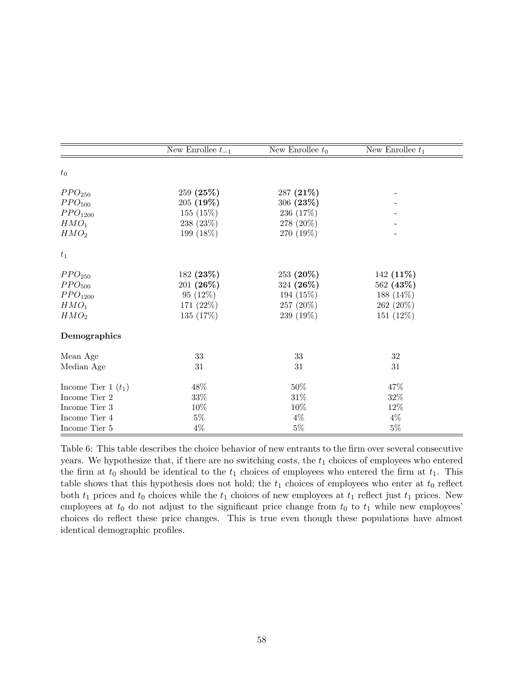|                       | New Enrollee $t_{-1}$ | New Enrollee $t_0$ | New Enrollee $t_1$ |
|-----------------------|-----------------------|--------------------|--------------------|
| $t_{0}$               |                       |                    |                    |
| PPO <sub>250</sub>    | 259 (25%)             | 287 (21%)          |                    |
| PPO <sub>500</sub>    | 205(19%)              | 306(23%)           |                    |
| PPO <sub>1200</sub>   | 155 (15%)             | 236 (17%)          |                    |
| HMO <sub>1</sub>      | 238 (23%)             | 278 (20%)          |                    |
| HMO <sub>2</sub>      | 199 (18%)             | 270 (19%)          |                    |
| $t_1$                 |                       |                    |                    |
| PPO <sub>250</sub>    | 182 (23%)             | 253 (20%)          | 142 $(11\%)$       |
| PPO <sub>500</sub>    | 201 (26%)             | 324 (26%)          | 562 (43\%)         |
| PPO <sub>1200</sub>   | $95(12\%)$            | 194 (15%)          | 188 (14%)          |
| HMO <sub>1</sub>      | 171 (22%)             | 257 (20%)          | 262 (20%)          |
| HMO <sub>2</sub>      | 135(17%)              | 239 (19%)          | $151(12\%)$        |
| Demographics          |                       |                    |                    |
| Mean Age              | 33                    | 33                 | 32                 |
| Median Age            | $31\,$                | 31                 | 31                 |
| Income Tier 1 $(t_1)$ | 48\%                  | $50\%$             | 47%                |
| Income Tier 2         | $33\%$                | $31\%$             | 32%                |
| Income Tier 3         | 10%                   | $10\%$             | $12\%$             |
| Income Tier 4         | $5\%$                 | $4\%$              | $4\%$              |
| Income Tier 5         | $4\%$                 | $5\%$              | $5\%$              |

Table 6: This table describes the choice behavior of new entrants to the firm over several consecutive years. We hypothesize that, if there are no switching costs, the  $t_1$  choices of employees who entered the firm at  $t_0$  should be identical to the  $t_1$  choices of employees who entered the firm at  $t_1$ . This table shows that this hypothesis does not hold; the  $t_1$  choices of employees who enter at  $t_0$  reflect both  $t_1$  prices and  $t_0$  choices while the  $t_1$  choices of new employees at  $t_1$  reflect just  $t_1$  prices. New employees at  $t_0$  do not adjust to the significant price change from  $t_0$  to  $t_1$  while new employees' choices do reflect these price changes. This is true even though these populations have almost identical demographic profiles.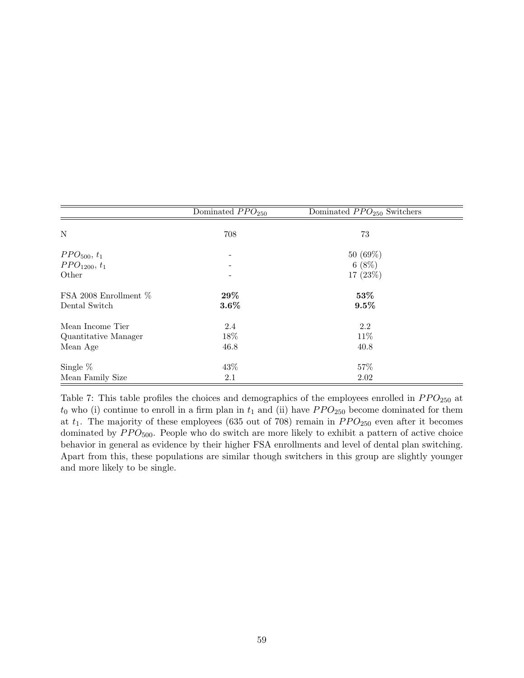|                                     | Dominated $PPO250$ | Dominated $PPO250$ Switchers |  |
|-------------------------------------|--------------------|------------------------------|--|
| N                                   | 708                | 73                           |  |
| PPO <sub>500</sub> , t <sub>1</sub> |                    | 50(69%)                      |  |
| $PPO_{1200}, t_1$                   |                    | $6(8\%)$                     |  |
| Other                               |                    | 17 (23%)                     |  |
| FSA 2008 Enrollment $%$             | $29\%$             | 53%                          |  |
| Dental Switch                       | $3.6\%$            | $9.5\%$                      |  |
| Mean Income Tier                    | 2.4                | 2.2                          |  |
| Quantitative Manager                | 18%                | 11\%                         |  |
| Mean Age                            | 46.8               | 40.8                         |  |
| Single $%$                          | 43\%               | 57%                          |  |
| Mean Family Size                    | 2.1                | 2.02                         |  |

Table 7: This table profiles the choices and demographics of the employees enrolled in  $PPO_{250}$  at  $t_0$  who (i) continue to enroll in a firm plan in  $t_1$  and (ii) have  $PPO_{250}$  become dominated for them at  $t_1$ . The majority of these employees (635 out of 708) remain in  $PPO_{250}$  even after it becomes dominated by  $PPO<sub>500</sub>$ . People who do switch are more likely to exhibit a pattern of active choice behavior in general as evidence by their higher FSA enrollments and level of dental plan switching. Apart from this, these populations are similar though switchers in this group are slightly younger and more likely to be single.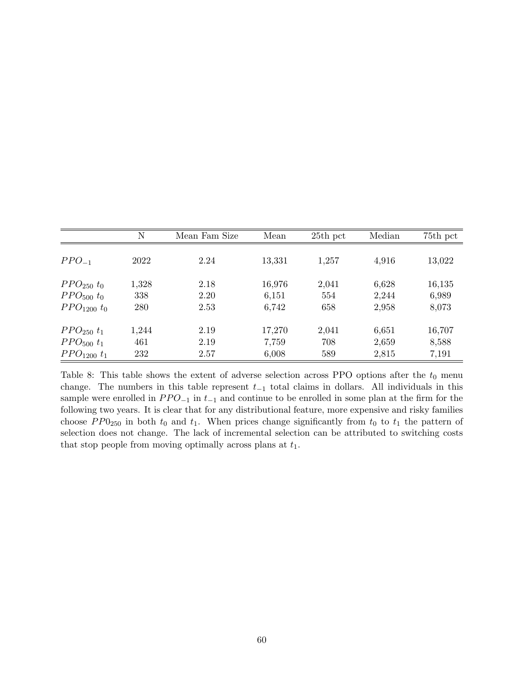|                                    | N     | Mean Fam Size | Mean   | 25th pct | Median | 75th pct |
|------------------------------------|-------|---------------|--------|----------|--------|----------|
|                                    |       |               |        |          |        |          |
| $PPO_{-1}$                         | 2022  | 2.24          | 13,331 | 1,257    | 4,916  | 13,022   |
| $PPO_{250} t_0$                    | 1,328 | 2.18          | 16,976 | 2,041    | 6,628  | 16,135   |
| PPO <sub>500</sub> t <sub>0</sub>  | 338   | 2.20          | 6,151  | 554      | 2,244  | 6,989    |
| PPO <sub>1200</sub> t <sub>0</sub> | 280   | 2.53          | 6,742  | 658      | 2,958  | 8,073    |
| $PPO_{250} t_1$                    | 1,244 | 2.19          | 17,270 | 2,041    | 6,651  | 16,707   |
| PPO <sub>500</sub> t <sub>1</sub>  | 461   | 2.19          | 7,759  | 708      | 2,659  | 8,588    |
| $PPO_{1200} t_1$                   | 232   | 2.57          | 6,008  | 589      | 2,815  | 7,191    |

Table 8: This table shows the extent of adverse selection across PPO options after the  $t_0$  menu change. The numbers in this table represent  $t_{-1}$  total claims in dollars. All individuals in this sample were enrolled in  $PPO_{-1}$  in  $t_{-1}$  and continue to be enrolled in some plan at the firm for the following two years. It is clear that for any distributional feature, more expensive and risky families choose  $PP0_{250}$  in both  $t_0$  and  $t_1$ . When prices change significantly from  $t_0$  to  $t_1$  the pattern of selection does not change. The lack of incremental selection can be attributed to switching costs that stop people from moving optimally across plans at  $t_1$ .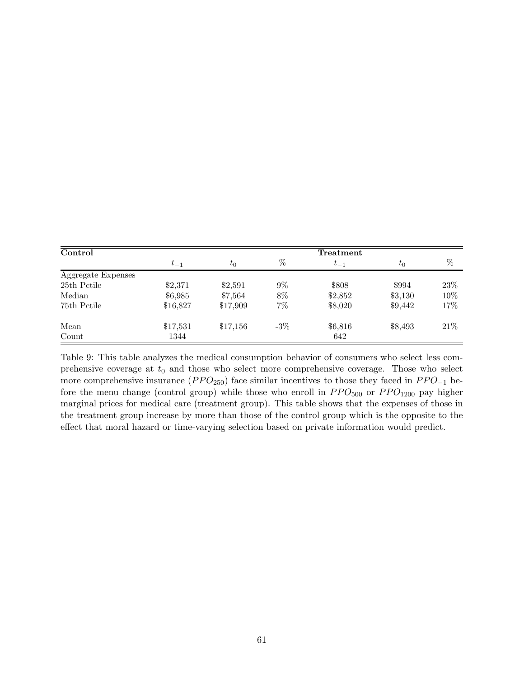| Control            |          |          |       | Treatment |         |      |
|--------------------|----------|----------|-------|-----------|---------|------|
|                    | $t_{-1}$ | $t_0$    | %     | $t_{-1}$  | $t_0$   | %    |
| Aggregate Expenses |          |          |       |           |         |      |
| 25th Pctile        | \$2,371  | \$2,591  | $9\%$ | \$808     | \$994   | 23\% |
| Median             | \$6,985  | \$7,564  | 8%    | \$2,852   | \$3,130 | 10%  |
| 75th Pctile        | \$16,827 | \$17,909 | $7\%$ | \$8,020   | \$9,442 | 17%  |
| Mean               | \$17,531 | \$17,156 | $-3%$ | \$6,816   | \$8,493 | 21%  |
| Count              | 1344     |          |       | 642       |         |      |

Table 9: This table analyzes the medical consumption behavior of consumers who select less comprehensive coverage at  $t_0$  and those who select more comprehensive coverage. Those who select more comprehensive insurance  $(PPO_{250})$  face similar incentives to those they faced in  $PPO_{-1}$  before the menu change (control group) while those who enroll in  $PPO_{500}$  or  $PPO_{1200}$  pay higher marginal prices for medical care (treatment group). This table shows that the expenses of those in the treatment group increase by more than those of the control group which is the opposite to the effect that moral hazard or time-varying selection based on private information would predict.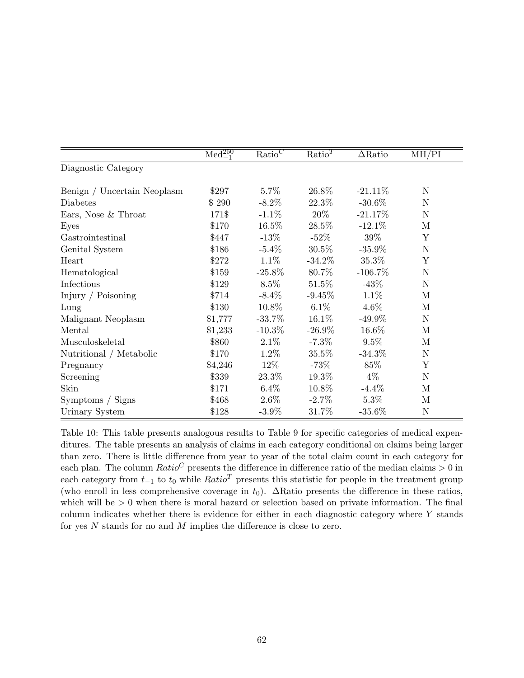|                             | $\overline{\text{Med}_{-1}^{250}}$ | $\text{Ratio}^C$ | Ratio <sup>T</sup> | $\Delta \mathrm{Ratio}$ | MH/PI        |
|-----------------------------|------------------------------------|------------------|--------------------|-------------------------|--------------|
| Diagnostic Category         |                                    |                  |                    |                         |              |
| Benign / Uncertain Neoplasm | \$297                              | $5.7\%$          | 26.8%              | $-21.11\%$              | $\mathbf N$  |
| Diabetes                    | \$290                              | $-8.2\%$         | 22.3%              | $-30.6\%$               | $\mathbf N$  |
| Ears, Nose & Throat         | 171\$                              | $-1.1\%$         | $20\%$             | $-21.17\%$              | ${\rm N}$    |
| Eyes                        | \$170                              | $16.5\%$         | 28.5%              | $-12.1\%$               | М            |
| Gastrointestinal            | \$447                              | $-13\%$          | $-52\%$            | 39%                     | Y            |
| Genital System              | \$186                              | $-5.4\%$         | $30.5\%$           | $-35.9\%$               | $\mathbf N$  |
| Heart                       | \$272                              | $1.1\%$          | $-34.2\%$          | 35.3%                   | Y            |
| Hematological               | \$159                              | $-25.8\%$        | 80.7%              | $-106.7\%$              | $\mathbf N$  |
| Infectious                  | \$129                              | $8.5\%$          | $51.5\%$           | $-43\%$                 | $\mathbf N$  |
| Injury / Poisoning          | \$714                              | $-8.4\%$         | $-9.45\%$          | $1.1\%$                 | М            |
| Lung                        | \$130                              | 10.8%            | $6.1\%$            | $4.6\%$                 | M            |
| Malignant Neoplasm          | \$1,777                            | $-33.7\%$        | $16.1\%$           | $-49.9\%$               | ${\rm N}$    |
| Mental                      | \$1,233                            | $-10.3\%$        | $-26.9\%$          | 16.6%                   | М            |
| Musculoskeletal             | \$860                              | $2.1\%$          | $-7.3\%$           | $9.5\%$                 | М            |
| Nutritional / Metabolic     | \$170                              | $1.2\%$          | $35.5\%$           | $-34.3\%$               | ${\rm N}$    |
| Pregnancy                   | \$4,246                            | $12\%$           | $-73\%$            | 85%                     | Y            |
| Screening                   | \$339                              | 23.3\%           | $19.3\%$           | $4\%$                   | $\mathbf N$  |
| Skin                        | \$171                              | $6.4\%$          | 10.8%              | $-4.4\%$                | M            |
| Symptoms / Signs            | \$468                              | $2.6\%$          | $-2.7\%$           | $5.3\%$                 | $\mathbf{M}$ |
| Urinary System              | \$128                              | $-3.9\%$         | 31.7%              | $-35.6\%$               | $\mathbf N$  |

Table 10: This table presents analogous results to Table 9 for specific categories of medical expenditures. The table presents an analysis of claims in each category conditional on claims being larger than zero. There is little difference from year to year of the total claim count in each category for each plan. The column  $Ratio^C$  presents the difference in difference ratio of the median claims  $> 0$  in each category from  $t_{-1}$  to  $t_0$  while  $Ratio^T$  presents this statistic for people in the treatment group (who enroll in less comprehensive coverage in  $t_0$ ).  $\Delta$ Ratio presents the difference in these ratios, which will be  $> 0$  when there is moral hazard or selection based on private information. The final column indicates whether there is evidence for either in each diagnostic category where Y stands for yes N stands for no and M implies the difference is close to zero.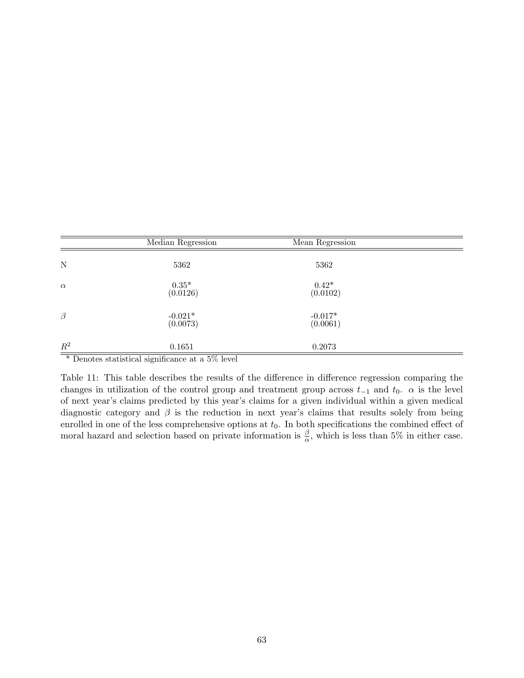|                                  | Median Regression                                                           | Mean Regression       |  |
|----------------------------------|-----------------------------------------------------------------------------|-----------------------|--|
| N                                | 5362                                                                        | 5362                  |  |
| $\alpha$                         | $0.35*$<br>(0.0126)                                                         | $0.42*$<br>(0.0102)   |  |
| $\beta$                          | $-0.021*$<br>(0.0073)                                                       | $-0.017*$<br>(0.0061) |  |
| $\mathbb{R}^2$<br>$\overline{r}$ | 0.1651<br>$R^2$ 1<br>$\cdot$ $\sim$<br>$\cdots$<br>$\blacksquare$<br>$\sim$ | 0.2073                |  |

\* Denotes statistical significance at a 5% level

Table 11: This table describes the results of the difference in difference regression comparing the changes in utilization of the control group and treatment group across  $t_{-1}$  and  $t_0$ .  $\alpha$  is the level of next year's claims predicted by this year's claims for a given individual within a given medical diagnostic category and  $\beta$  is the reduction in next year's claims that results solely from being enrolled in one of the less comprehensive options at  $t_0$ . In both specifications the combined effect of moral hazard and selection based on private information is  $\frac{\beta}{\alpha}$ , which is less than 5% in either case.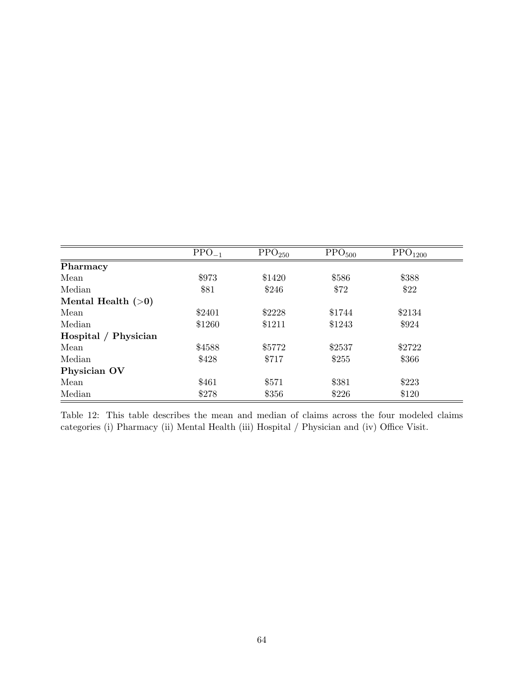|                      | $PPO_{-1}$ | $\text{PPO}_{250}$ | $\text{PPO}_{500}$ | $\text{PPO}_{1200}$ |
|----------------------|------------|--------------------|--------------------|---------------------|
| Pharmacy             |            |                    |                    |                     |
| Mean                 | \$973      | \$1420             | \$586              | \$388               |
| Median               | \$81       | \$246              | \$72               | \$22                |
| Mental Health $(>0)$ |            |                    |                    |                     |
| Mean                 | \$2401     | \$2228             | \$1744             | \$2134              |
| Median               | \$1260     | \$1211             | \$1243             | \$924               |
| Hospital / Physician |            |                    |                    |                     |
| Mean                 | \$4588     | \$5772             | \$2537             | \$2722              |
| Median               | \$428      | \$717              | \$255              | \$366               |
| Physician OV         |            |                    |                    |                     |
| Mean                 | \$461      | \$571              | \$381              | \$223               |
| Median               | \$278      | \$356              | \$226              | \$120               |

Table 12: This table describes the mean and median of claims across the four modeled claims categories (i) Pharmacy (ii) Mental Health (iii) Hospital / Physician and (iv) Office Visit.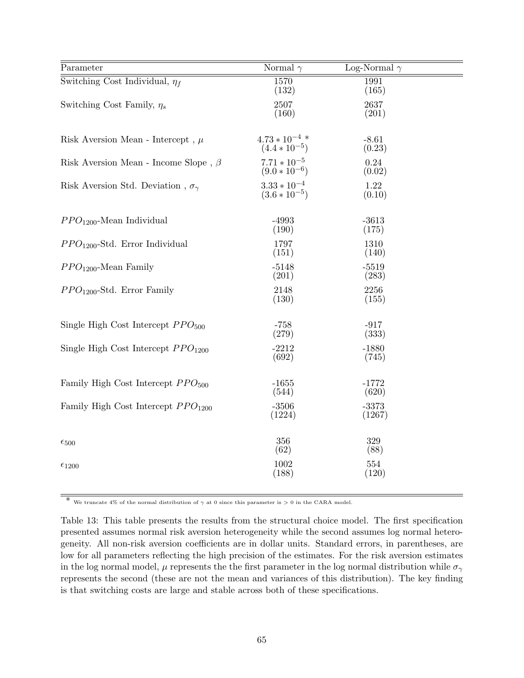| Parameter                                       | Normal $\gamma$                          | Log-Normal $\gamma$ |  |
|-------------------------------------------------|------------------------------------------|---------------------|--|
| Switching Cost Individual, $\eta_f$             | 1570<br>(132)                            | 1991<br>(165)       |  |
| Switching Cost Family, $\eta_s$                 | 2507<br>(160)                            | 2637<br>(201)       |  |
| Risk Aversion Mean - Intercept, $\mu$           | $4.73 * 10^{-4}$ .*<br>$(4.4 * 10^{-5})$ | $-8.61$<br>(0.23)   |  |
| Risk Aversion Mean - Income Slope, $\beta$      | $7.71 * 10^{-5}$<br>(9.0 $* 10^{-6}$ )   | 0.24<br>(0.02)      |  |
| Risk Aversion Std. Deviation, $\sigma_{\gamma}$ | $3.33 * 10^{-4}$<br>(3.6 $* 10^{-5}$ )   | 1.22<br>(0.10)      |  |
| $PPO1200$ -Mean Individual                      | $-4993$<br>(190)                         | $-3613$<br>(175)    |  |
| $PPO1200$ -Std. Error Individual                | 1797<br>(151)                            | 1310<br>(140)       |  |
| $PPO1200$ -Mean Family                          | $-5148$<br>(201)                         | $-5519$<br>(283)    |  |
| $PPO1200$ -Std. Error Family                    | 2148<br>(130)                            | 2256<br>(155)       |  |
| Single High Cost Intercept $PPO500$             | $-758$<br>(279)                          | $-917$<br>(333)     |  |
| Single High Cost Intercept $PPO1200$            | $-2212$<br>(692)                         | $-1880$<br>(745)    |  |
| Family High Cost Intercept $PPO500$             | $-1655$<br>(544)                         | $-1772$<br>(620)    |  |
| Family High Cost Intercept $PPO1200$            | $-3506$<br>(1224)                        | $-3373$<br>(1267)   |  |
| $\epsilon_{500}$                                | 356<br>(62)                              | 329<br>(88)         |  |
| $\epsilon_{1200}$                               | 1002<br>(188)                            | 554<br>(120)        |  |

\* We truncate 4% of the normal distribution of  $\gamma$  at 0 since this parameter is > 0 in the CARA model.

Table 13: This table presents the results from the structural choice model. The first specification presented assumes normal risk aversion heterogeneity while the second assumes log normal heterogeneity. All non-risk aversion coefficients are in dollar units. Standard errors, in parentheses, are low for all parameters reflecting the high precision of the estimates. For the risk aversion estimates in the log normal model,  $\mu$  represents the the first parameter in the log normal distribution while  $\sigma_{\gamma}$ represents the second (these are not the mean and variances of this distribution). The key finding is that switching costs are large and stable across both of these specifications.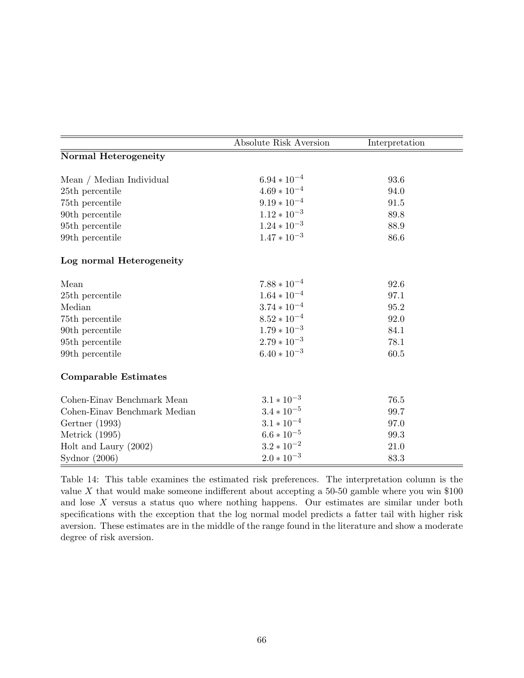|                              | <b>Absolute Risk Aversion</b> | Interpretation |
|------------------------------|-------------------------------|----------------|
| <b>Normal Heterogeneity</b>  |                               |                |
|                              |                               |                |
| Mean / Median Individual     | $6.94 * 10^{-4}$              | 93.6           |
| 25th percentile              | $4.69*10^{-4}$                | 94.0           |
| 75th percentile              | $9.19\ast10^{-4}$             | 91.5           |
| 90th percentile              | $1.12 \times 10^{-3}$         | 89.8           |
| 95th percentile              | $1.24 * 10^{-3}$              | 88.9           |
| 99th percentile              | $1.47 * 10^{-3}$              | 86.6           |
| Log normal Heterogeneity     |                               |                |
| Mean                         | $7.88 * 10^{-4}$              | 92.6           |
| 25th percentile              | $1.64*10^{-4}\,$              | 97.1           |
| Median                       | $3.74*10^{-4}$                | 95.2           |
| 75th percentile              | $8.52\times10^{-4}$           | 92.0           |
| 90th percentile              | $1.79 * 10^{-3}$              | 84.1           |
| 95th percentile              | $2.79*10^{-3}$                | 78.1           |
| 99th percentile              | $6.40 * 10^{-3}$              | 60.5           |
| <b>Comparable Estimates</b>  |                               |                |
| Cohen-Einav Benchmark Mean   | $3.1*10^{-3}$                 | 76.5           |
| Cohen-Einav Benchmark Median | $3.4*10^{-5}\,$               | 99.7           |
| Gertner (1993)               | $3.1*10^{-4}$                 | 97.0           |
| Metrick (1995)               | $6.6*10^{-5}$                 | 99.3           |
| Holt and Laury $(2002)$      | $3.2 \times 10^{-2}$          | 21.0           |
| Sydnor $(2006)$              | $2.0 * 10^{-3}$               | 83.3           |

Table 14: This table examines the estimated risk preferences. The interpretation column is the value X that would make someone indifferent about accepting a 50-50 gamble where you win \$100 and lose  $X$  versus a status quo where nothing happens. Our estimates are similar under both specifications with the exception that the log normal model predicts a fatter tail with higher risk aversion. These estimates are in the middle of the range found in the literature and show a moderate degree of risk aversion.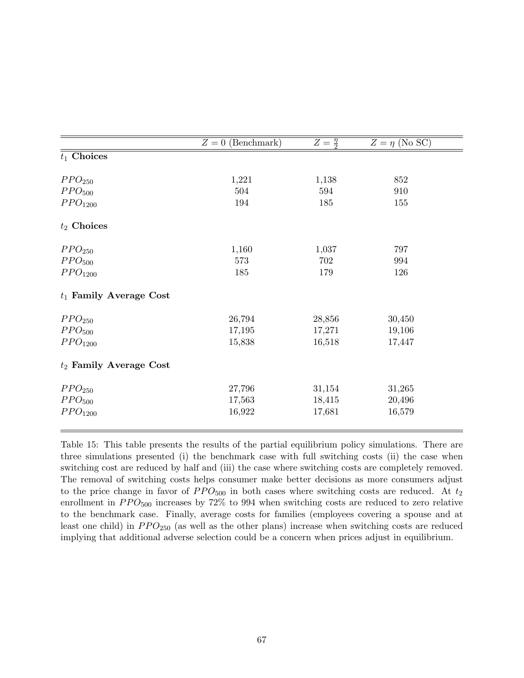|                           | $Z=0$ (Benchmark) | $Z=\frac{\eta}{2}$ | $Z = \eta$ (No SC) |
|---------------------------|-------------------|--------------------|--------------------|
| $t_1$ Choices             |                   |                    |                    |
| PPO <sub>250</sub>        | 1,221             | 1,138              | 852                |
| PPO <sub>500</sub>        | 504               | 594                | 910                |
| PPO <sub>1200</sub>       | 194               | 185                | 155                |
| $t_2$ Choices             |                   |                    |                    |
| PPO <sub>250</sub>        | 1,160             | 1,037              | 797                |
| PPO <sub>500</sub>        | 573               | 702                | 994                |
| PPO <sub>1200</sub>       | 185               | 179                | 126                |
| $t_1$ Family Average Cost |                   |                    |                    |
| PPO <sub>250</sub>        | 26,794            | 28,856             | 30,450             |
| PPO <sub>500</sub>        | 17,195            | 17,271             | 19,106             |
| PPO <sub>1200</sub>       | 15,838            | 16,518             | 17,447             |
| $t_2$ Family Average Cost |                   |                    |                    |
| PPO <sub>250</sub>        | 27,796            | 31,154             | 31,265             |
| PPO <sub>500</sub>        | 17,563            | 18,415             | 20,496             |
| PPO <sub>1200</sub>       | 16,922            | 17,681             | 16,579             |
|                           |                   |                    |                    |

Table 15: This table presents the results of the partial equilibrium policy simulations. There are three simulations presented (i) the benchmark case with full switching costs (ii) the case when switching cost are reduced by half and (iii) the case where switching costs are completely removed. The removal of switching costs helps consumer make better decisions as more consumers adjust to the price change in favor of  $PPO<sub>500</sub>$  in both cases where switching costs are reduced. At  $t_2$ enrollment in  $PPO<sub>500</sub>$  increases by 72% to 994 when switching costs are reduced to zero relative to the benchmark case. Finally, average costs for families (employees covering a spouse and at least one child) in  $PPO_{250}$  (as well as the other plans) increase when switching costs are reduced implying that additional adverse selection could be a concern when prices adjust in equilibrium.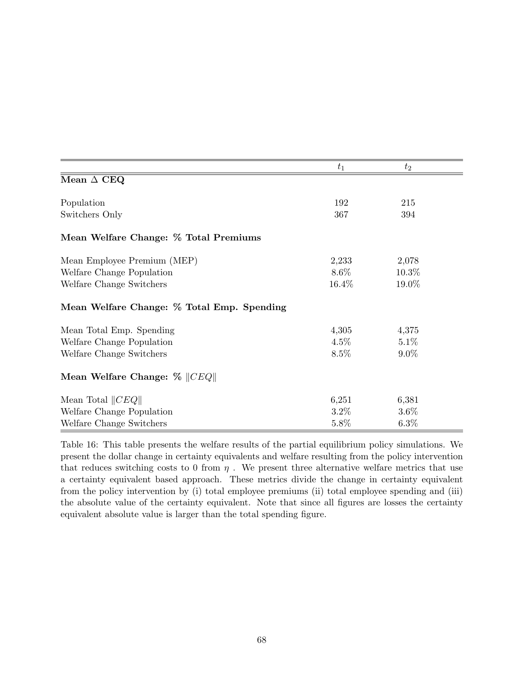|                                            | $t_1$   | $t_2$   |
|--------------------------------------------|---------|---------|
| Mean $\Delta$ CEQ                          |         |         |
| Population                                 | 192     | 215     |
| Switchers Only                             | 367     | 394     |
| Mean Welfare Change: % Total Premiums      |         |         |
| Mean Employee Premium (MEP)                | 2,233   | 2,078   |
| Welfare Change Population                  | $8.6\%$ | 10.3%   |
| Welfare Change Switchers                   | 16.4%   | 19.0%   |
| Mean Welfare Change: % Total Emp. Spending |         |         |
| Mean Total Emp. Spending                   | 4,305   | 4,375   |
| Welfare Change Population                  | $4.5\%$ | 5.1%    |
| Welfare Change Switchers                   | 8.5%    | $9.0\%$ |
| Mean Welfare Change: $\%$   CEQ            |         |         |
| Mean Total $  CEQ  $                       | 6,251   | 6,381   |
| Welfare Change Population                  | $3.2\%$ | $3.6\%$ |
| Welfare Change Switchers                   | 5.8%    | $6.3\%$ |

Table 16: This table presents the welfare results of the partial equilibrium policy simulations. We present the dollar change in certainty equivalents and welfare resulting from the policy intervention that reduces switching costs to 0 from  $\eta$ . We present three alternative welfare metrics that use a certainty equivalent based approach. These metrics divide the change in certainty equivalent from the policy intervention by (i) total employee premiums (ii) total employee spending and (iii) the absolute value of the certainty equivalent. Note that since all figures are losses the certainty equivalent absolute value is larger than the total spending figure.